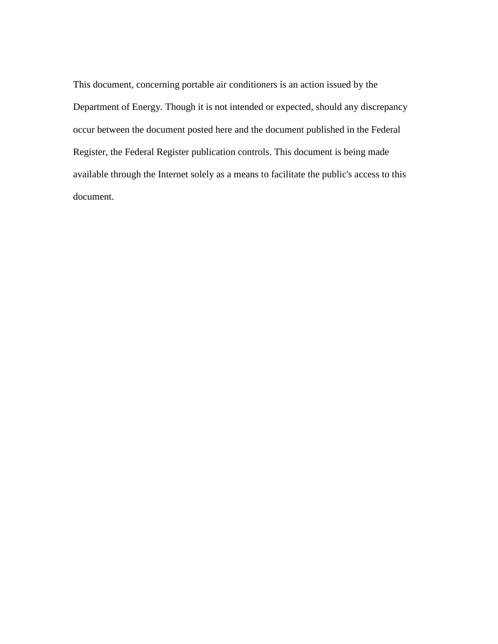This document, concerning portable air conditioners is an action issued by the Department of Energy. Though it is not intended or expected, should any discrepancy occur between the document posted here and the document published in the Federal Register, the Federal Register publication controls. This document is being made available through the Internet solely as a means to facilitate the public's access to this document.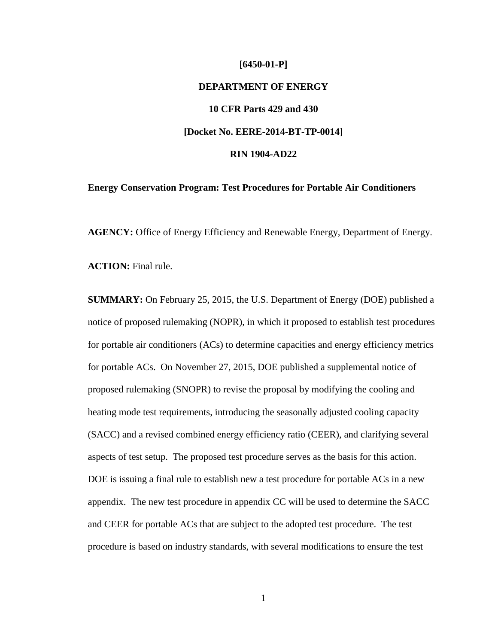# **[6450-01-P] DEPARTMENT OF ENERGY 10 CFR Parts 429 and 430 [Docket No. EERE-2014-BT-TP-0014] RIN 1904-AD22**

# **Energy Conservation Program: Test Procedures for Portable Air Conditioners**

**AGENCY:** Office of Energy Efficiency and Renewable Energy, Department of Energy.

**ACTION:** Final rule.

**SUMMARY:** On February 25, 2015, the U.S. Department of Energy (DOE) published a notice of proposed rulemaking (NOPR), in which it proposed to establish test procedures for portable air conditioners (ACs) to determine capacities and energy efficiency metrics for portable ACs. On November 27, 2015, DOE published a supplemental notice of proposed rulemaking (SNOPR) to revise the proposal by modifying the cooling and heating mode test requirements, introducing the seasonally adjusted cooling capacity (SACC) and a revised combined energy efficiency ratio (CEER), and clarifying several aspects of test setup. The proposed test procedure serves as the basis for this action. DOE is issuing a final rule to establish new a test procedure for portable ACs in a new appendix. The new test procedure in appendix CC will be used to determine the SACC and CEER for portable ACs that are subject to the adopted test procedure. The test procedure is based on industry standards, with several modifications to ensure the test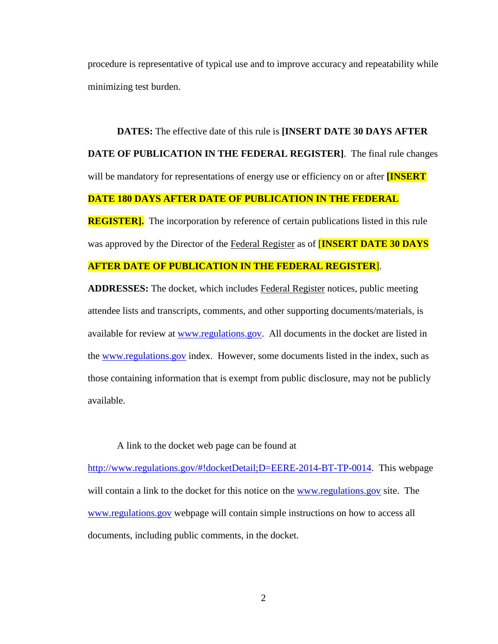procedure is representative of typical use and to improve accuracy and repeatability while minimizing test burden.

**DATES:** The effective date of this rule is **[INSERT DATE 30 DAYS AFTER DATE OF PUBLICATION IN THE FEDERAL REGISTER]**. The final rule changes will be mandatory for representations of energy use or efficiency on or after **[INSERT DATE 180 DAYS AFTER DATE OF PUBLICATION IN THE FEDERAL** 

**REGISTER].** The incorporation by reference of certain publications listed in this rule was approved by the Director of the Federal Register as of [**INSERT DATE 30 DAYS** 

# **AFTER DATE OF PUBLICATION IN THE FEDERAL REGISTER**].

**ADDRESSES:** The docket, which includes Federal Register notices, public meeting attendee lists and transcripts, comments, and other supporting documents/materials, is available for review at [www.regulations.gov.](http://www.regulations.gov/) All documents in the docket are listed in the [www.regulations.gov](http://www.regulations.gov/) index. However, some documents listed in the index, such as those containing information that is exempt from public disclosure, may not be publicly available.

## A link to the docket web page can be found at

[http://www.regulations.gov/#!docketDetail;D=EERE-2014-BT-TP-0014.](http://www.regulations.gov/#!docketDetail;D=EERE-2014-BT-TP-0014) This webpage will contain a link to the docket for this notice on the [www.regulations.gov](http://www.regulations.gov/) site. The [www.regulations.gov](http://www.regulations.gov/) webpage will contain simple instructions on how to access all documents, including public comments, in the docket.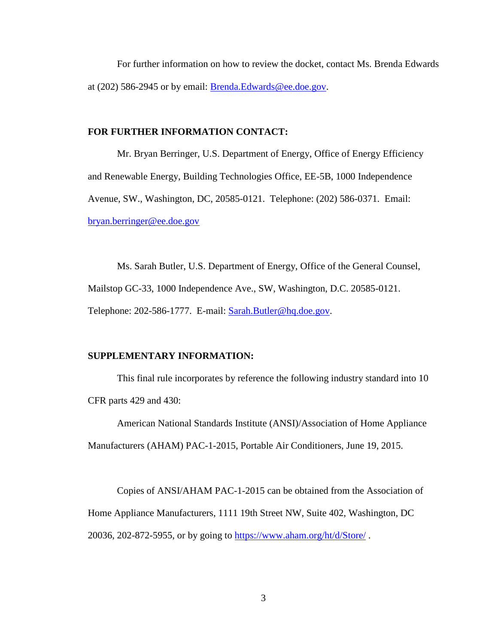For further information on how to review the docket, contact Ms. Brenda Edwards at (202) 586-2945 or by email: [Brenda.Edwards@ee.doe.gov.](mailto:Brenda.Edwards@ee.doe.gov)

## **FOR FURTHER INFORMATION CONTACT:**

Mr. Bryan Berringer, U.S. Department of Energy, Office of Energy Efficiency and Renewable Energy, Building Technologies Office, EE-5B, 1000 Independence Avenue, SW., Washington, DC, 20585-0121. Telephone: (202) 586-0371. Email: [bryan.berringer@ee.doe.gov](mailto:%20bryan.berringer@ee.doe.gov)

Ms. Sarah Butler, U.S. Department of Energy, Office of the General Counsel, Mailstop GC-33, 1000 Independence Ave., SW, Washington, D.C. 20585-0121. Telephone: 202-586-1777. E-mail: [Sarah.Butler@hq.doe.gov.](mailto:Sarah.Butler@hq.doe.gov)

#### **SUPPLEMENTARY INFORMATION:**

This final rule incorporates by reference the following industry standard into 10 CFR parts 429 and 430:

American National Standards Institute (ANSI)/Association of Home Appliance Manufacturers (AHAM) PAC-1-2015, Portable Air Conditioners, June 19, 2015.

Copies of ANSI/AHAM PAC-1-2015 can be obtained from the Association of Home Appliance Manufacturers, 1111 19th Street NW, Suite 402, Washington, DC 20036, 202-872-5955, or by going to<https://www.aham.org/ht/d/Store/> .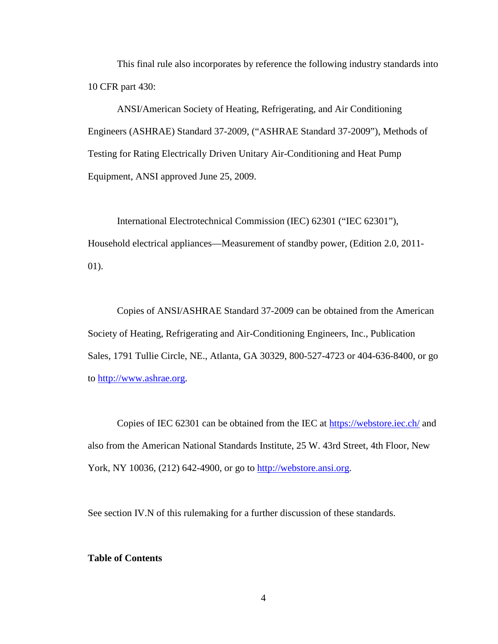This final rule also incorporates by reference the following industry standards into 10 CFR part 430:

ANSI/American Society of Heating, Refrigerating, and Air Conditioning Engineers (ASHRAE) Standard 37-2009, ("ASHRAE Standard 37-2009"), Methods of Testing for Rating Electrically Driven Unitary Air-Conditioning and Heat Pump Equipment, ANSI approved June 25, 2009.

International Electrotechnical Commission (IEC) 62301 ("IEC 62301"), Household electrical appliances—Measurement of standby power*,* (Edition 2.0, 2011- 01).

Copies of ANSI/ASHRAE Standard 37-2009 can be obtained from the American Society of Heating, Refrigerating and Air-Conditioning Engineers, Inc., Publication Sales, 1791 Tullie Circle, NE., Atlanta, GA 30329, 800-527-4723 or 404-636-8400, or go to [http://www.ashrae.org.](http://www.ashrae.org/)

Copies of IEC 62301 can be obtained from the IEC at<https://webstore.iec.ch/> and also from the American National Standards Institute, 25 W. 43rd Street, 4th Floor, New York, NY 10036, (212) 642-4900, or go to **http://webstore.ansi.org.** 

See section [IV.N](#page-95-0) of this rulemaking for a further discussion of these standards.

#### **Table of Contents**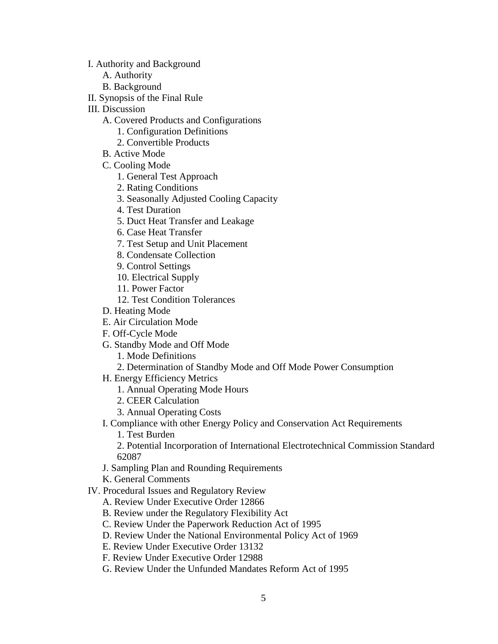[I. Authority and Background](#page-6-0)

- [A. Authority](#page-6-1)
- [B. Background](#page-8-0)
- [II. Synopsis of the Final Rule](#page-12-0)
- [III. Discussion](#page-12-1)
	- [A. Covered Products and Configurations](#page-14-0)
		- [1. Configuration Definitions](#page-15-0)
		- [2. Convertible Products](#page-23-0)
	- [B. Active Mode](#page-25-0)
	- [C. Cooling Mode](#page-25-1)
		- [1. General Test Approach](#page-25-2)
		- [2. Rating Conditions](#page-31-0)
		- [3. Seasonally Adjusted Cooling Capacity](#page-45-0)
		- [4. Test Duration](#page-49-0)
		- [5. Duct Heat Transfer and Leakage](#page-50-0)
		- [6. Case Heat Transfer](#page-55-0)
		- [7. Test Setup and Unit Placement](#page-58-0)
		- [8. Condensate Collection](#page-61-0)
		- [9. Control Settings](#page-62-0)
		- [10. Electrical Supply](#page-64-0)
		- [11. Power Factor](#page-64-1)
		- [12. Test Condition Tolerances](#page-66-0)
	- [D. Heating Mode](#page-66-1)
	- [E. Air Circulation Mode](#page-69-0)
	- [F. Off-Cycle Mode](#page-69-1)
	- [G. Standby Mode and Off Mode](#page-72-0)
		- [1. Mode Definitions](#page-72-1)
		- [2. Determination of Standby Mode and Off Mode Power Consumption](#page-73-0)
	- [H. Energy Efficiency Metrics](#page-74-0)
		- [1. Annual Operating Mode Hours](#page-74-1)
		- [2. CEER Calculation](#page-75-0)
		- [3. Annual Operating Costs](#page-77-0)
	- [I. Compliance with other Energy Policy and Conservation Act Requirements](#page-78-0)
		- [1. Test Burden](#page-78-1)

[2. Potential Incorporation of International Electrotechnical Commission Standard](#page-79-0)  [62087](#page-79-0)

- [J. Sampling Plan and Rounding Requirements](#page-80-0)
- [K. General Comments](#page-82-0)
- [IV. Procedural Issues and Regulatory Review](#page-82-1)
	- [A. Review Under Executive Order 12866](#page-82-2)
	- [B. Review under the Regulatory Flexibility Act](#page-83-0)
	- [C. Review Under the Paperwork Reduction Act of 1995](#page-88-0)
	- [D. Review Under the National Environmental Policy Act of 1969](#page-89-0)
	- [E. Review Under Executive Order 13132](#page-89-1)
	- [F. Review Under Executive Order 12988](#page-90-0)
	- [G. Review Under the Unfunded Mandates Reform Act of 1995](#page-91-0)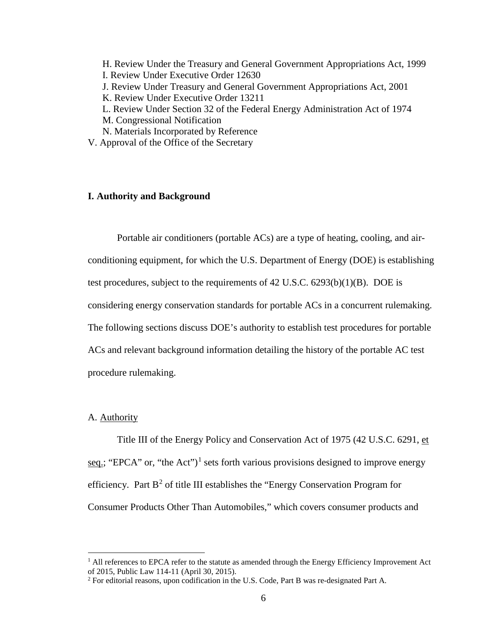[H. Review Under the Treasury and General Government Appropriations Act, 1999](#page-92-0) [I. Review Under Executive Order 12630](#page-92-1) [J. Review Under Treasury and General Government Appropriations Act, 2001](#page-93-0) [K. Review Under Executive Order 13211](#page-93-1) [L. Review Under Section 32 of the Federal Energy Administration Act of 1974](#page-94-0) [M. Congressional Notification](#page-95-1) [N. Materials Incorporated by Reference](#page-95-0)

V. Approval of the Office of the Secretary

## <span id="page-6-0"></span>**I. Authority and Background**

Portable air conditioners (portable ACs) are a type of heating, cooling, and airconditioning equipment, for which the U.S. Department of Energy (DOE) is establishing test procedures, subject to the requirements of  $42$  U.S.C.  $6293(b)(1)(B)$ . DOE is considering energy conservation standards for portable ACs in a concurrent rulemaking. The following sections discuss DOE's authority to establish test procedures for portable ACs and relevant background information detailing the history of the portable AC test procedure rulemaking.

## <span id="page-6-1"></span>A. Authority

Title III of the Energy Policy and Conservation Act of 1975 (42 U.S.C. 6291, et seq.; "EPCA" or, "the Act")<sup>[1](#page-6-2)</sup> sets forth various provisions designed to improve energy efficiency. Part  $B^2$  $B^2$  of title III establishes the "Energy Conservation Program for Consumer Products Other Than Automobiles," which covers consumer products and

<span id="page-6-2"></span> $<sup>1</sup>$  All references to EPCA refer to the statute as amended through the Energy Efficiency Improvement Act</sup> of 2015, Public Law 114-11 (April 30, 2015).

<span id="page-6-3"></span><sup>2</sup> For editorial reasons, upon codification in the U.S. Code, Part B was re-designated Part A.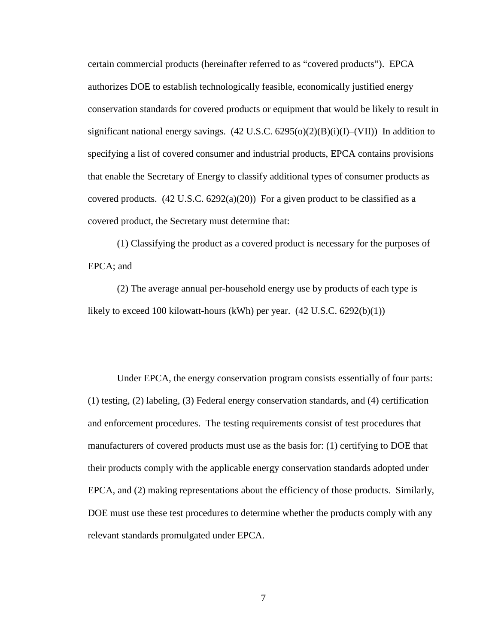certain commercial products (hereinafter referred to as "covered products"). EPCA authorizes DOE to establish technologically feasible, economically justified energy conservation standards for covered products or equipment that would be likely to result in significant national energy savings.  $(42 \text{ U.S.C. } 6295(o)(2)(B)(i)(I)–(VII))$  In addition to specifying a list of covered consumer and industrial products, EPCA contains provisions that enable the Secretary of Energy to classify additional types of consumer products as covered products.  $(42 \text{ U.S.C. } 6292(a)(20))$  For a given product to be classified as a covered product, the Secretary must determine that:

(1) Classifying the product as a covered product is necessary for the purposes of EPCA; and

(2) The average annual per-household energy use by products of each type is likely to exceed 100 kilowatt-hours (kWh) per year.  $(42 \text{ U.S.C. } 6292(b)(1))$ 

Under EPCA, the energy conservation program consists essentially of four parts: (1) testing, (2) labeling, (3) Federal energy conservation standards, and (4) certification and enforcement procedures. The testing requirements consist of test procedures that manufacturers of covered products must use as the basis for: (1) certifying to DOE that their products comply with the applicable energy conservation standards adopted under EPCA, and (2) making representations about the efficiency of those products. Similarly, DOE must use these test procedures to determine whether the products comply with any relevant standards promulgated under EPCA.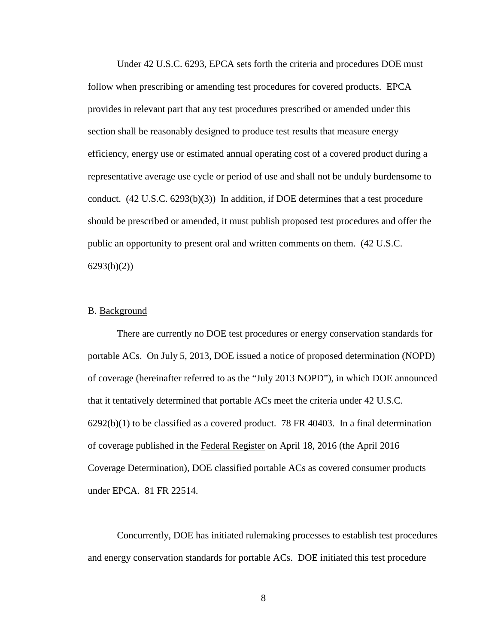Under 42 U.S.C. 6293, EPCA sets forth the criteria and procedures DOE must follow when prescribing or amending test procedures for covered products. EPCA provides in relevant part that any test procedures prescribed or amended under this section shall be reasonably designed to produce test results that measure energy efficiency, energy use or estimated annual operating cost of a covered product during a representative average use cycle or period of use and shall not be unduly burdensome to conduct. (42 U.S.C. 6293(b)(3)) In addition, if DOE determines that a test procedure should be prescribed or amended, it must publish proposed test procedures and offer the public an opportunity to present oral and written comments on them. (42 U.S.C.  $6293(b)(2)$ 

#### <span id="page-8-0"></span>B. Background

There are currently no DOE test procedures or energy conservation standards for portable ACs. On July 5, 2013, DOE issued a notice of proposed determination (NOPD) of coverage (hereinafter referred to as the "July 2013 NOPD"), in which DOE announced that it tentatively determined that portable ACs meet the criteria under 42 U.S.C.  $6292(b)(1)$  to be classified as a covered product. 78 FR 40403. In a final determination of coverage published in the Federal Register on April 18, 2016 (the April 2016 Coverage Determination), DOE classified portable ACs as covered consumer products under EPCA. 81 FR 22514.

Concurrently, DOE has initiated rulemaking processes to establish test procedures and energy conservation standards for portable ACs. DOE initiated this test procedure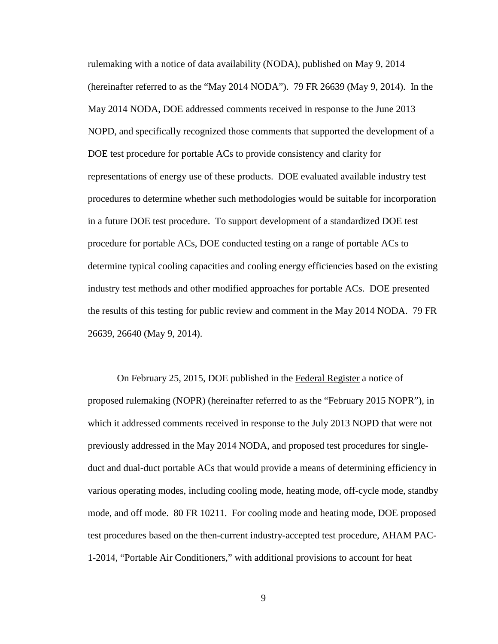rulemaking with a notice of data availability (NODA), published on May 9, 2014 (hereinafter referred to as the "May 2014 NODA"). 79 FR 26639 (May 9, 2014). In the May 2014 NODA, DOE addressed comments received in response to the June 2013 NOPD, and specifically recognized those comments that supported the development of a DOE test procedure for portable ACs to provide consistency and clarity for representations of energy use of these products. DOE evaluated available industry test procedures to determine whether such methodologies would be suitable for incorporation in a future DOE test procedure. To support development of a standardized DOE test procedure for portable ACs, DOE conducted testing on a range of portable ACs to determine typical cooling capacities and cooling energy efficiencies based on the existing industry test methods and other modified approaches for portable ACs. DOE presented the results of this testing for public review and comment in the May 2014 NODA. 79 FR 26639, 26640 (May 9, 2014).

On February 25, 2015, DOE published in the Federal Register a notice of proposed rulemaking (NOPR) (hereinafter referred to as the "February 2015 NOPR"), in which it addressed comments received in response to the July 2013 NOPD that were not previously addressed in the May 2014 NODA, and proposed test procedures for singleduct and dual-duct portable ACs that would provide a means of determining efficiency in various operating modes, including cooling mode, heating mode, off-cycle mode, standby mode, and off mode. 80 FR 10211. For cooling mode and heating mode, DOE proposed test procedures based on the then-current industry-accepted test procedure, AHAM PAC-1-2014, "Portable Air Conditioners," with additional provisions to account for heat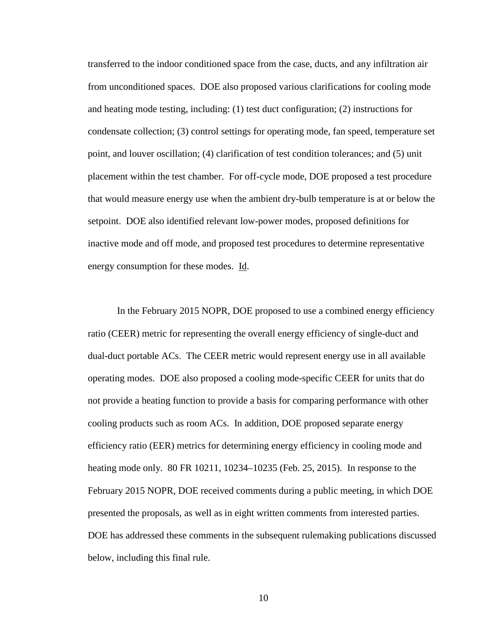transferred to the indoor conditioned space from the case, ducts, and any infiltration air from unconditioned spaces. DOE also proposed various clarifications for cooling mode and heating mode testing, including: (1) test duct configuration; (2) instructions for condensate collection; (3) control settings for operating mode, fan speed, temperature set point, and louver oscillation; (4) clarification of test condition tolerances; and (5) unit placement within the test chamber. For off-cycle mode, DOE proposed a test procedure that would measure energy use when the ambient dry-bulb temperature is at or below the setpoint. DOE also identified relevant low-power modes, proposed definitions for inactive mode and off mode, and proposed test procedures to determine representative energy consumption for these modes. Id.

In the February 2015 NOPR, DOE proposed to use a combined energy efficiency ratio (CEER) metric for representing the overall energy efficiency of single-duct and dual-duct portable ACs. The CEER metric would represent energy use in all available operating modes. DOE also proposed a cooling mode-specific CEER for units that do not provide a heating function to provide a basis for comparing performance with other cooling products such as room ACs. In addition, DOE proposed separate energy efficiency ratio (EER) metrics for determining energy efficiency in cooling mode and heating mode only. 80 FR 10211, 10234–10235 (Feb. 25, 2015). In response to the February 2015 NOPR, DOE received comments during a public meeting, in which DOE presented the proposals, as well as in eight written comments from interested parties. DOE has addressed these comments in the subsequent rulemaking publications discussed below, including this final rule.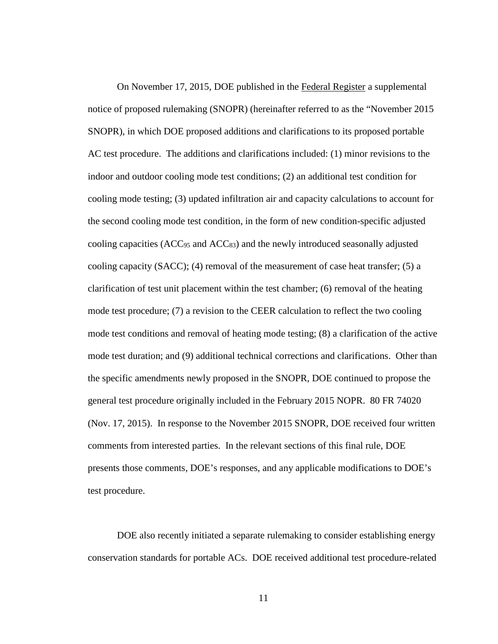On November 17, 2015, DOE published in the Federal Register a supplemental notice of proposed rulemaking (SNOPR) (hereinafter referred to as the "November 2015 SNOPR), in which DOE proposed additions and clarifications to its proposed portable AC test procedure. The additions and clarifications included: (1) minor revisions to the indoor and outdoor cooling mode test conditions; (2) an additional test condition for cooling mode testing; (3) updated infiltration air and capacity calculations to account for the second cooling mode test condition, in the form of new condition-specific adjusted cooling capacities ( $ACC<sub>95</sub>$  and  $ACC<sub>83</sub>$ ) and the newly introduced seasonally adjusted cooling capacity (SACC); (4) removal of the measurement of case heat transfer; (5) a clarification of test unit placement within the test chamber; (6) removal of the heating mode test procedure; (7) a revision to the CEER calculation to reflect the two cooling mode test conditions and removal of heating mode testing; (8) a clarification of the active mode test duration; and (9) additional technical corrections and clarifications. Other than the specific amendments newly proposed in the SNOPR, DOE continued to propose the general test procedure originally included in the February 2015 NOPR. 80 FR 74020 (Nov. 17, 2015). In response to the November 2015 SNOPR, DOE received four written comments from interested parties. In the relevant sections of this final rule, DOE presents those comments, DOE's responses, and any applicable modifications to DOE's test procedure.

DOE also recently initiated a separate rulemaking to consider establishing energy conservation standards for portable ACs. DOE received additional test procedure-related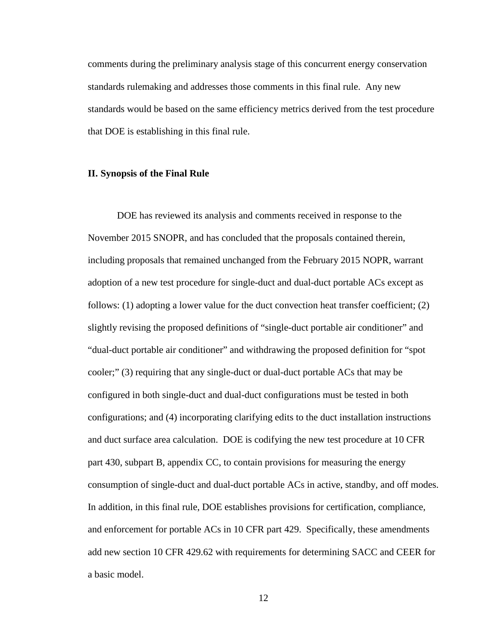comments during the preliminary analysis stage of this concurrent energy conservation standards rulemaking and addresses those comments in this final rule. Any new standards would be based on the same efficiency metrics derived from the test procedure that DOE is establishing in this final rule.

#### <span id="page-12-0"></span>**II. Synopsis of the Final Rule**

<span id="page-12-1"></span>DOE has reviewed its analysis and comments received in response to the November 2015 SNOPR, and has concluded that the proposals contained therein, including proposals that remained unchanged from the February 2015 NOPR, warrant adoption of a new test procedure for single-duct and dual-duct portable ACs except as follows: (1) adopting a lower value for the duct convection heat transfer coefficient; (2) slightly revising the proposed definitions of "single-duct portable air conditioner" and "dual-duct portable air conditioner" and withdrawing the proposed definition for "spot cooler;" (3) requiring that any single-duct or dual-duct portable ACs that may be configured in both single-duct and dual-duct configurations must be tested in both configurations; and (4) incorporating clarifying edits to the duct installation instructions and duct surface area calculation. DOE is codifying the new test procedure at 10 CFR part 430, subpart B, appendix CC, to contain provisions for measuring the energy consumption of single-duct and dual-duct portable ACs in active, standby, and off modes. In addition, in this final rule, DOE establishes provisions for certification, compliance, and enforcement for portable ACs in 10 CFR part 429. Specifically, these amendments add new section 10 CFR 429.62 with requirements for determining SACC and CEER for a basic model.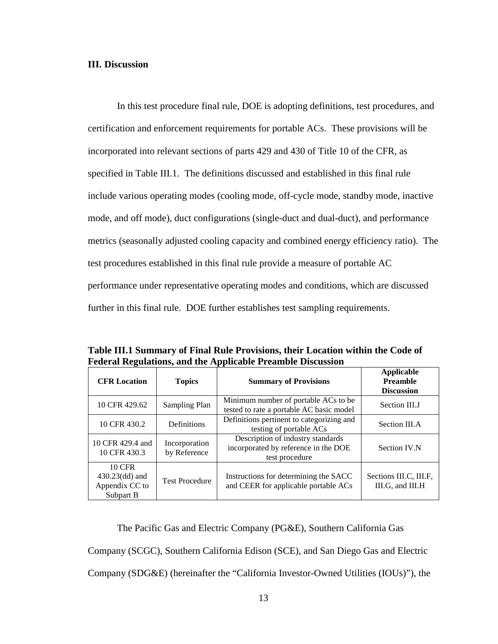## **III. Discussion**

In this test procedure final rule, DOE is adopting definitions, test procedures, and certification and enforcement requirements for portable ACs. These provisions will be incorporated into relevant sections of parts 429 and 430 of Title 10 of the CFR, as specified in [Table III.1.](#page-13-0) The definitions discussed and established in this final rule include various operating modes (cooling mode, off-cycle mode, standby mode, inactive mode, and off mode), duct configurations (single-duct and dual-duct), and performance metrics (seasonally adjusted cooling capacity and combined energy efficiency ratio). The test procedures established in this final rule provide a measure of portable AC performance under representative operating modes and conditions, which are discussed further in this final rule. DOE further establishes test sampling requirements.

<span id="page-13-0"></span>**Table III.1 Summary of Final Rule Provisions, their Location within the Code of Federal Regulations, and the Applicable Preamble Discussion**

| <b>CFR</b> Location                                        | <b>Topics</b>                 | <b>Summary of Provisions</b>                                                                | <b>Applicable</b><br><b>Preamble</b><br><b>Discussion</b> |
|------------------------------------------------------------|-------------------------------|---------------------------------------------------------------------------------------------|-----------------------------------------------------------|
| 10 CFR 429.62                                              | Sampling Plan                 | Minimum number of portable ACs to be<br>tested to rate a portable AC basic model            | Section III.J                                             |
| 10 CFR 430.2                                               | Definitions                   | Definitions pertinent to categorizing and<br>testing of portable ACs                        | Section III.A                                             |
| 10 CFR 429.4 and<br>10 CFR 430.3                           | Incorporation<br>by Reference | Description of industry standards<br>incorporated by reference in the DOE<br>test procedure | Section IV.N                                              |
| 10 CFR<br>$430.23$ (dd) and<br>Appendix CC to<br>Subpart B | <b>Test Procedure</b>         | Instructions for determining the SACC<br>and CEER for applicable portable ACs               | Sections III.C, III.F.<br>III.G, and III.H                |

The Pacific Gas and Electric Company (PG&E), Southern California Gas Company (SCGC), Southern California Edison (SCE), and San Diego Gas and Electric Company (SDG&E) (hereinafter the "California Investor-Owned Utilities (IOUs)"), the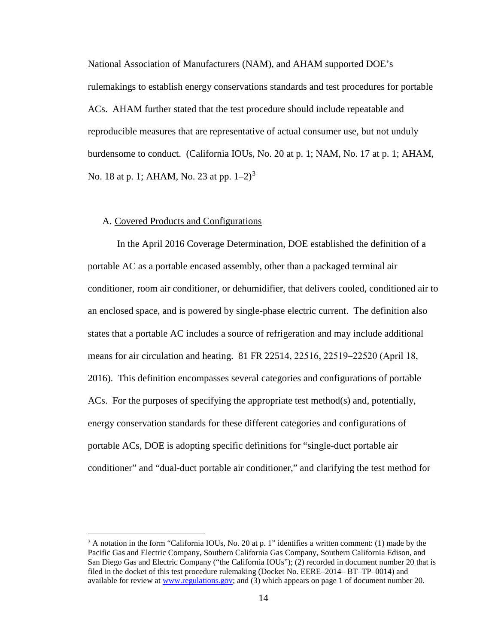National Association of Manufacturers (NAM), and AHAM supported DOE's rulemakings to establish energy conservations standards and test procedures for portable ACs. AHAM further stated that the test procedure should include repeatable and reproducible measures that are representative of actual consumer use, but not unduly burdensome to conduct. (California IOUs, No. 20 at p. 1; NAM, No. 17 at p. 1; AHAM, No. 18 at p. 1; AHAM, No. 2[3](#page-14-1) at pp.  $1-2$ )<sup>3</sup>

## <span id="page-14-0"></span>A. Covered Products and Configurations

In the April 2016 Coverage Determination, DOE established the definition of a portable AC as a portable encased assembly, other than a packaged terminal air conditioner, room air conditioner, or dehumidifier, that delivers cooled, conditioned air to an enclosed space, and is powered by single-phase electric current. The definition also states that a portable AC includes a source of refrigeration and may include additional means for air circulation and heating.  $81$  FR  $22514$ ,  $22516$ ,  $22519-22520$  (April 18, 2016). This definition encompasses several categories and configurations of portable ACs. For the purposes of specifying the appropriate test method(s) and, potentially, energy conservation standards for these different categories and configurations of portable ACs, DOE is adopting specific definitions for "single-duct portable air conditioner" and "dual-duct portable air conditioner," and clarifying the test method for

<span id="page-14-1"></span> $3$  A notation in the form "California IOUs, No. 20 at p. 1" identifies a written comment: (1) made by the Pacific Gas and Electric Company, Southern California Gas Company, Southern California Edison, and San Diego Gas and Electric Company ("the California IOUs"); (2) recorded in document number 20 that is filed in the docket of this test procedure rulemaking (Docket No. EERE–2014– BT–TP–0014) and available for review at [www.regulations.gov;](http://www.regulations.gov/) and (3) which appears on page 1 of document number 20.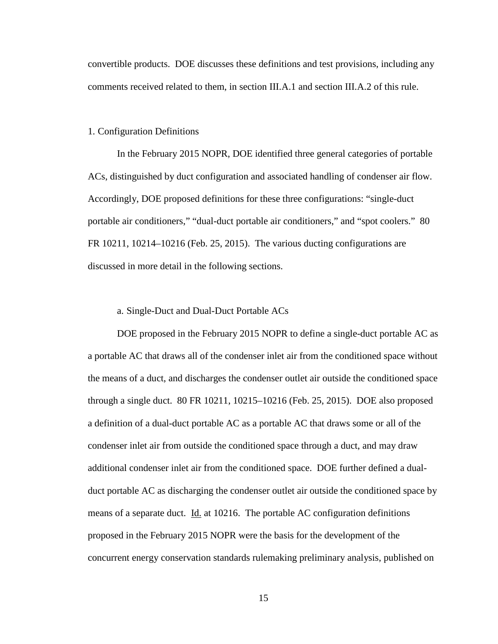convertible products. DOE discusses these definitions and test provisions, including any comments received related to them, in section [III.A.1](#page-15-0) and section [III.A.2](#page-23-0) of this rule.

#### <span id="page-15-0"></span>1. Configuration Definitions

In the February 2015 NOPR, DOE identified three general categories of portable ACs, distinguished by duct configuration and associated handling of condenser air flow. Accordingly, DOE proposed definitions for these three configurations: "single-duct portable air conditioners," "dual-duct portable air conditioners," and "spot coolers." 80 FR 10211, 10214–10216 (Feb. 25, 2015). The various ducting configurations are discussed in more detail in the following sections.

#### a. Single-Duct and Dual-Duct Portable ACs

<span id="page-15-1"></span>DOE proposed in the February 2015 NOPR to define a single-duct portable AC as a portable AC that draws all of the condenser inlet air from the conditioned space without the means of a duct, and discharges the condenser outlet air outside the conditioned space through a single duct. 80 FR 10211, 10215–10216 (Feb. 25, 2015). DOE also proposed a definition of a dual-duct portable AC as a portable AC that draws some or all of the condenser inlet air from outside the conditioned space through a duct, and may draw additional condenser inlet air from the conditioned space. DOE further defined a dualduct portable AC as discharging the condenser outlet air outside the conditioned space by means of a separate duct. Id. at 10216. The portable AC configuration definitions proposed in the February 2015 NOPR were the basis for the development of the concurrent energy conservation standards rulemaking preliminary analysis, published on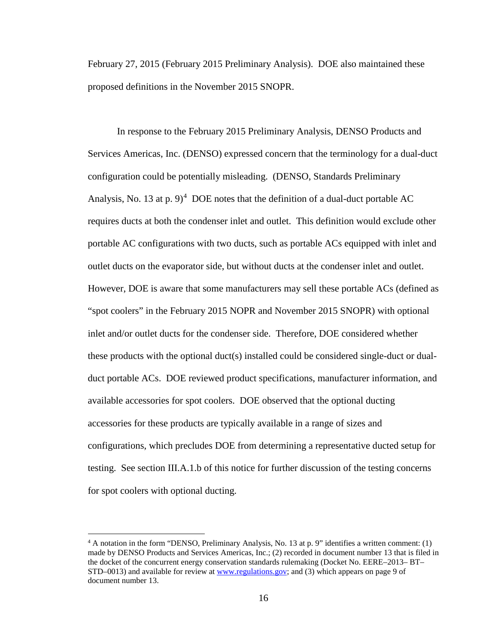February 27, 2015 (February 2015 Preliminary Analysis). DOE also maintained these proposed definitions in the November 2015 SNOPR.

In response to the February 2015 Preliminary Analysis, DENSO Products and Services Americas, Inc. (DENSO) expressed concern that the terminology for a dual-duct configuration could be potentially misleading. (DENSO, Standards Preliminary Analysis, No. 13 at p. 9)<sup>[4](#page-16-0)</sup> DOE notes that the definition of a dual-duct portable AC requires ducts at both the condenser inlet and outlet. This definition would exclude other portable AC configurations with two ducts, such as portable ACs equipped with inlet and outlet ducts on the evaporator side, but without ducts at the condenser inlet and outlet. However, DOE is aware that some manufacturers may sell these portable ACs (defined as "spot coolers" in the February 2015 NOPR and November 2015 SNOPR) with optional inlet and/or outlet ducts for the condenser side. Therefore, DOE considered whether these products with the optional duct(s) installed could be considered single-duct or dualduct portable ACs. DOE reviewed product specifications, manufacturer information, and available accessories for spot coolers. DOE observed that the optional ducting accessories for these products are typically available in a range of sizes and configurations, which precludes DOE from determining a representative ducted setup for testing. See section [III.A.1.b](#page-18-0) of this notice for further discussion of the testing concerns for spot coolers with optional ducting.

<span id="page-16-0"></span> $4$  A notation in the form "DENSO, Preliminary Analysis, No. 13 at p. 9" identifies a written comment: (1) made by DENSO Products and Services Americas, Inc.; (2) recorded in document number 13 that is filed in the docket of the concurrent energy conservation standards rulemaking (Docket No. EERE–2013– BT– STD–0013) and available for review at [www.regulations.gov;](http://www.regulations.gov/) and (3) which appears on page 9 of document number 13.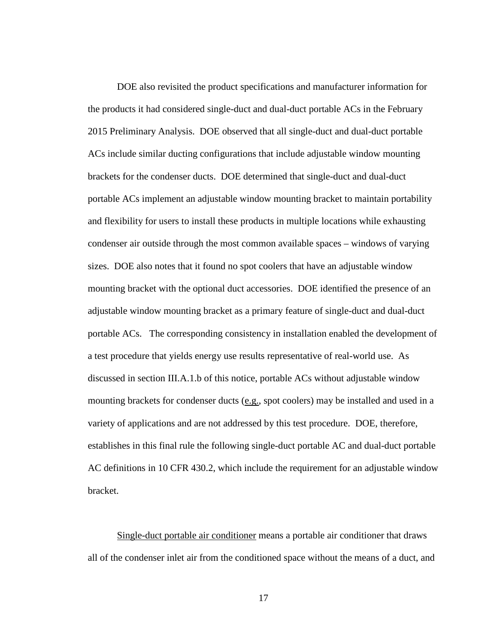DOE also revisited the product specifications and manufacturer information for the products it had considered single-duct and dual-duct portable ACs in the February 2015 Preliminary Analysis. DOE observed that all single-duct and dual-duct portable ACs include similar ducting configurations that include adjustable window mounting brackets for the condenser ducts. DOE determined that single-duct and dual-duct portable ACs implement an adjustable window mounting bracket to maintain portability and flexibility for users to install these products in multiple locations while exhausting condenser air outside through the most common available spaces – windows of varying sizes. DOE also notes that it found no spot coolers that have an adjustable window mounting bracket with the optional duct accessories. DOE identified the presence of an adjustable window mounting bracket as a primary feature of single-duct and dual-duct portable ACs. The corresponding consistency in installation enabled the development of a test procedure that yields energy use results representative of real-world use. As discussed in section [III.A.1.b](#page-18-0) of this notice, portable ACs without adjustable window mounting brackets for condenser ducts (e.g., spot coolers) may be installed and used in a variety of applications and are not addressed by this test procedure. DOE, therefore, establishes in this final rule the following single-duct portable AC and dual-duct portable AC definitions in 10 CFR 430.2, which include the requirement for an adjustable window bracket.

Single-duct portable air conditioner means a portable air conditioner that draws all of the condenser inlet air from the conditioned space without the means of a duct, and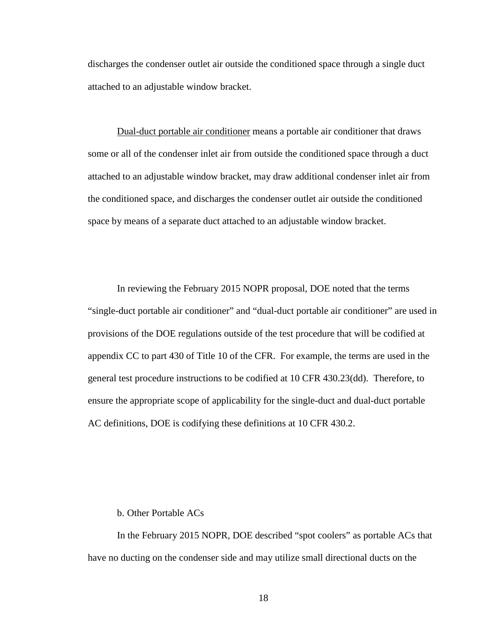discharges the condenser outlet air outside the conditioned space through a single duct attached to an adjustable window bracket.

Dual-duct portable air conditioner means a portable air conditioner that draws some or all of the condenser inlet air from outside the conditioned space through a duct attached to an adjustable window bracket, may draw additional condenser inlet air from the conditioned space, and discharges the condenser outlet air outside the conditioned space by means of a separate duct attached to an adjustable window bracket.

In reviewing the February 2015 NOPR proposal, DOE noted that the terms "single-duct portable air conditioner" and "dual-duct portable air conditioner" are used in provisions of the DOE regulations outside of the test procedure that will be codified at appendix CC to part 430 of Title 10 of the CFR. For example, the terms are used in the general test procedure instructions to be codified at 10 CFR 430.23(dd). Therefore, to ensure the appropriate scope of applicability for the single-duct and dual-duct portable AC definitions, DOE is codifying these definitions at 10 CFR 430.2.

#### b. Other Portable ACs

<span id="page-18-0"></span>In the February 2015 NOPR, DOE described "spot coolers" as portable ACs that have no ducting on the condenser side and may utilize small directional ducts on the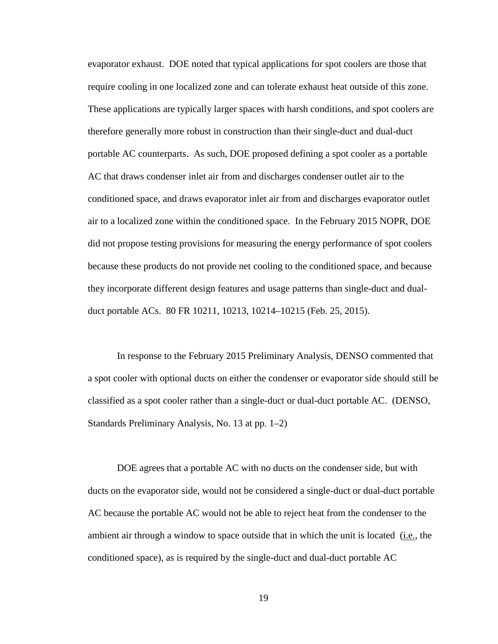evaporator exhaust. DOE noted that typical applications for spot coolers are those that require cooling in one localized zone and can tolerate exhaust heat outside of this zone. These applications are typically larger spaces with harsh conditions, and spot coolers are therefore generally more robust in construction than their single-duct and dual-duct portable AC counterparts. As such, DOE proposed defining a spot cooler as a portable AC that draws condenser inlet air from and discharges condenser outlet air to the conditioned space, and draws evaporator inlet air from and discharges evaporator outlet air to a localized zone within the conditioned space. In the February 2015 NOPR, DOE did not propose testing provisions for measuring the energy performance of spot coolers because these products do not provide net cooling to the conditioned space, and because they incorporate different design features and usage patterns than single-duct and dualduct portable ACs. 80 FR 10211, 10213, 10214–10215 (Feb. 25, 2015).

In response to the February 2015 Preliminary Analysis, DENSO commented that a spot cooler with optional ducts on either the condenser or evaporator side should still be classified as a spot cooler rather than a single-duct or dual-duct portable AC. (DENSO, Standards Preliminary Analysis, No. 13 at pp. 1–2)

DOE agrees that a portable AC with no ducts on the condenser side, but with ducts on the evaporator side, would not be considered a single-duct or dual-duct portable AC because the portable AC would not be able to reject heat from the condenser to the ambient air through a window to space outside that in which the unit is located  $(i.e.,$  the conditioned space), as is required by the single-duct and dual-duct portable AC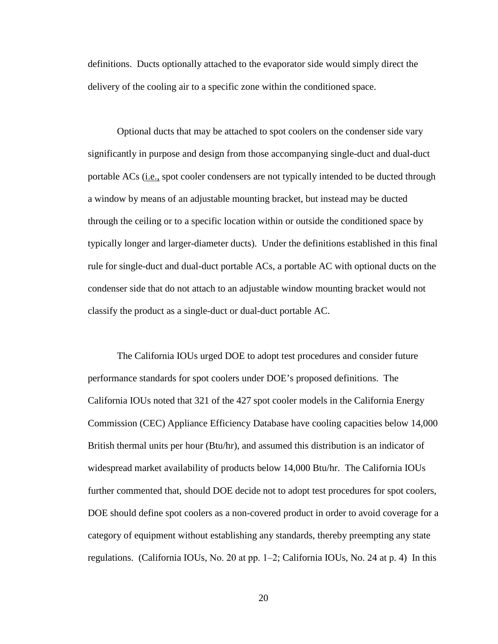definitions. Ducts optionally attached to the evaporator side would simply direct the delivery of the cooling air to a specific zone within the conditioned space.

Optional ducts that may be attached to spot coolers on the condenser side vary significantly in purpose and design from those accompanying single-duct and dual-duct portable ACs (i.e., spot cooler condensers are not typically intended to be ducted through a window by means of an adjustable mounting bracket, but instead may be ducted through the ceiling or to a specific location within or outside the conditioned space by typically longer and larger-diameter ducts). Under the definitions established in this final rule for single-duct and dual-duct portable ACs, a portable AC with optional ducts on the condenser side that do not attach to an adjustable window mounting bracket would not classify the product as a single-duct or dual-duct portable AC.

The California IOUs urged DOE to adopt test procedures and consider future performance standards for spot coolers under DOE's proposed definitions. The California IOUs noted that 321 of the 427 spot cooler models in the California Energy Commission (CEC) Appliance Efficiency Database have cooling capacities below 14,000 British thermal units per hour (Btu/hr), and assumed this distribution is an indicator of widespread market availability of products below 14,000 Btu/hr. The California IOUs further commented that, should DOE decide not to adopt test procedures for spot coolers, DOE should define spot coolers as a non-covered product in order to avoid coverage for a category of equipment without establishing any standards, thereby preempting any state regulations. (California IOUs, No. 20 at pp. 1‒2; California IOUs, No. 24 at p. 4) In this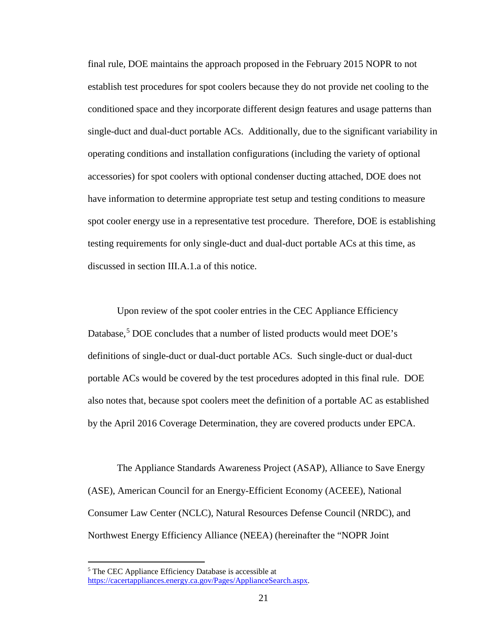final rule, DOE maintains the approach proposed in the February 2015 NOPR to not establish test procedures for spot coolers because they do not provide net cooling to the conditioned space and they incorporate different design features and usage patterns than single-duct and dual-duct portable ACs. Additionally, due to the significant variability in operating conditions and installation configurations (including the variety of optional accessories) for spot coolers with optional condenser ducting attached, DOE does not have information to determine appropriate test setup and testing conditions to measure spot cooler energy use in a representative test procedure. Therefore, DOE is establishing testing requirements for only single-duct and dual-duct portable ACs at this time, as discussed in section [III.A.1.a](#page-15-1) of this notice.

Upon review of the spot cooler entries in the CEC Appliance Efficiency Database,<sup>[5](#page-21-0)</sup> DOE concludes that a number of listed products would meet DOE's definitions of single-duct or dual-duct portable ACs. Such single-duct or dual-duct portable ACs would be covered by the test procedures adopted in this final rule. DOE also notes that, because spot coolers meet the definition of a portable AC as established by the April 2016 Coverage Determination, they are covered products under EPCA.

The Appliance Standards Awareness Project (ASAP), Alliance to Save Energy (ASE), American Council for an Energy-Efficient Economy (ACEEE), National Consumer Law Center (NCLC), Natural Resources Defense Council (NRDC), and Northwest Energy Efficiency Alliance (NEEA) (hereinafter the "NOPR Joint

<span id="page-21-0"></span> <sup>5</sup> The CEC Appliance Efficiency Database is accessible at [https://cacertappliances.energy.ca.gov/Pages/ApplianceSearch.aspx.](https://cacertappliances.energy.ca.gov/Pages/ApplianceSearch.aspx)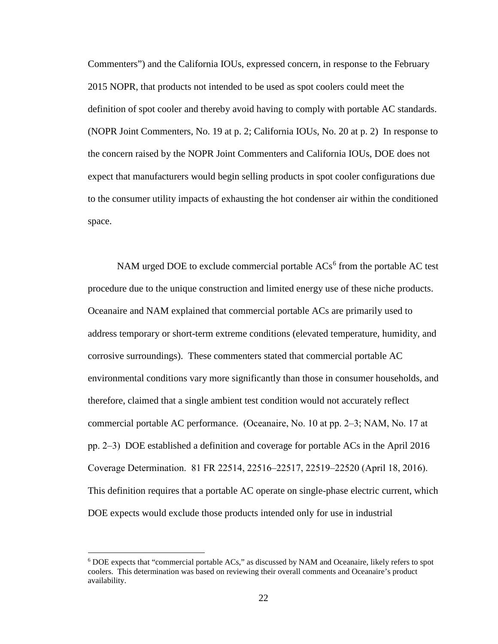Commenters") and the California IOUs, expressed concern, in response to the February 2015 NOPR, that products not intended to be used as spot coolers could meet the definition of spot cooler and thereby avoid having to comply with portable AC standards. (NOPR Joint Commenters, No. 19 at p. 2; California IOUs, No. 20 at p. 2) In response to the concern raised by the NOPR Joint Commenters and California IOUs, DOE does not expect that manufacturers would begin selling products in spot cooler configurations due to the consumer utility impacts of exhausting the hot condenser air within the conditioned space.

NAM urged DOE to exclude commercial portable  $ACs<sup>6</sup>$  $ACs<sup>6</sup>$  $ACs<sup>6</sup>$  from the portable AC test procedure due to the unique construction and limited energy use of these niche products. Oceanaire and NAM explained that commercial portable ACs are primarily used to address temporary or short-term extreme conditions (elevated temperature, humidity, and corrosive surroundings). These commenters stated that commercial portable AC environmental conditions vary more significantly than those in consumer households, and therefore, claimed that a single ambient test condition would not accurately reflect commercial portable AC performance. (Oceanaire, No. 10 at pp. 2‒3; NAM, No. 17 at pp. 2‒3) DOE established a definition and coverage for portable ACs in the April 2016 Coverage Determination. 81 FR 22514, 22516–22517, 22519–22520 (April 18, 2016). This definition requires that a portable AC operate on single-phase electric current, which DOE expects would exclude those products intended only for use in industrial

<span id="page-22-0"></span> <sup>6</sup> DOE expects that "commercial portable ACs," as discussed by NAM and Oceanaire, likely refers to spot coolers. This determination was based on reviewing their overall comments and Oceanaire's product availability.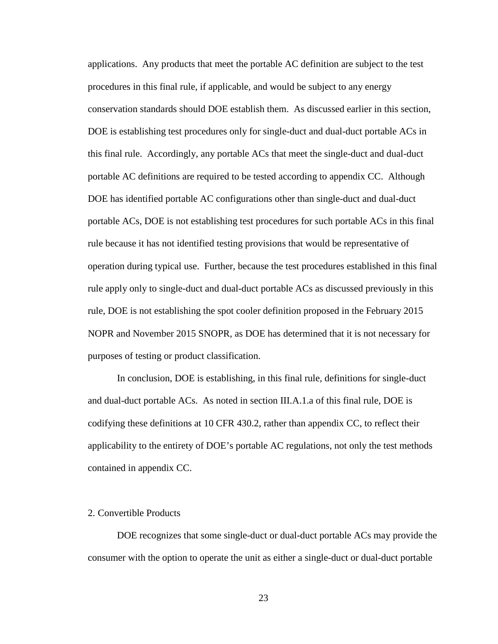applications. Any products that meet the portable AC definition are subject to the test procedures in this final rule, if applicable, and would be subject to any energy conservation standards should DOE establish them. As discussed earlier in this section, DOE is establishing test procedures only for single-duct and dual-duct portable ACs in this final rule. Accordingly, any portable ACs that meet the single-duct and dual-duct portable AC definitions are required to be tested according to appendix CC. Although DOE has identified portable AC configurations other than single-duct and dual-duct portable ACs, DOE is not establishing test procedures for such portable ACs in this final rule because it has not identified testing provisions that would be representative of operation during typical use. Further, because the test procedures established in this final rule apply only to single-duct and dual-duct portable ACs as discussed previously in this rule, DOE is not establishing the spot cooler definition proposed in the February 2015 NOPR and November 2015 SNOPR, as DOE has determined that it is not necessary for purposes of testing or product classification.

In conclusion, DOE is establishing, in this final rule, definitions for single-duct and dual-duct portable ACs. As noted in section [III.A.1.a](#page-15-1) of this final rule, DOE is codifying these definitions at 10 CFR 430.2, rather than appendix CC, to reflect their applicability to the entirety of DOE's portable AC regulations, not only the test methods contained in appendix CC.

#### <span id="page-23-0"></span>2. Convertible Products

DOE recognizes that some single-duct or dual-duct portable ACs may provide the consumer with the option to operate the unit as either a single-duct or dual-duct portable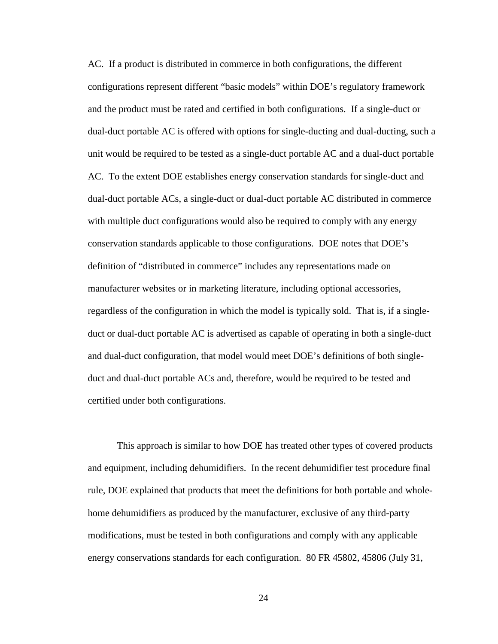AC. If a product is distributed in commerce in both configurations, the different configurations represent different "basic models" within DOE's regulatory framework and the product must be rated and certified in both configurations. If a single-duct or dual-duct portable AC is offered with options for single-ducting and dual-ducting, such a unit would be required to be tested as a single-duct portable AC and a dual-duct portable AC. To the extent DOE establishes energy conservation standards for single-duct and dual-duct portable ACs, a single-duct or dual-duct portable AC distributed in commerce with multiple duct configurations would also be required to comply with any energy conservation standards applicable to those configurations. DOE notes that DOE's definition of "distributed in commerce" includes any representations made on manufacturer websites or in marketing literature, including optional accessories, regardless of the configuration in which the model is typically sold. That is, if a singleduct or dual-duct portable AC is advertised as capable of operating in both a single-duct and dual-duct configuration, that model would meet DOE's definitions of both singleduct and dual-duct portable ACs and, therefore, would be required to be tested and certified under both configurations.

This approach is similar to how DOE has treated other types of covered products and equipment, including dehumidifiers. In the recent dehumidifier test procedure final rule, DOE explained that products that meet the definitions for both portable and wholehome dehumidifiers as produced by the manufacturer, exclusive of any third-party modifications, must be tested in both configurations and comply with any applicable energy conservations standards for each configuration. 80 FR 45802, 45806 (July 31,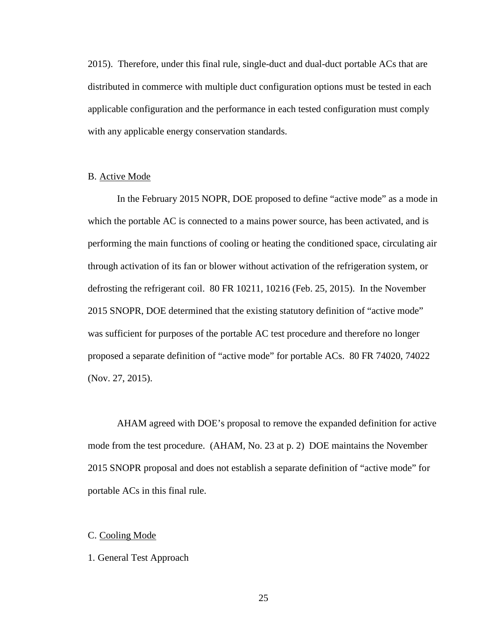2015). Therefore, under this final rule, single-duct and dual-duct portable ACs that are distributed in commerce with multiple duct configuration options must be tested in each applicable configuration and the performance in each tested configuration must comply with any applicable energy conservation standards.

## <span id="page-25-0"></span>B. Active Mode

In the February 2015 NOPR, DOE proposed to define "active mode" as a mode in which the portable AC is connected to a mains power source, has been activated, and is performing the main functions of cooling or heating the conditioned space, circulating air through activation of its fan or blower without activation of the refrigeration system, or defrosting the refrigerant coil. 80 FR 10211, 10216 (Feb. 25, 2015). In the November 2015 SNOPR, DOE determined that the existing statutory definition of "active mode" was sufficient for purposes of the portable AC test procedure and therefore no longer proposed a separate definition of "active mode" for portable ACs. 80 FR 74020, 74022 (Nov. 27, 2015).

AHAM agreed with DOE's proposal to remove the expanded definition for active mode from the test procedure. (AHAM, No. 23 at p. 2) DOE maintains the November 2015 SNOPR proposal and does not establish a separate definition of "active mode" for portable ACs in this final rule.

## <span id="page-25-1"></span>C. Cooling Mode

#### <span id="page-25-2"></span>1. General Test Approach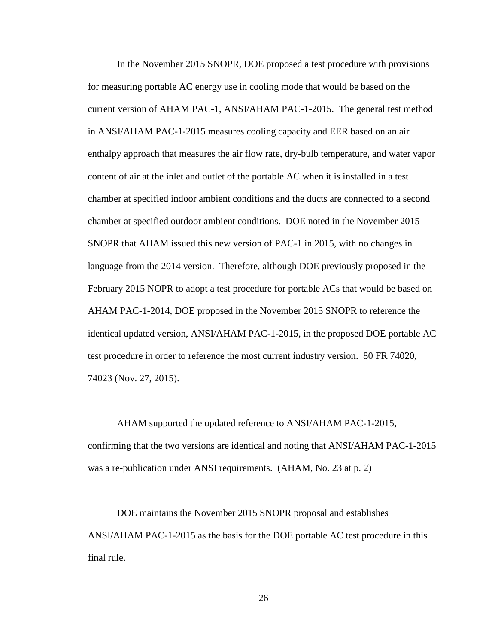In the November 2015 SNOPR, DOE proposed a test procedure with provisions for measuring portable AC energy use in cooling mode that would be based on the current version of AHAM PAC-1, ANSI/AHAM PAC-1-2015. The general test method in ANSI/AHAM PAC-1-2015 measures cooling capacity and EER based on an air enthalpy approach that measures the air flow rate, dry-bulb temperature, and water vapor content of air at the inlet and outlet of the portable AC when it is installed in a test chamber at specified indoor ambient conditions and the ducts are connected to a second chamber at specified outdoor ambient conditions. DOE noted in the November 2015 SNOPR that AHAM issued this new version of PAC-1 in 2015, with no changes in language from the 2014 version. Therefore, although DOE previously proposed in the February 2015 NOPR to adopt a test procedure for portable ACs that would be based on AHAM PAC-1-2014, DOE proposed in the November 2015 SNOPR to reference the identical updated version, ANSI/AHAM PAC-1-2015, in the proposed DOE portable AC test procedure in order to reference the most current industry version. 80 FR 74020, 74023 (Nov. 27, 2015).

AHAM supported the updated reference to ANSI/AHAM PAC-1-2015, confirming that the two versions are identical and noting that ANSI/AHAM PAC-1-2015 was a re-publication under ANSI requirements. (AHAM, No. 23 at p. 2)

DOE maintains the November 2015 SNOPR proposal and establishes ANSI/AHAM PAC-1-2015 as the basis for the DOE portable AC test procedure in this final rule.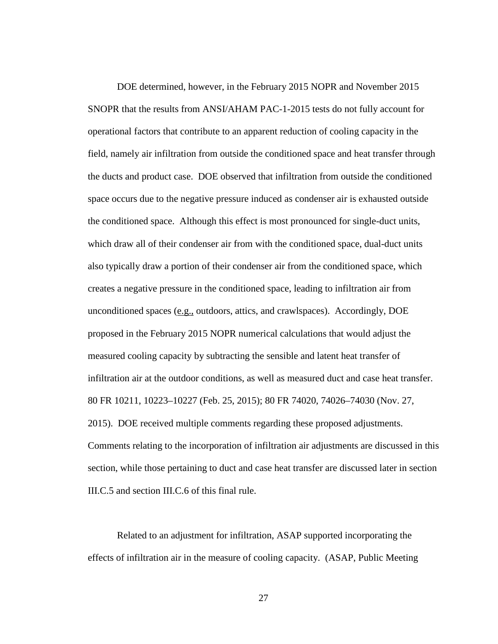DOE determined, however, in the February 2015 NOPR and November 2015 SNOPR that the results from ANSI/AHAM PAC-1-2015 tests do not fully account for operational factors that contribute to an apparent reduction of cooling capacity in the field, namely air infiltration from outside the conditioned space and heat transfer through the ducts and product case. DOE observed that infiltration from outside the conditioned space occurs due to the negative pressure induced as condenser air is exhausted outside the conditioned space. Although this effect is most pronounced for single-duct units, which draw all of their condenser air from with the conditioned space, dual-duct units also typically draw a portion of their condenser air from the conditioned space, which creates a negative pressure in the conditioned space, leading to infiltration air from unconditioned spaces (e.g., outdoors, attics, and crawlspaces). Accordingly, DOE proposed in the February 2015 NOPR numerical calculations that would adjust the measured cooling capacity by subtracting the sensible and latent heat transfer of infiltration air at the outdoor conditions, as well as measured duct and case heat transfer. 80 FR 10211, 10223–10227 (Feb. 25, 2015); 80 FR 74020, 74026–74030 (Nov. 27, 2015). DOE received multiple comments regarding these proposed adjustments. Comments relating to the incorporation of infiltration air adjustments are discussed in this section, while those pertaining to duct and case heat transfer are discussed later in section [III.C.5](#page-50-0) and section [III.C.6](#page-55-0) of this final rule.

Related to an adjustment for infiltration, ASAP supported incorporating the effects of infiltration air in the measure of cooling capacity. (ASAP, Public Meeting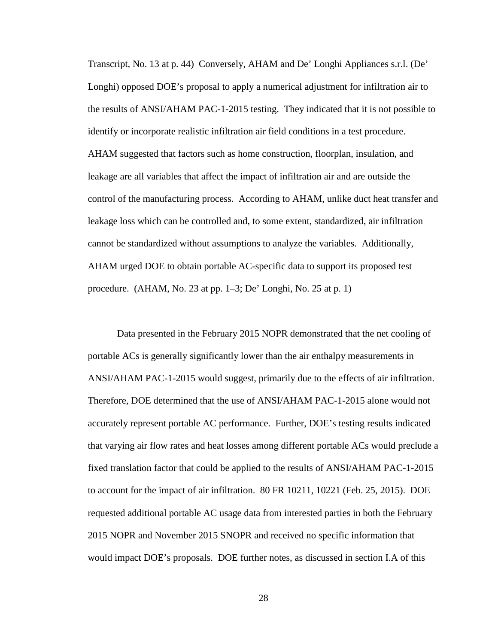Transcript, No. 13 at p. 44) Conversely, AHAM and De' Longhi Appliances s.r.l. (De' Longhi) opposed DOE's proposal to apply a numerical adjustment for infiltration air to the results of ANSI/AHAM PAC-1-2015 testing. They indicated that it is not possible to identify or incorporate realistic infiltration air field conditions in a test procedure. AHAM suggested that factors such as home construction, floorplan, insulation, and leakage are all variables that affect the impact of infiltration air and are outside the control of the manufacturing process. According to AHAM, unlike duct heat transfer and leakage loss which can be controlled and, to some extent, standardized, air infiltration cannot be standardized without assumptions to analyze the variables. Additionally, AHAM urged DOE to obtain portable AC-specific data to support its proposed test procedure. (AHAM, No. 23 at pp. 1–3; De' Longhi, No. 25 at p. 1)

Data presented in the February 2015 NOPR demonstrated that the net cooling of portable ACs is generally significantly lower than the air enthalpy measurements in ANSI/AHAM PAC-1-2015 would suggest, primarily due to the effects of air infiltration. Therefore, DOE determined that the use of ANSI/AHAM PAC-1-2015 alone would not accurately represent portable AC performance. Further, DOE's testing results indicated that varying air flow rates and heat losses among different portable ACs would preclude a fixed translation factor that could be applied to the results of ANSI/AHAM PAC-1-2015 to account for the impact of air infiltration. 80 FR 10211, 10221 (Feb. 25, 2015). DOE requested additional portable AC usage data from interested parties in both the February 2015 NOPR and November 2015 SNOPR and received no specific information that would impact DOE's proposals. DOE further notes, as discussed in section [I.A](#page-6-1) of this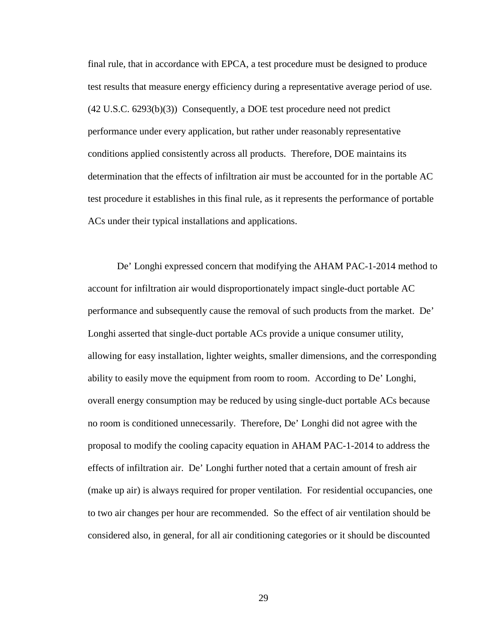final rule, that in accordance with EPCA, a test procedure must be designed to produce test results that measure energy efficiency during a representative average period of use. (42 U.S.C. 6293(b)(3)) Consequently, a DOE test procedure need not predict performance under every application, but rather under reasonably representative conditions applied consistently across all products. Therefore, DOE maintains its determination that the effects of infiltration air must be accounted for in the portable AC test procedure it establishes in this final rule, as it represents the performance of portable ACs under their typical installations and applications.

De' Longhi expressed concern that modifying the AHAM PAC-1-2014 method to account for infiltration air would disproportionately impact single-duct portable AC performance and subsequently cause the removal of such products from the market. De' Longhi asserted that single-duct portable ACs provide a unique consumer utility, allowing for easy installation, lighter weights, smaller dimensions, and the corresponding ability to easily move the equipment from room to room. According to De' Longhi, overall energy consumption may be reduced by using single-duct portable ACs because no room is conditioned unnecessarily. Therefore, De' Longhi did not agree with the proposal to modify the cooling capacity equation in AHAM PAC-1-2014 to address the effects of infiltration air. De' Longhi further noted that a certain amount of fresh air (make up air) is always required for proper ventilation. For residential occupancies, one to two air changes per hour are recommended. So the effect of air ventilation should be considered also, in general, for all air conditioning categories or it should be discounted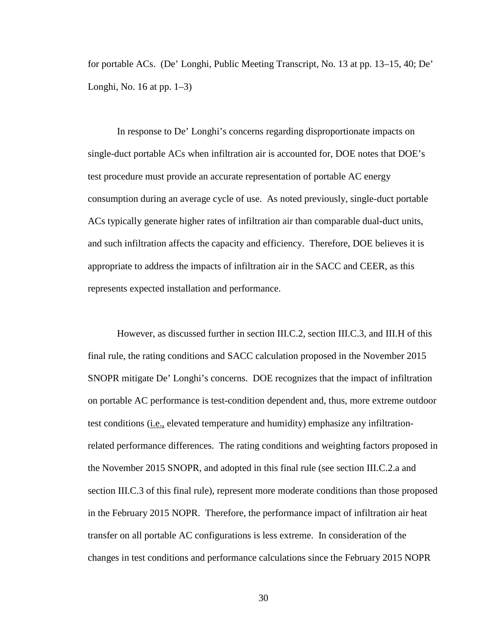for portable ACs. (De' Longhi, Public Meeting Transcript, No. 13 at pp. 13–15, 40; De' Longhi, No. 16 at pp. 1–3)

In response to De' Longhi's concerns regarding disproportionate impacts on single-duct portable ACs when infiltration air is accounted for, DOE notes that DOE's test procedure must provide an accurate representation of portable AC energy consumption during an average cycle of use. As noted previously, single-duct portable ACs typically generate higher rates of infiltration air than comparable dual-duct units, and such infiltration affects the capacity and efficiency. Therefore, DOE believes it is appropriate to address the impacts of infiltration air in the SACC and CEER, as this represents expected installation and performance.

However, as discussed further in section [III.C.2,](#page-31-0) section [III.C.3,](#page-45-0) and [III.H](#page-74-0) of this final rule, the rating conditions and SACC calculation proposed in the November 2015 SNOPR mitigate De' Longhi's concerns. DOE recognizes that the impact of infiltration on portable AC performance is test-condition dependent and, thus, more extreme outdoor test conditions (i.e., elevated temperature and humidity) emphasize any infiltrationrelated performance differences. The rating conditions and weighting factors proposed in the November 2015 SNOPR, and adopted in this final rule (see section [III.C.2.a](#page-31-1) and section [III.C.3](#page-45-0) of this final rule), represent more moderate conditions than those proposed in the February 2015 NOPR. Therefore, the performance impact of infiltration air heat transfer on all portable AC configurations is less extreme. In consideration of the changes in test conditions and performance calculations since the February 2015 NOPR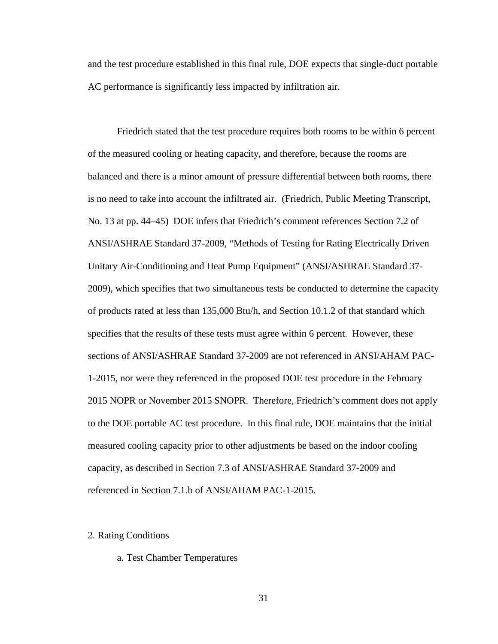and the test procedure established in this final rule, DOE expects that single-duct portable AC performance is significantly less impacted by infiltration air.

Friedrich stated that the test procedure requires both rooms to be within 6 percent of the measured cooling or heating capacity, and therefore, because the rooms are balanced and there is a minor amount of pressure differential between both rooms, there is no need to take into account the infiltrated air. (Friedrich, Public Meeting Transcript, No. 13 at pp. 44–45) DOE infers that Friedrich's comment references Section 7.2 of ANSI/ASHRAE Standard 37-2009, "Methods of Testing for Rating Electrically Driven Unitary Air-Conditioning and Heat Pump Equipment" (ANSI/ASHRAE Standard 37- 2009), which specifies that two simultaneous tests be conducted to determine the capacity of products rated at less than 135,000 Btu/h, and Section 10.1.2 of that standard which specifies that the results of these tests must agree within 6 percent. However, these sections of ANSI/ASHRAE Standard 37-2009 are not referenced in ANSI/AHAM PAC-1-2015, nor were they referenced in the proposed DOE test procedure in the February 2015 NOPR or November 2015 SNOPR. Therefore, Friedrich's comment does not apply to the DOE portable AC test procedure. In this final rule, DOE maintains that the initial measured cooling capacity prior to other adjustments be based on the indoor cooling capacity, as described in Section 7.3 of ANSI/ASHRAE Standard 37-2009 and referenced in Section 7.1.b of ANSI/AHAM PAC-1-2015.

#### <span id="page-31-1"></span><span id="page-31-0"></span>2. Rating Conditions

### a. Test Chamber Temperatures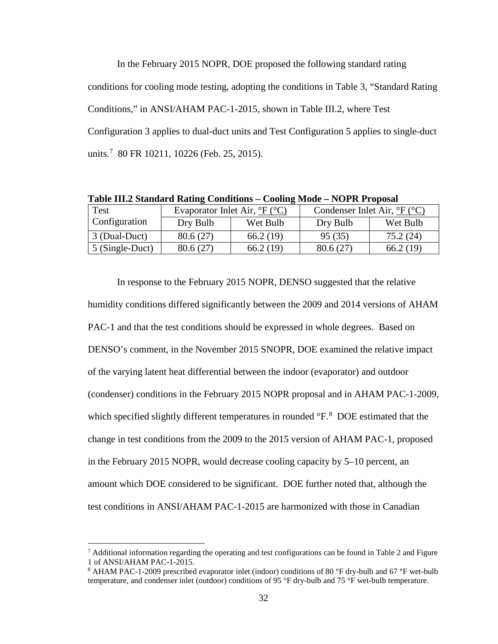In the February 2015 NOPR, DOE proposed the following standard rating conditions for cooling mode testing, adopting the conditions in Table 3, "Standard Rating Conditions," in ANSI/AHAM PAC-1-2015, shown in Table III.2, where Test Configuration 3 applies to dual-duct units and Test Configuration 5 applies to single-duct units.[7](#page-32-0) 80 FR 10211, 10226 (Feb. 25, 2015).

| $\frac{1}{2}$ and $\frac{1}{2}$ $\frac{1}{2}$ $\frac{1}{2}$ $\frac{1}{2}$ $\frac{1}{2}$ $\frac{1}{2}$ $\frac{1}{2}$ $\frac{1}{2}$ $\frac{1}{2}$ $\frac{1}{2}$ $\frac{1}{2}$ $\frac{1}{2}$ $\frac{1}{2}$ $\frac{1}{2}$ $\frac{1}{2}$ $\frac{1}{2}$ $\frac{1}{2}$ $\frac{1}{2}$ $\frac{1}{2}$ $\frac{1}{2}$ $\frac{1}{2$ |                                                  |          |                                                      |          |  |  |  |  |
|------------------------------------------------------------------------------------------------------------------------------------------------------------------------------------------------------------------------------------------------------------------------------------------------------------------------|--------------------------------------------------|----------|------------------------------------------------------|----------|--|--|--|--|
| Test                                                                                                                                                                                                                                                                                                                   | Evaporator Inlet Air, $\degree$ F ( $\degree$ C) |          | Condenser Inlet Air, ${}^{\circ}F$ ( ${}^{\circ}C$ ) |          |  |  |  |  |
| <b>Configuration</b>                                                                                                                                                                                                                                                                                                   | Dry Bulb                                         | Wet Bulb | Dry Bulb                                             | Wet Bulb |  |  |  |  |
| $\vert$ 3 (Dual-Duct)                                                                                                                                                                                                                                                                                                  | 80.6(27)                                         | 66.2(19) | 95(35)                                               | 75.2(24) |  |  |  |  |
| 5 (Single-Duct)                                                                                                                                                                                                                                                                                                        | 80.6 (27)                                        | 66.2(19) | 80.6(27)                                             | 66.2(19) |  |  |  |  |

**Table III.2 Standard Rating Conditions – Cooling Mode – NOPR Proposal**

In response to the February 2015 NOPR, DENSO suggested that the relative humidity conditions differed significantly between the 2009 and 2014 versions of AHAM PAC-1 and that the test conditions should be expressed in whole degrees. Based on DENSO's comment, in the November 2015 SNOPR, DOE examined the relative impact of the varying latent heat differential between the indoor (evaporator) and outdoor (condenser) conditions in the February 2015 NOPR proposal and in AHAM PAC-1-2009, which specified slightly different temperatures in rounded °F. <sup>[8](#page-32-1)</sup> DOE estimated that the change in test conditions from the 2009 to the 2015 version of AHAM PAC-1, proposed in the February 2015 NOPR, would decrease cooling capacity by 5–10 percent, an amount which DOE considered to be significant. DOE further noted that, although the test conditions in ANSI/AHAM PAC-1-2015 are harmonized with those in Canadian

<span id="page-32-0"></span> $7$  Additional information regarding the operating and test configurations can be found in Table 2 and Figure 1 of ANSI/AHAM PAC-1-2015.

<span id="page-32-1"></span><sup>&</sup>lt;sup>8</sup> AHAM PAC-1-2009 prescribed evaporator inlet (indoor) conditions of 80 °F dry-bulb and 67 °F wet-bulb temperature, and condenser inlet (outdoor) conditions of 95 °F dry-bulb and 75 °F wet-bulb temperature.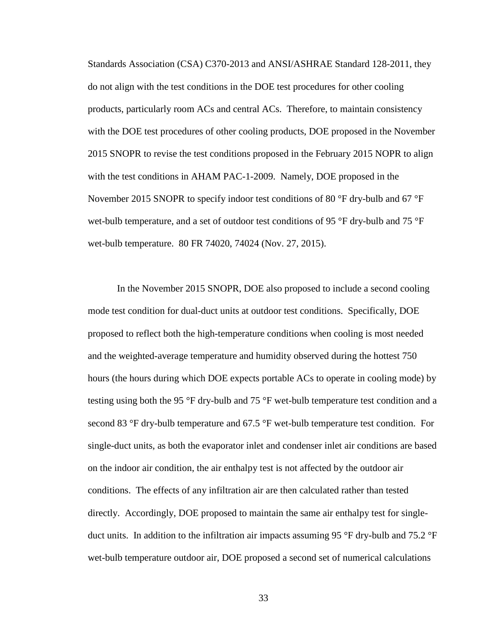Standards Association (CSA) C370-2013 and ANSI/ASHRAE Standard 128-2011, they do not align with the test conditions in the DOE test procedures for other cooling products, particularly room ACs and central ACs. Therefore, to maintain consistency with the DOE test procedures of other cooling products, DOE proposed in the November 2015 SNOPR to revise the test conditions proposed in the February 2015 NOPR to align with the test conditions in AHAM PAC-1-2009. Namely, DOE proposed in the November 2015 SNOPR to specify indoor test conditions of 80  $\degree$ F dry-bulb and 67  $\degree$ F wet-bulb temperature, and a set of outdoor test conditions of 95 °F dry-bulb and 75 °F wet-bulb temperature. 80 FR 74020, 74024 (Nov. 27, 2015).

In the November 2015 SNOPR, DOE also proposed to include a second cooling mode test condition for dual-duct units at outdoor test conditions. Specifically, DOE proposed to reflect both the high-temperature conditions when cooling is most needed and the weighted-average temperature and humidity observed during the hottest 750 hours (the hours during which DOE expects portable ACs to operate in cooling mode) by testing using both the 95 °F dry-bulb and 75 °F wet-bulb temperature test condition and a second 83 °F dry-bulb temperature and 67.5 °F wet-bulb temperature test condition. For single-duct units, as both the evaporator inlet and condenser inlet air conditions are based on the indoor air condition, the air enthalpy test is not affected by the outdoor air conditions. The effects of any infiltration air are then calculated rather than tested directly. Accordingly, DOE proposed to maintain the same air enthalpy test for singleduct units. In addition to the infiltration air impacts assuming 95 °F dry-bulb and 75.2 °F wet-bulb temperature outdoor air, DOE proposed a second set of numerical calculations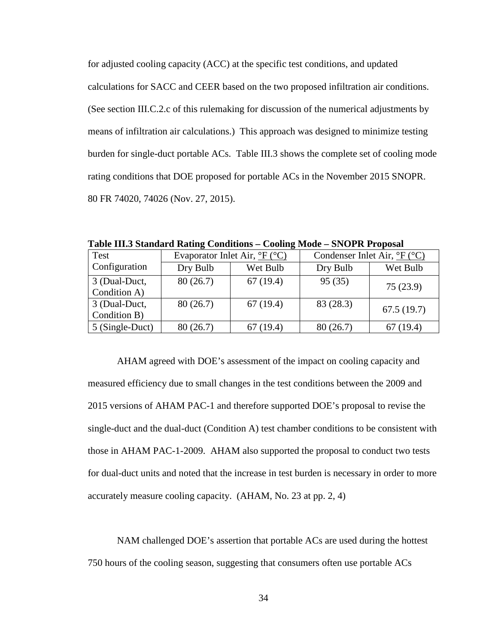for adjusted cooling capacity (ACC) at the specific test conditions, and updated calculations for SACC and CEER based on the two proposed infiltration air conditions. (See section [III.C.2.c](#page-44-0) of this rulemaking for discussion of the numerical adjustments by means of infiltration air calculations.) This approach was designed to minimize testing burden for single-duct portable ACs. [Table III.3](#page-34-0) shows the complete set of cooling mode rating conditions that DOE proposed for portable ACs in the November 2015 SNOPR. 80 FR 74020, 74026 (Nov. 27, 2015).

| Test            | Evaporator Inlet Air, $\frac{\circ}{\circ}F(\circ C)$ |          | Condenser Inlet Air, ${}^{\circ}F$ ( ${}^{\circ}C$ ) |            |
|-----------------|-------------------------------------------------------|----------|------------------------------------------------------|------------|
| Configuration   | Dry Bulb                                              | Wet Bulb | Dry Bulb                                             | Wet Bulb   |
| 3 (Dual-Duct,   | 80(26.7)                                              | 67(19.4) | 95(35)                                               | 75(23.9)   |
| Condition A)    |                                                       |          |                                                      |            |
| 3 (Dual-Duct,   | 80(26.7)                                              | 67(19.4) | 83 (28.3)                                            | 67.5(19.7) |
| Condition B)    |                                                       |          |                                                      |            |
| 5 (Single-Duct) | 80 (26.7)                                             | 67(19.4) | 80(26.7)                                             | 67(19.4)   |

<span id="page-34-0"></span>**Table III.3 Standard Rating Conditions – Cooling Mode – SNOPR Proposal**

AHAM agreed with DOE's assessment of the impact on cooling capacity and measured efficiency due to small changes in the test conditions between the 2009 and 2015 versions of AHAM PAC-1 and therefore supported DOE's proposal to revise the single-duct and the dual-duct (Condition A) test chamber conditions to be consistent with those in AHAM PAC-1-2009. AHAM also supported the proposal to conduct two tests for dual-duct units and noted that the increase in test burden is necessary in order to more accurately measure cooling capacity. (AHAM, No. 23 at pp. 2, 4)

NAM challenged DOE's assertion that portable ACs are used during the hottest 750 hours of the cooling season, suggesting that consumers often use portable ACs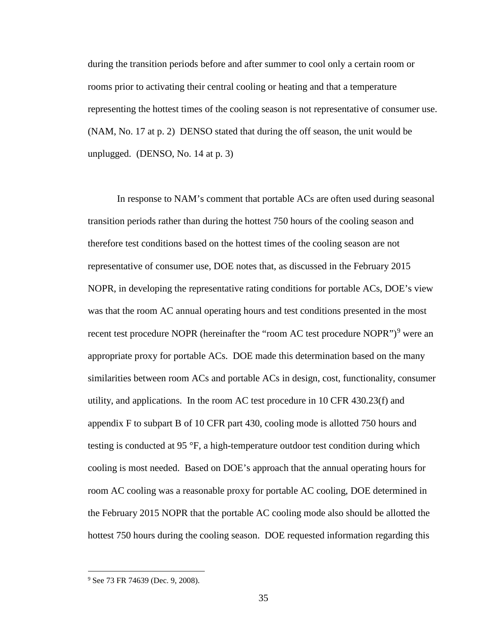during the transition periods before and after summer to cool only a certain room or rooms prior to activating their central cooling or heating and that a temperature representing the hottest times of the cooling season is not representative of consumer use. (NAM, No. 17 at p. 2) DENSO stated that during the off season, the unit would be unplugged. (DENSO, No. 14 at p. 3)

In response to NAM's comment that portable ACs are often used during seasonal transition periods rather than during the hottest 750 hours of the cooling season and therefore test conditions based on the hottest times of the cooling season are not representative of consumer use, DOE notes that, as discussed in the February 2015 NOPR, in developing the representative rating conditions for portable ACs, DOE's view was that the room AC annual operating hours and test conditions presented in the most recent test procedure NOPR (hereinafter the "room AC test procedure NOPR")<sup>[9](#page-35-0)</sup> were an appropriate proxy for portable ACs. DOE made this determination based on the many similarities between room ACs and portable ACs in design, cost, functionality, consumer utility, and applications. In the room AC test procedure in 10 CFR 430.23(f) and appendix F to subpart B of 10 CFR part 430, cooling mode is allotted 750 hours and testing is conducted at 95 °F, a high-temperature outdoor test condition during which cooling is most needed. Based on DOE's approach that the annual operating hours for room AC cooling was a reasonable proxy for portable AC cooling, DOE determined in the February 2015 NOPR that the portable AC cooling mode also should be allotted the hottest 750 hours during the cooling season. DOE requested information regarding this

<span id="page-35-0"></span> <sup>9</sup> See 73 FR 74639 (Dec. 9, 2008).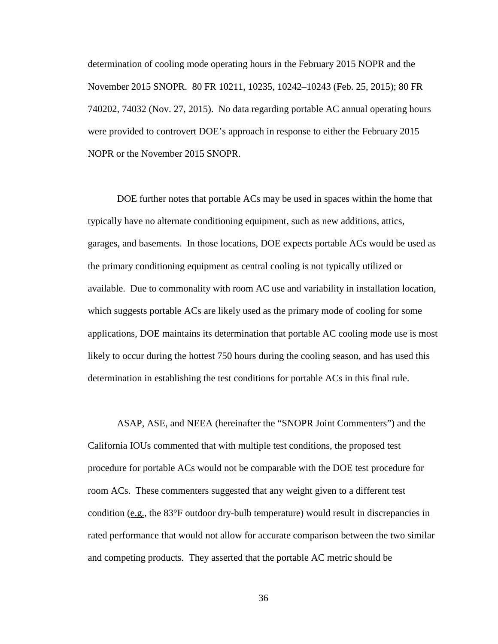determination of cooling mode operating hours in the February 2015 NOPR and the November 2015 SNOPR. 80 FR 10211, 10235, 10242–10243 (Feb. 25, 2015); 80 FR 740202, 74032 (Nov. 27, 2015). No data regarding portable AC annual operating hours were provided to controvert DOE's approach in response to either the February 2015 NOPR or the November 2015 SNOPR.

DOE further notes that portable ACs may be used in spaces within the home that typically have no alternate conditioning equipment, such as new additions, attics, garages, and basements. In those locations, DOE expects portable ACs would be used as the primary conditioning equipment as central cooling is not typically utilized or available. Due to commonality with room AC use and variability in installation location, which suggests portable ACs are likely used as the primary mode of cooling for some applications, DOE maintains its determination that portable AC cooling mode use is most likely to occur during the hottest 750 hours during the cooling season, and has used this determination in establishing the test conditions for portable ACs in this final rule.

ASAP, ASE, and NEEA (hereinafter the "SNOPR Joint Commenters") and the California IOUs commented that with multiple test conditions, the proposed test procedure for portable ACs would not be comparable with the DOE test procedure for room ACs. These commenters suggested that any weight given to a different test condition (e.g., the 83°F outdoor dry-bulb temperature) would result in discrepancies in rated performance that would not allow for accurate comparison between the two similar and competing products. They asserted that the portable AC metric should be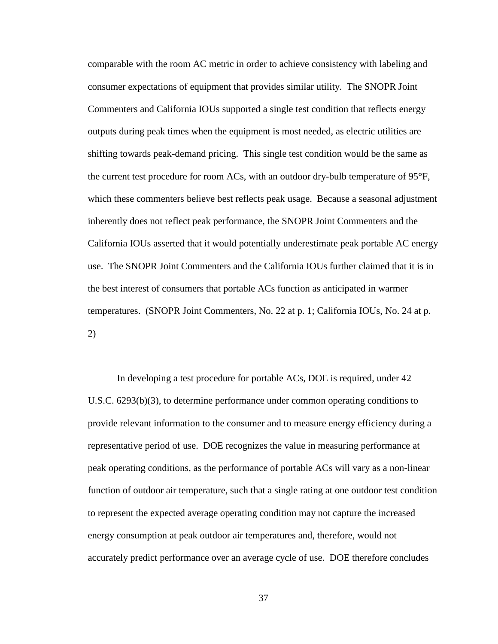comparable with the room AC metric in order to achieve consistency with labeling and consumer expectations of equipment that provides similar utility. The SNOPR Joint Commenters and California IOUs supported a single test condition that reflects energy outputs during peak times when the equipment is most needed, as electric utilities are shifting towards peak-demand pricing. This single test condition would be the same as the current test procedure for room ACs, with an outdoor dry-bulb temperature of 95°F, which these commenters believe best reflects peak usage. Because a seasonal adjustment inherently does not reflect peak performance, the SNOPR Joint Commenters and the California IOUs asserted that it would potentially underestimate peak portable AC energy use. The SNOPR Joint Commenters and the California IOUs further claimed that it is in the best interest of consumers that portable ACs function as anticipated in warmer temperatures. (SNOPR Joint Commenters, No. 22 at p. 1; California IOUs, No. 24 at p. 2)

In developing a test procedure for portable ACs, DOE is required, under 42 U.S.C. 6293(b)(3), to determine performance under common operating conditions to provide relevant information to the consumer and to measure energy efficiency during a representative period of use. DOE recognizes the value in measuring performance at peak operating conditions, as the performance of portable ACs will vary as a non-linear function of outdoor air temperature, such that a single rating at one outdoor test condition to represent the expected average operating condition may not capture the increased energy consumption at peak outdoor air temperatures and, therefore, would not accurately predict performance over an average cycle of use. DOE therefore concludes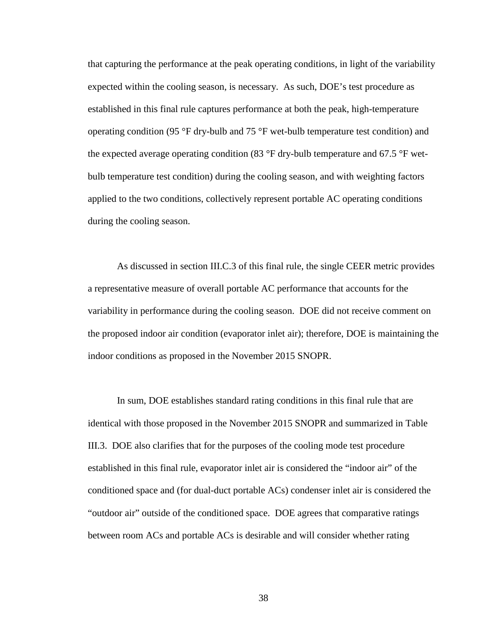that capturing the performance at the peak operating conditions, in light of the variability expected within the cooling season, is necessary. As such, DOE's test procedure as established in this final rule captures performance at both the peak, high-temperature operating condition (95  $\degree$ F dry-bulb and 75  $\degree$ F wet-bulb temperature test condition) and the expected average operating condition (83 °F dry-bulb temperature and 67.5 °F wetbulb temperature test condition) during the cooling season, and with weighting factors applied to the two conditions, collectively represent portable AC operating conditions during the cooling season.

As discussed in section [III.C.3](#page-45-0) of this final rule, the single CEER metric provides a representative measure of overall portable AC performance that accounts for the variability in performance during the cooling season. DOE did not receive comment on the proposed indoor air condition (evaporator inlet air); therefore, DOE is maintaining the indoor conditions as proposed in the November 2015 SNOPR.

In sum, DOE establishes standard rating conditions in this final rule that are identical with those proposed in the November 2015 SNOPR and summarized in [Table](#page-34-0)  [III.3.](#page-34-0) DOE also clarifies that for the purposes of the cooling mode test procedure established in this final rule, evaporator inlet air is considered the "indoor air" of the conditioned space and (for dual-duct portable ACs) condenser inlet air is considered the "outdoor air" outside of the conditioned space. DOE agrees that comparative ratings between room ACs and portable ACs is desirable and will consider whether rating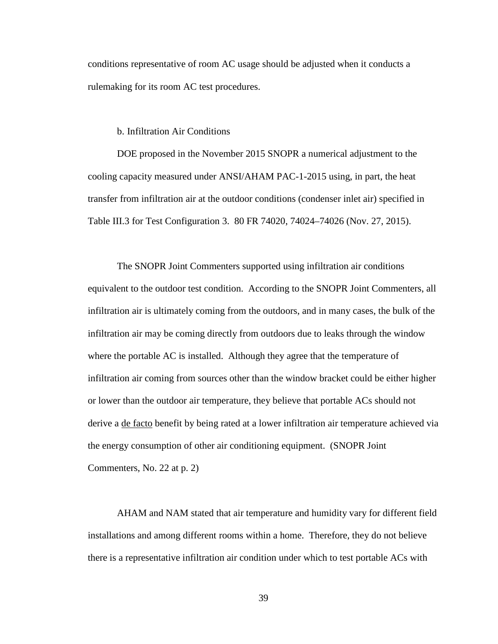conditions representative of room AC usage should be adjusted when it conducts a rulemaking for its room AC test procedures.

b. Infiltration Air Conditions

<span id="page-39-0"></span>DOE proposed in the November 2015 SNOPR a numerical adjustment to the cooling capacity measured under ANSI/AHAM PAC-1-2015 using, in part, the heat transfer from infiltration air at the outdoor conditions (condenser inlet air) specified in [Table III.3](#page-34-0) for Test Configuration 3. 80 FR 74020, 74024–74026 (Nov. 27, 2015).

The SNOPR Joint Commenters supported using infiltration air conditions equivalent to the outdoor test condition. According to the SNOPR Joint Commenters, all infiltration air is ultimately coming from the outdoors, and in many cases, the bulk of the infiltration air may be coming directly from outdoors due to leaks through the window where the portable AC is installed. Although they agree that the temperature of infiltration air coming from sources other than the window bracket could be either higher or lower than the outdoor air temperature, they believe that portable ACs should not derive a de facto benefit by being rated at a lower infiltration air temperature achieved via the energy consumption of other air conditioning equipment. (SNOPR Joint Commenters, No. 22 at p. 2)

AHAM and NAM stated that air temperature and humidity vary for different field installations and among different rooms within a home. Therefore, they do not believe there is a representative infiltration air condition under which to test portable ACs with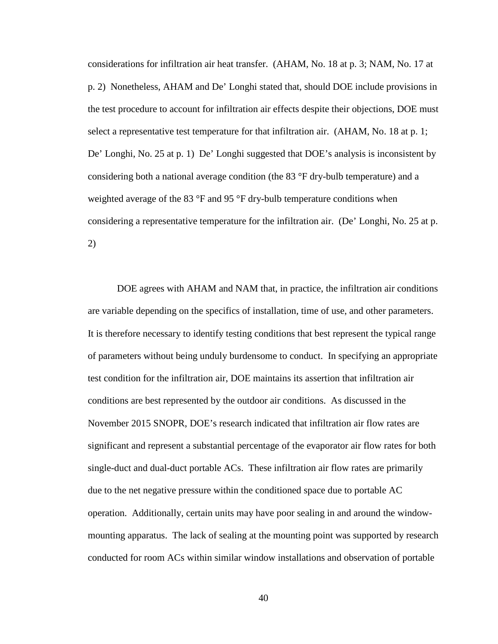considerations for infiltration air heat transfer. (AHAM, No. 18 at p. 3; NAM, No. 17 at p. 2) Nonetheless, AHAM and De' Longhi stated that, should DOE include provisions in the test procedure to account for infiltration air effects despite their objections, DOE must select a representative test temperature for that infiltration air. (AHAM, No. 18 at p. 1; De' Longhi, No. 25 at p. 1) De' Longhi suggested that DOE's analysis is inconsistent by considering both a national average condition (the 83 °F dry-bulb temperature) and a weighted average of the 83 °F and 95 °F dry-bulb temperature conditions when considering a representative temperature for the infiltration air. (De' Longhi, No. 25 at p. 2)

DOE agrees with AHAM and NAM that, in practice, the infiltration air conditions are variable depending on the specifics of installation, time of use, and other parameters. It is therefore necessary to identify testing conditions that best represent the typical range of parameters without being unduly burdensome to conduct. In specifying an appropriate test condition for the infiltration air, DOE maintains its assertion that infiltration air conditions are best represented by the outdoor air conditions. As discussed in the November 2015 SNOPR, DOE's research indicated that infiltration air flow rates are significant and represent a substantial percentage of the evaporator air flow rates for both single-duct and dual-duct portable ACs. These infiltration air flow rates are primarily due to the net negative pressure within the conditioned space due to portable AC operation. Additionally, certain units may have poor sealing in and around the windowmounting apparatus. The lack of sealing at the mounting point was supported by research conducted for room ACs within similar window installations and observation of portable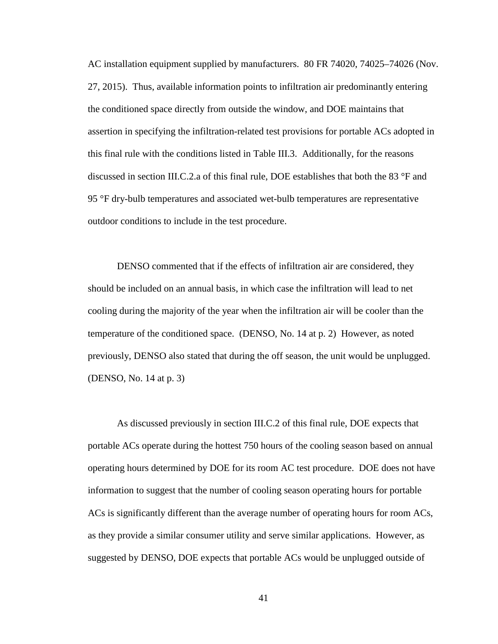AC installation equipment supplied by manufacturers. 80 FR 74020, 74025–74026 (Nov. 27, 2015). Thus, available information points to infiltration air predominantly entering the conditioned space directly from outside the window, and DOE maintains that assertion in specifying the infiltration-related test provisions for portable ACs adopted in this final rule with the conditions listed in [Table III.3.](#page-34-0) Additionally, for the reasons discussed in section [III.C.2.a](#page-31-0) of this final rule, DOE establishes that both the 83 °F and 95 °F dry-bulb temperatures and associated wet-bulb temperatures are representative outdoor conditions to include in the test procedure.

DENSO commented that if the effects of infiltration air are considered, they should be included on an annual basis, in which case the infiltration will lead to net cooling during the majority of the year when the infiltration air will be cooler than the temperature of the conditioned space. (DENSO, No. 14 at p. 2) However, as noted previously, DENSO also stated that during the off season, the unit would be unplugged. (DENSO, No. 14 at p. 3)

As discussed previously in section [III.C.2](#page-31-1) of this final rule, DOE expects that portable ACs operate during the hottest 750 hours of the cooling season based on annual operating hours determined by DOE for its room AC test procedure. DOE does not have information to suggest that the number of cooling season operating hours for portable ACs is significantly different than the average number of operating hours for room ACs, as they provide a similar consumer utility and serve similar applications. However, as suggested by DENSO, DOE expects that portable ACs would be unplugged outside of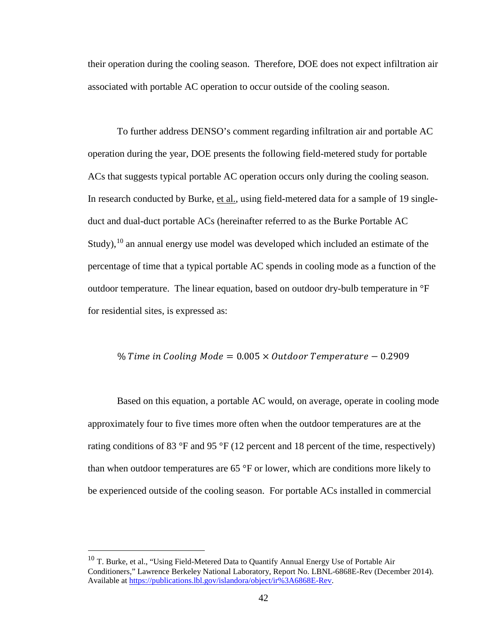their operation during the cooling season. Therefore, DOE does not expect infiltration air associated with portable AC operation to occur outside of the cooling season.

To further address DENSO's comment regarding infiltration air and portable AC operation during the year, DOE presents the following field-metered study for portable ACs that suggests typical portable AC operation occurs only during the cooling season. In research conducted by Burke, et al., using field-metered data for a sample of 19 singleduct and dual-duct portable ACs (hereinafter referred to as the Burke Portable AC Study),  $^{10}$  $^{10}$  $^{10}$  an annual energy use model was developed which included an estimate of the percentage of time that a typical portable AC spends in cooling mode as a function of the outdoor temperature. The linear equation, based on outdoor dry-bulb temperature in °F for residential sites, is expressed as:

#### % Time in Cooling Mode =  $0.005 \times$  Outdoor Temperature - 0.2909

Based on this equation, a portable AC would, on average, operate in cooling mode approximately four to five times more often when the outdoor temperatures are at the rating conditions of 83 °F and 95 °F (12 percent and 18 percent of the time, respectively) than when outdoor temperatures are 65 °F or lower, which are conditions more likely to be experienced outside of the cooling season. For portable ACs installed in commercial

<span id="page-42-0"></span> $10$  T. Burke, et al., "Using Field-Metered Data to Quantify Annual Energy Use of Portable Air Conditioners," Lawrence Berkeley National Laboratory, Report No. LBNL-6868E-Rev (December 2014). Available at [https://publications.lbl.gov/islandora/object/ir%3A6868E-Rev.](https://publications.lbl.gov/islandora/object/ir%3A6868E-Rev)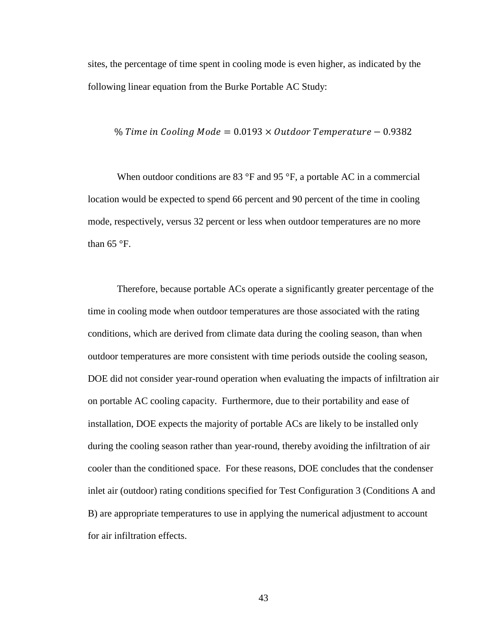sites, the percentage of time spent in cooling mode is even higher, as indicated by the following linear equation from the Burke Portable AC Study:

$$
\% Time in Cooling Mode = 0.0193 \times Outdoor Temperature - 0.9382
$$

When outdoor conditions are 83  $\mathrm{P}F$  and 95  $\mathrm{P}F$ , a portable AC in a commercial location would be expected to spend 66 percent and 90 percent of the time in cooling mode, respectively, versus 32 percent or less when outdoor temperatures are no more than  $65 \text{ °F}$ .

Therefore, because portable ACs operate a significantly greater percentage of the time in cooling mode when outdoor temperatures are those associated with the rating conditions, which are derived from climate data during the cooling season, than when outdoor temperatures are more consistent with time periods outside the cooling season, DOE did not consider year-round operation when evaluating the impacts of infiltration air on portable AC cooling capacity. Furthermore, due to their portability and ease of installation, DOE expects the majority of portable ACs are likely to be installed only during the cooling season rather than year-round, thereby avoiding the infiltration of air cooler than the conditioned space. For these reasons, DOE concludes that the condenser inlet air (outdoor) rating conditions specified for Test Configuration 3 (Conditions A and B) are appropriate temperatures to use in applying the numerical adjustment to account for air infiltration effects.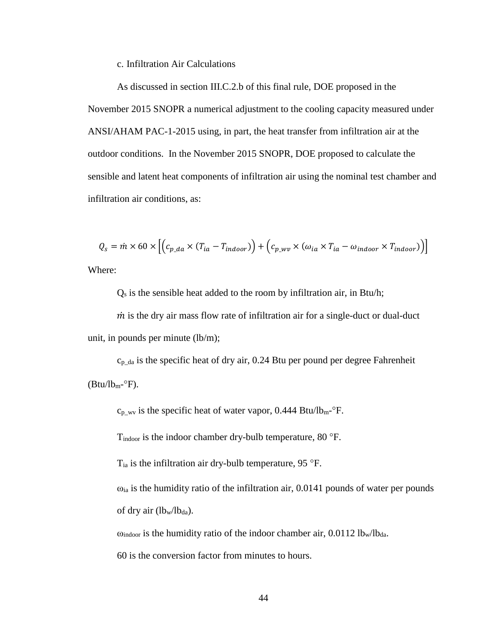c. Infiltration Air Calculations

As discussed in section [III.C.2.b](#page-39-0) of this final rule, DOE proposed in the November 2015 SNOPR a numerical adjustment to the cooling capacity measured under ANSI/AHAM PAC-1-2015 using, in part, the heat transfer from infiltration air at the outdoor conditions. In the November 2015 SNOPR, DOE proposed to calculate the sensible and latent heat components of infiltration air using the nominal test chamber and infiltration air conditions, as:

$$
Q_s = \dot{m} \times 60 \times \left[ \left( c_{p\_da} \times (T_{ia} - T_{indoor}) \right) + \left( c_{p\_wv} \times (\omega_{ia} \times T_{ia} - \omega_{indoor} \times T_{indoor}) \right) \right]
$$
  
Where:

Where:

 $Q<sub>s</sub>$  is the sensible heat added to the room by infiltration air, in Btu/h;

 $\dot{m}$  is the dry air mass flow rate of infiltration air for a single-duct or dual-duct unit, in pounds per minute (lb/m);

 $c_{p\_da}$  is the specific heat of dry air, 0.24 Btu per pound per degree Fahrenheit  $(Btu/lb_m$ -°F).

 $c_{p_{\text{av}}}$  is the specific heat of water vapor, 0.444 Btu/lb<sub>m</sub>- $\mathrm{P}$ F.

Tindoor is the indoor chamber dry-bulb temperature, 80 °F.

 $T_{ia}$  is the infiltration air dry-bulb temperature, 95 °F.

 $\omega_{ia}$  is the humidity ratio of the infiltration air, 0.0141 pounds of water per pounds of dry air  $(lb_w/lb_{da})$ .

 $\omega_{\text{indoor}}$  is the humidity ratio of the indoor chamber air, 0.0112 lb<sub>w</sub>/lb<sub>da</sub>.

60 is the conversion factor from minutes to hours.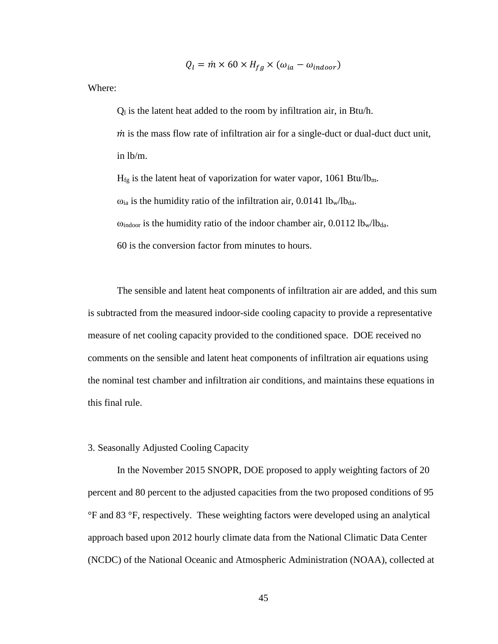$$
Q_l = \dot{m} \times 60 \times H_{fg} \times (\omega_{ia} - \omega_{indoor})
$$

Where:

 $Q<sub>l</sub>$  is the latent heat added to the room by infiltration air, in Btu/h.

 $\dot{m}$  is the mass flow rate of infiltration air for a single-duct or dual-duct duct unit, in lb/m.

 $H<sub>fg</sub>$  is the latent heat of vaporization for water vapor, 1061 Btu/lb<sub>m</sub>.

 $\omega_{ia}$  is the humidity ratio of the infiltration air, 0.0141 lb<sub>w</sub>/lb<sub>da</sub>.

 $\omega_{\text{indoor}}$  is the humidity ratio of the indoor chamber air, 0.0112 lb<sub>w</sub>/lb<sub>da</sub>.

60 is the conversion factor from minutes to hours.

The sensible and latent heat components of infiltration air are added, and this sum is subtracted from the measured indoor-side cooling capacity to provide a representative measure of net cooling capacity provided to the conditioned space. DOE received no comments on the sensible and latent heat components of infiltration air equations using the nominal test chamber and infiltration air conditions, and maintains these equations in this final rule.

# <span id="page-45-0"></span>3. Seasonally Adjusted Cooling Capacity

In the November 2015 SNOPR, DOE proposed to apply weighting factors of 20 percent and 80 percent to the adjusted capacities from the two proposed conditions of 95 °F and 83 °F, respectively. These weighting factors were developed using an analytical approach based upon 2012 hourly climate data from the National Climatic Data Center (NCDC) of the National Oceanic and Atmospheric Administration (NOAA), collected at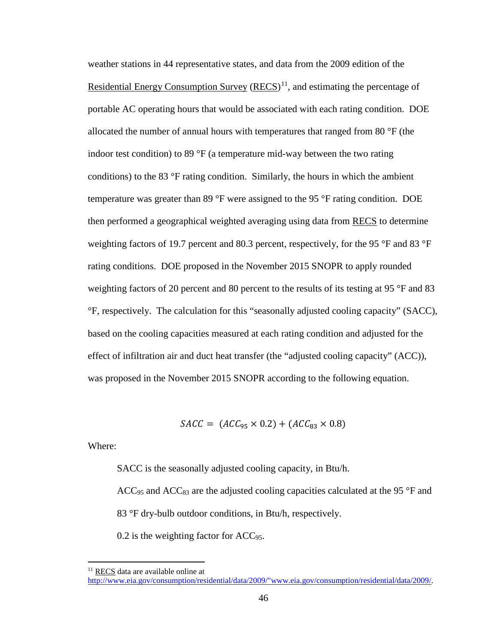weather stations in 44 representative states, and data from the 2009 edition of the Residential Energy Consumption Survey  $(RECS)^{11}$  $(RECS)^{11}$  $(RECS)^{11}$ , and estimating the percentage of portable AC operating hours that would be associated with each rating condition. DOE allocated the number of annual hours with temperatures that ranged from 80 °F (the indoor test condition) to 89 °F (a temperature mid-way between the two rating conditions) to the 83 °F rating condition. Similarly, the hours in which the ambient temperature was greater than 89 °F were assigned to the 95 °F rating condition. DOE then performed a geographical weighted averaging using data from RECS to determine weighting factors of 19.7 percent and 80.3 percent, respectively, for the 95 °F and 83 °F rating conditions. DOE proposed in the November 2015 SNOPR to apply rounded weighting factors of 20 percent and 80 percent to the results of its testing at 95 °F and 83 °F, respectively. The calculation for this "seasonally adjusted cooling capacity" (SACC), based on the cooling capacities measured at each rating condition and adjusted for the effect of infiltration air and duct heat transfer (the "adjusted cooling capacity" (ACC)), was proposed in the November 2015 SNOPR according to the following equation.

 $SACC = (ACC_{95} \times 0.2) + (ACC_{83} \times 0.8)$ 

Where:

SACC is the seasonally adjusted cooling capacity, in Btu/h.

 $ACC<sub>95</sub>$  and  $ACC<sub>83</sub>$  are the adjusted cooling capacities calculated at the 95 °F and 83 °F dry-bulb outdoor conditions, in Btu/h, respectively.

0.2 is the weighting factor for ACC<sub>95</sub>.

<span id="page-46-0"></span> $11$  RECS data are available online at

[http://www.eia.gov/consumption/residential/data/2009/"www.eia.gov/consumption/residential/data/2009/.](http://www.eia.gov/consumption/residential/data/2009/%22www.eia.gov/consumption/residential/data/2009/)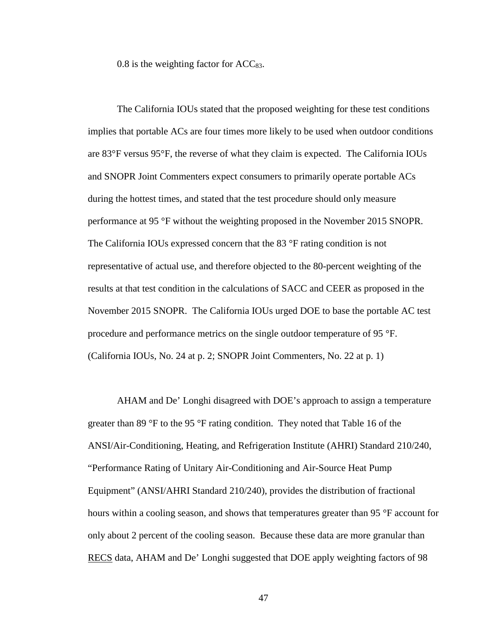0.8 is the weighting factor for  $ACC_{83}$ .

The California IOUs stated that the proposed weighting for these test conditions implies that portable ACs are four times more likely to be used when outdoor conditions are 83°F versus 95°F, the reverse of what they claim is expected. The California IOUs and SNOPR Joint Commenters expect consumers to primarily operate portable ACs during the hottest times, and stated that the test procedure should only measure performance at 95 °F without the weighting proposed in the November 2015 SNOPR. The California IOUs expressed concern that the 83 °F rating condition is not representative of actual use, and therefore objected to the 80-percent weighting of the results at that test condition in the calculations of SACC and CEER as proposed in the November 2015 SNOPR. The California IOUs urged DOE to base the portable AC test procedure and performance metrics on the single outdoor temperature of 95 °F. (California IOUs, No. 24 at p. 2; SNOPR Joint Commenters, No. 22 at p. 1)

AHAM and De' Longhi disagreed with DOE's approach to assign a temperature greater than 89 °F to the 95 °F rating condition. They noted that Table 16 of the ANSI/Air-Conditioning, Heating, and Refrigeration Institute (AHRI) Standard 210/240, "Performance Rating of Unitary Air-Conditioning and Air-Source Heat Pump Equipment" (ANSI/AHRI Standard 210/240), provides the distribution of fractional hours within a cooling season, and shows that temperatures greater than 95 °F account for only about 2 percent of the cooling season. Because these data are more granular than RECS data, AHAM and De' Longhi suggested that DOE apply weighting factors of 98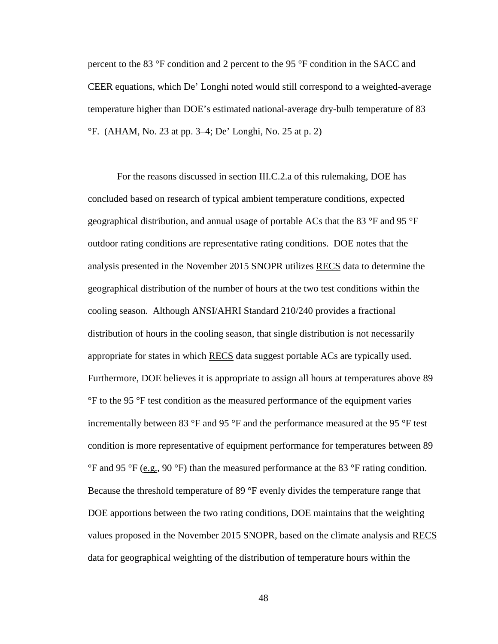percent to the 83 °F condition and 2 percent to the 95 °F condition in the SACC and CEER equations, which De' Longhi noted would still correspond to a weighted-average temperature higher than DOE's estimated national-average dry-bulb temperature of 83 °F. (AHAM, No. 23 at pp. 3–4; De' Longhi, No. 25 at p. 2)

For the reasons discussed in section III.C.2.a of this rulemaking, DOE has concluded based on research of typical ambient temperature conditions, expected geographical distribution, and annual usage of portable ACs that the 83 °F and 95 °F outdoor rating conditions are representative rating conditions. DOE notes that the analysis presented in the November 2015 SNOPR utilizes RECS data to determine the geographical distribution of the number of hours at the two test conditions within the cooling season. Although ANSI/AHRI Standard 210/240 provides a fractional distribution of hours in the cooling season, that single distribution is not necessarily appropriate for states in which RECS data suggest portable ACs are typically used. Furthermore, DOE believes it is appropriate to assign all hours at temperatures above 89 °F to the 95 °F test condition as the measured performance of the equipment varies incrementally between 83 °F and 95 °F and the performance measured at the 95 °F test condition is more representative of equipment performance for temperatures between 89  $\rm{^{\circ}F}$  and 95  $\rm{^{\circ}F}$  (e.g., 90  $\rm{^{\circ}F}$ ) than the measured performance at the 83  $\rm{^{\circ}F}$  rating condition. Because the threshold temperature of 89 °F evenly divides the temperature range that DOE apportions between the two rating conditions, DOE maintains that the weighting values proposed in the November 2015 SNOPR, based on the climate analysis and RECS data for geographical weighting of the distribution of temperature hours within the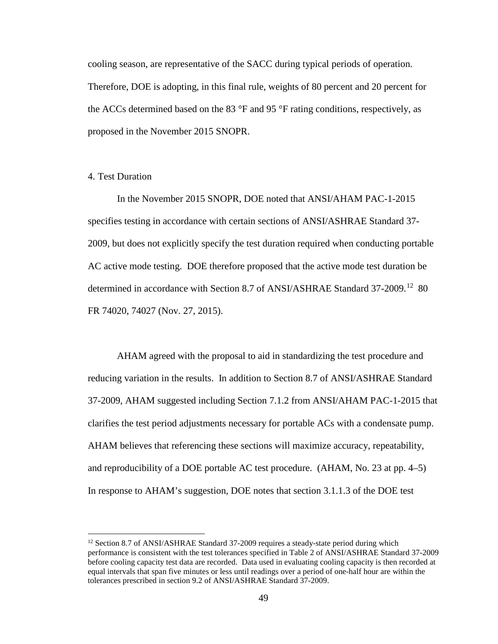cooling season, are representative of the SACC during typical periods of operation. Therefore, DOE is adopting, in this final rule, weights of 80 percent and 20 percent for the ACCs determined based on the 83 °F and 95 °F rating conditions, respectively, as proposed in the November 2015 SNOPR.

# 4. Test Duration

In the November 2015 SNOPR, DOE noted that ANSI/AHAM PAC-1-2015 specifies testing in accordance with certain sections of ANSI/ASHRAE Standard 37- 2009, but does not explicitly specify the test duration required when conducting portable AC active mode testing. DOE therefore proposed that the active mode test duration be determined in accordance with Section 8.7 of ANSI/ASHRAE Standard 37-2009.<sup>[12](#page-49-0)</sup> 80 FR 74020, 74027 (Nov. 27, 2015).

AHAM agreed with the proposal to aid in standardizing the test procedure and reducing variation in the results. In addition to Section 8.7 of ANSI/ASHRAE Standard 37-2009, AHAM suggested including Section 7.1.2 from ANSI/AHAM PAC-1-2015 that clarifies the test period adjustments necessary for portable ACs with a condensate pump. AHAM believes that referencing these sections will maximize accuracy, repeatability, and reproducibility of a DOE portable AC test procedure. (AHAM, No. 23 at pp. 4–5) In response to AHAM's suggestion, DOE notes that section 3.1.1.3 of the DOE test

<span id="page-49-0"></span> $12$  Section 8.7 of ANSI/ASHRAE Standard 37-2009 requires a steady-state period during which performance is consistent with the test tolerances specified in Table 2 of ANSI/ASHRAE Standard 37-2009 before cooling capacity test data are recorded. Data used in evaluating cooling capacity is then recorded at equal intervals that span five minutes or less until readings over a period of one-half hour are within the tolerances prescribed in section 9.2 of ANSI/ASHRAE Standard 37-2009.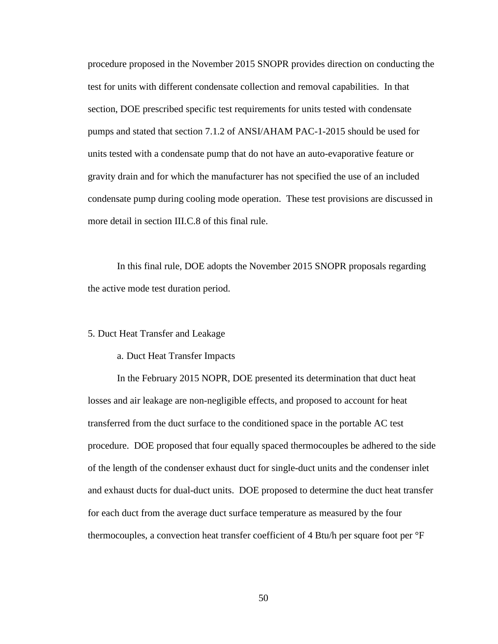procedure proposed in the November 2015 SNOPR provides direction on conducting the test for units with different condensate collection and removal capabilities. In that section, DOE prescribed specific test requirements for units tested with condensate pumps and stated that section 7.1.2 of ANSI/AHAM PAC-1-2015 should be used for units tested with a condensate pump that do not have an auto-evaporative feature or gravity drain and for which the manufacturer has not specified the use of an included condensate pump during cooling mode operation. These test provisions are discussed in more detail in section [III.C.8](#page-61-0) of this final rule.

In this final rule, DOE adopts the November 2015 SNOPR proposals regarding the active mode test duration period.

#### 5. Duct Heat Transfer and Leakage

#### a. Duct Heat Transfer Impacts

In the February 2015 NOPR, DOE presented its determination that duct heat losses and air leakage are non-negligible effects, and proposed to account for heat transferred from the duct surface to the conditioned space in the portable AC test procedure. DOE proposed that four equally spaced thermocouples be adhered to the side of the length of the condenser exhaust duct for single-duct units and the condenser inlet and exhaust ducts for dual-duct units. DOE proposed to determine the duct heat transfer for each duct from the average duct surface temperature as measured by the four thermocouples, a convection heat transfer coefficient of 4 Btu/h per square foot per °F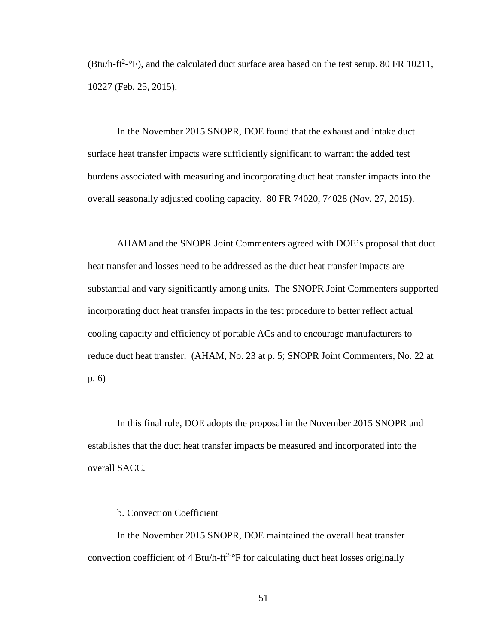(Btu/h-ft<sup>2</sup>- $\degree$ F), and the calculated duct surface area based on the test setup. 80 FR 10211, 10227 (Feb. 25, 2015).

In the November 2015 SNOPR, DOE found that the exhaust and intake duct surface heat transfer impacts were sufficiently significant to warrant the added test burdens associated with measuring and incorporating duct heat transfer impacts into the overall seasonally adjusted cooling capacity. 80 FR 74020, 74028 (Nov. 27, 2015).

AHAM and the SNOPR Joint Commenters agreed with DOE's proposal that duct heat transfer and losses need to be addressed as the duct heat transfer impacts are substantial and vary significantly among units. The SNOPR Joint Commenters supported incorporating duct heat transfer impacts in the test procedure to better reflect actual cooling capacity and efficiency of portable ACs and to encourage manufacturers to reduce duct heat transfer. (AHAM, No. 23 at p. 5; SNOPR Joint Commenters, No. 22 at p. 6)

In this final rule, DOE adopts the proposal in the November 2015 SNOPR and establishes that the duct heat transfer impacts be measured and incorporated into the overall SACC.

### b. Convection Coefficient

In the November 2015 SNOPR, DOE maintained the overall heat transfer convection coefficient of  $4 \text{ Btu/h-ft}^{2-\circ}$  F for calculating duct heat losses originally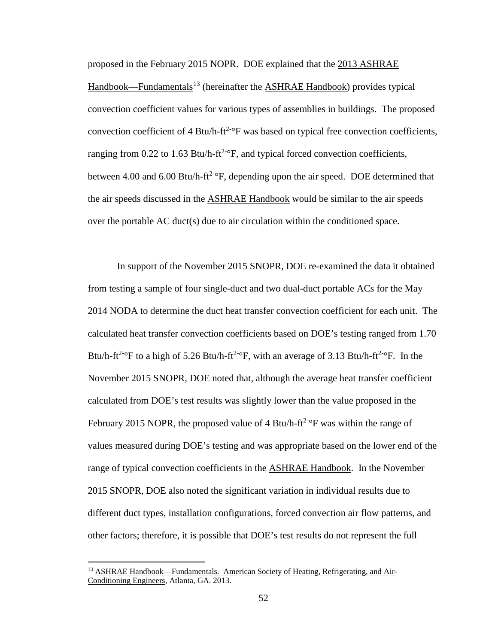proposed in the February 2015 NOPR. DOE explained that the 2013 ASHRAE Handbook—Fundamentals<sup>[13](#page-52-0)</sup> (hereinafter the ASHRAE Handbook) provides typical convection coefficient values for various types of assemblies in buildings. The proposed convection coefficient of 4 Btu/h-ft<sup>2-o</sup>F was based on typical free convection coefficients, ranging from 0.22 to 1.63 Btu/h-ft<sup>2-o</sup>F, and typical forced convection coefficients, between 4.00 and 6.00 Btu/h-ft<sup>2-o</sup>F, depending upon the air speed. DOE determined that the air speeds discussed in the ASHRAE Handbook would be similar to the air speeds over the portable AC duct(s) due to air circulation within the conditioned space.

In support of the November 2015 SNOPR, DOE re-examined the data it obtained from testing a sample of four single-duct and two dual-duct portable ACs for the May 2014 NODA to determine the duct heat transfer convection coefficient for each unit. The calculated heat transfer convection coefficients based on DOE's testing ranged from 1.70 Btu/h-ft<sup>2-o</sup>F to a high of 5.26 Btu/h-ft<sup>2-o</sup>F, with an average of 3.13 Btu/h-ft<sup>2-o</sup>F. In the November 2015 SNOPR, DOE noted that, although the average heat transfer coefficient calculated from DOE's test results was slightly lower than the value proposed in the February 2015 NOPR, the proposed value of 4 Btu/h-ft<sup>2-o</sup>F was within the range of values measured during DOE's testing and was appropriate based on the lower end of the range of typical convection coefficients in the **ASHRAE Handbook**. In the November 2015 SNOPR, DOE also noted the significant variation in individual results due to different duct types, installation configurations, forced convection air flow patterns, and other factors; therefore, it is possible that DOE's test results do not represent the full

<span id="page-52-0"></span><sup>&</sup>lt;sup>13</sup> ASHRAE Handbook—Fundamentals. American Society of Heating, Refrigerating, and Air-Conditioning Engineers, Atlanta, GA. 2013.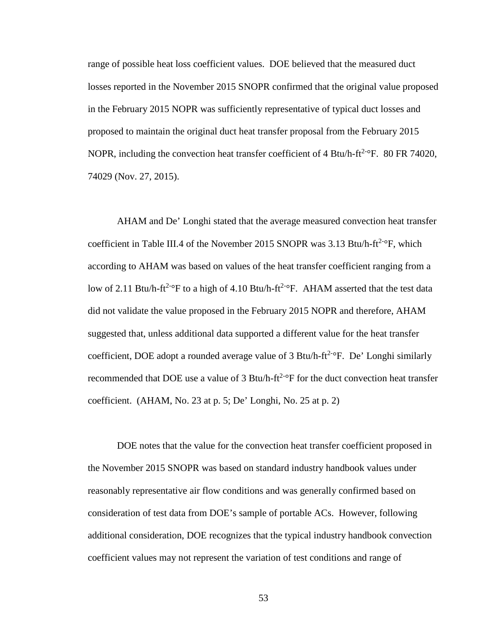range of possible heat loss coefficient values. DOE believed that the measured duct losses reported in the November 2015 SNOPR confirmed that the original value proposed in the February 2015 NOPR was sufficiently representative of typical duct losses and proposed to maintain the original duct heat transfer proposal from the February 2015 NOPR, including the convection heat transfer coefficient of  $4 \text{ Btu/h-ft}^{2-\circ}$ F. 80 FR 74020, 74029 (Nov. 27, 2015).

AHAM and De' Longhi stated that the average measured convection heat transfer coefficient in Table III.4 of the November 2015 SNOPR was 3.13 Btu/h-ft<sup>2-o</sup>F, which according to AHAM was based on values of the heat transfer coefficient ranging from a low of 2.11 Btu/h-ft<sup>2-o</sup>F to a high of 4.10 Btu/h-ft<sup>2-o</sup>F. AHAM asserted that the test data did not validate the value proposed in the February 2015 NOPR and therefore, AHAM suggested that, unless additional data supported a different value for the heat transfer coefficient, DOE adopt a rounded average value of 3 Btu/h-ft<sup>2-o</sup>F. De' Longhi similarly recommended that DOE use a value of 3 Btu/h-ft<sup>2-o</sup>F for the duct convection heat transfer coefficient. (AHAM, No. 23 at p. 5; De' Longhi, No. 25 at p. 2)

DOE notes that the value for the convection heat transfer coefficient proposed in the November 2015 SNOPR was based on standard industry handbook values under reasonably representative air flow conditions and was generally confirmed based on consideration of test data from DOE's sample of portable ACs. However, following additional consideration, DOE recognizes that the typical industry handbook convection coefficient values may not represent the variation of test conditions and range of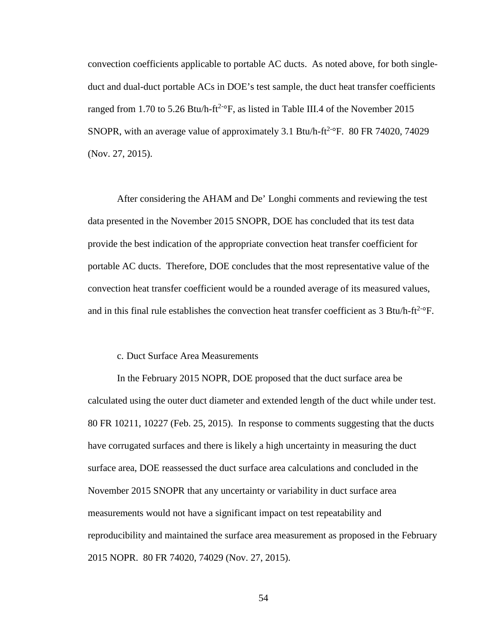convection coefficients applicable to portable AC ducts. As noted above, for both singleduct and dual-duct portable ACs in DOE's test sample, the duct heat transfer coefficients ranged from 1.70 to 5.26 Btu/h-ft<sup>2-o</sup>F, as listed in Table III.4 of the November 2015 SNOPR, with an average value of approximately 3.1 Btu/h- $ft^{2-\circ}F$ . 80 FR 74020, 74029 (Nov. 27, 2015).

After considering the AHAM and De' Longhi comments and reviewing the test data presented in the November 2015 SNOPR, DOE has concluded that its test data provide the best indication of the appropriate convection heat transfer coefficient for portable AC ducts. Therefore, DOE concludes that the most representative value of the convection heat transfer coefficient would be a rounded average of its measured values, and in this final rule establishes the convection heat transfer coefficient as  $3 \text{ Btu/h-ft}^{2-\circ}F$ .

# c. Duct Surface Area Measurements

In the February 2015 NOPR, DOE proposed that the duct surface area be calculated using the outer duct diameter and extended length of the duct while under test. 80 FR 10211, 10227 (Feb. 25, 2015). In response to comments suggesting that the ducts have corrugated surfaces and there is likely a high uncertainty in measuring the duct surface area, DOE reassessed the duct surface area calculations and concluded in the November 2015 SNOPR that any uncertainty or variability in duct surface area measurements would not have a significant impact on test repeatability and reproducibility and maintained the surface area measurement as proposed in the February 2015 NOPR. 80 FR 74020, 74029 (Nov. 27, 2015).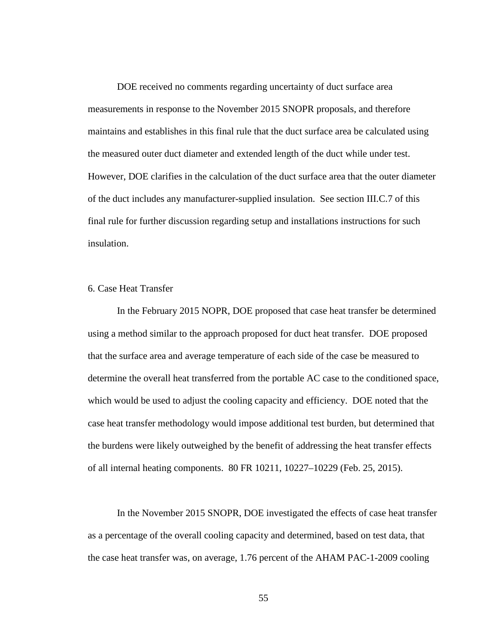DOE received no comments regarding uncertainty of duct surface area measurements in response to the November 2015 SNOPR proposals, and therefore maintains and establishes in this final rule that the duct surface area be calculated using the measured outer duct diameter and extended length of the duct while under test. However, DOE clarifies in the calculation of the duct surface area that the outer diameter of the duct includes any manufacturer-supplied insulation. See section [III.C.7](#page-58-0) of this final rule for further discussion regarding setup and installations instructions for such insulation.

# 6. Case Heat Transfer

In the February 2015 NOPR, DOE proposed that case heat transfer be determined using a method similar to the approach proposed for duct heat transfer. DOE proposed that the surface area and average temperature of each side of the case be measured to determine the overall heat transferred from the portable AC case to the conditioned space, which would be used to adjust the cooling capacity and efficiency. DOE noted that the case heat transfer methodology would impose additional test burden, but determined that the burdens were likely outweighed by the benefit of addressing the heat transfer effects of all internal heating components. 80 FR 10211, 10227–10229 (Feb. 25, 2015).

In the November 2015 SNOPR, DOE investigated the effects of case heat transfer as a percentage of the overall cooling capacity and determined, based on test data, that the case heat transfer was, on average, 1.76 percent of the AHAM PAC-1-2009 cooling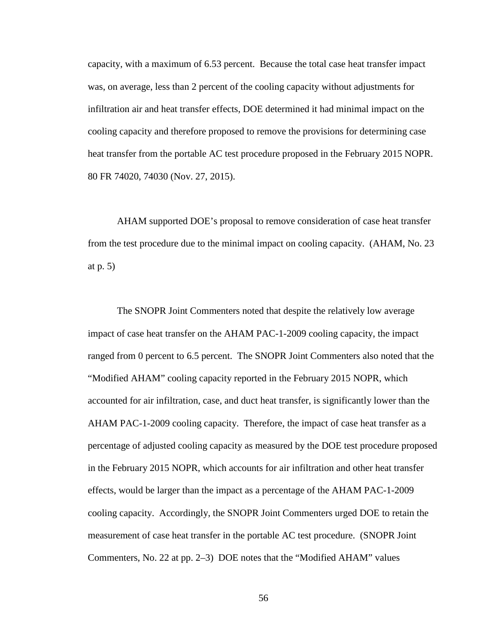capacity, with a maximum of 6.53 percent. Because the total case heat transfer impact was, on average, less than 2 percent of the cooling capacity without adjustments for infiltration air and heat transfer effects, DOE determined it had minimal impact on the cooling capacity and therefore proposed to remove the provisions for determining case heat transfer from the portable AC test procedure proposed in the February 2015 NOPR. 80 FR 74020, 74030 (Nov. 27, 2015).

AHAM supported DOE's proposal to remove consideration of case heat transfer from the test procedure due to the minimal impact on cooling capacity. (AHAM, No. 23 at p. 5)

The SNOPR Joint Commenters noted that despite the relatively low average impact of case heat transfer on the AHAM PAC-1-2009 cooling capacity, the impact ranged from 0 percent to 6.5 percent. The SNOPR Joint Commenters also noted that the "Modified AHAM" cooling capacity reported in the February 2015 NOPR, which accounted for air infiltration, case, and duct heat transfer, is significantly lower than the AHAM PAC-1-2009 cooling capacity. Therefore, the impact of case heat transfer as a percentage of adjusted cooling capacity as measured by the DOE test procedure proposed in the February 2015 NOPR, which accounts for air infiltration and other heat transfer effects, would be larger than the impact as a percentage of the AHAM PAC-1-2009 cooling capacity. Accordingly, the SNOPR Joint Commenters urged DOE to retain the measurement of case heat transfer in the portable AC test procedure. (SNOPR Joint Commenters, No. 22 at pp. 2–3) DOE notes that the "Modified AHAM" values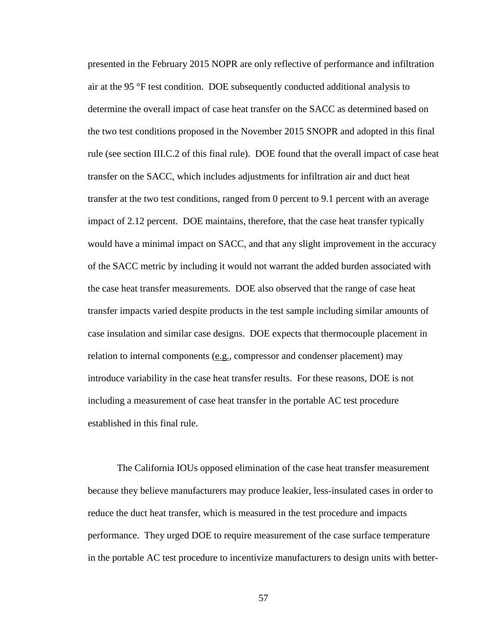presented in the February 2015 NOPR are only reflective of performance and infiltration air at the 95 °F test condition. DOE subsequently conducted additional analysis to determine the overall impact of case heat transfer on the SACC as determined based on the two test conditions proposed in the November 2015 SNOPR and adopted in this final rule (see section [III.C.2](#page-31-1) of this final rule). DOE found that the overall impact of case heat transfer on the SACC, which includes adjustments for infiltration air and duct heat transfer at the two test conditions, ranged from 0 percent to 9.1 percent with an average impact of 2.12 percent. DOE maintains, therefore, that the case heat transfer typically would have a minimal impact on SACC, and that any slight improvement in the accuracy of the SACC metric by including it would not warrant the added burden associated with the case heat transfer measurements. DOE also observed that the range of case heat transfer impacts varied despite products in the test sample including similar amounts of case insulation and similar case designs. DOE expects that thermocouple placement in relation to internal components (e.g., compressor and condenser placement) may introduce variability in the case heat transfer results. For these reasons, DOE is not including a measurement of case heat transfer in the portable AC test procedure established in this final rule.

The California IOUs opposed elimination of the case heat transfer measurement because they believe manufacturers may produce leakier, less-insulated cases in order to reduce the duct heat transfer, which is measured in the test procedure and impacts performance. They urged DOE to require measurement of the case surface temperature in the portable AC test procedure to incentivize manufacturers to design units with better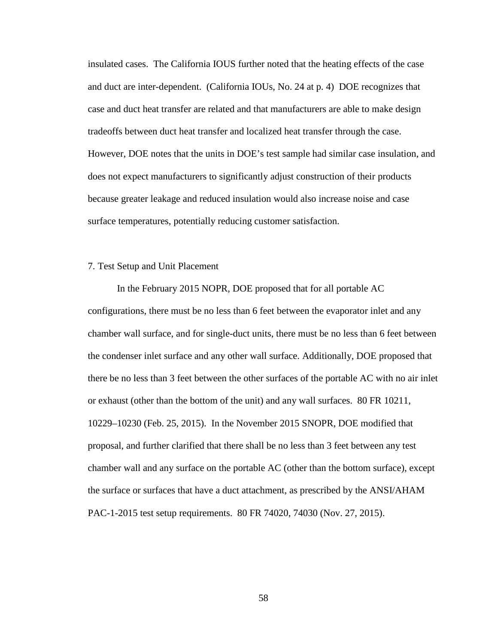insulated cases. The California IOUS further noted that the heating effects of the case and duct are inter-dependent. (California IOUs, No. 24 at p. 4) DOE recognizes that case and duct heat transfer are related and that manufacturers are able to make design tradeoffs between duct heat transfer and localized heat transfer through the case. However, DOE notes that the units in DOE's test sample had similar case insulation, and does not expect manufacturers to significantly adjust construction of their products because greater leakage and reduced insulation would also increase noise and case surface temperatures, potentially reducing customer satisfaction.

#### <span id="page-58-0"></span>7. Test Setup and Unit Placement

In the February 2015 NOPR, DOE proposed that for all portable AC configurations, there must be no less than 6 feet between the evaporator inlet and any chamber wall surface, and for single-duct units, there must be no less than 6 feet between the condenser inlet surface and any other wall surface. Additionally, DOE proposed that there be no less than 3 feet between the other surfaces of the portable AC with no air inlet or exhaust (other than the bottom of the unit) and any wall surfaces. 80 FR 10211, 10229–10230 (Feb. 25, 2015). In the November 2015 SNOPR, DOE modified that proposal, and further clarified that there shall be no less than 3 feet between any test chamber wall and any surface on the portable AC (other than the bottom surface), except the surface or surfaces that have a duct attachment, as prescribed by the ANSI/AHAM PAC-1-2015 test setup requirements. 80 FR 74020, 74030 (Nov. 27, 2015).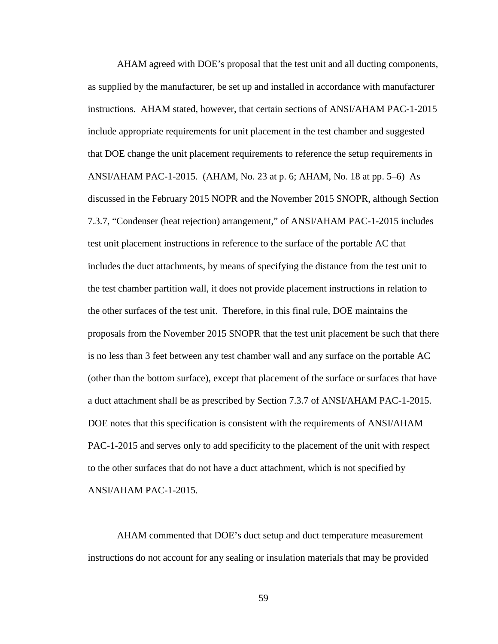AHAM agreed with DOE's proposal that the test unit and all ducting components, as supplied by the manufacturer, be set up and installed in accordance with manufacturer instructions. AHAM stated, however, that certain sections of ANSI/AHAM PAC-1-2015 include appropriate requirements for unit placement in the test chamber and suggested that DOE change the unit placement requirements to reference the setup requirements in ANSI/AHAM PAC-1-2015. (AHAM, No. 23 at p. 6; AHAM, No. 18 at pp. 5–6) As discussed in the February 2015 NOPR and the November 2015 SNOPR, although Section 7.3.7, "Condenser (heat rejection) arrangement," of ANSI/AHAM PAC-1-2015 includes test unit placement instructions in reference to the surface of the portable AC that includes the duct attachments, by means of specifying the distance from the test unit to the test chamber partition wall, it does not provide placement instructions in relation to the other surfaces of the test unit. Therefore, in this final rule, DOE maintains the proposals from the November 2015 SNOPR that the test unit placement be such that there is no less than 3 feet between any test chamber wall and any surface on the portable AC (other than the bottom surface), except that placement of the surface or surfaces that have a duct attachment shall be as prescribed by Section 7.3.7 of ANSI/AHAM PAC-1-2015. DOE notes that this specification is consistent with the requirements of ANSI/AHAM PAC-1-2015 and serves only to add specificity to the placement of the unit with respect to the other surfaces that do not have a duct attachment, which is not specified by ANSI/AHAM PAC-1-2015.

AHAM commented that DOE's duct setup and duct temperature measurement instructions do not account for any sealing or insulation materials that may be provided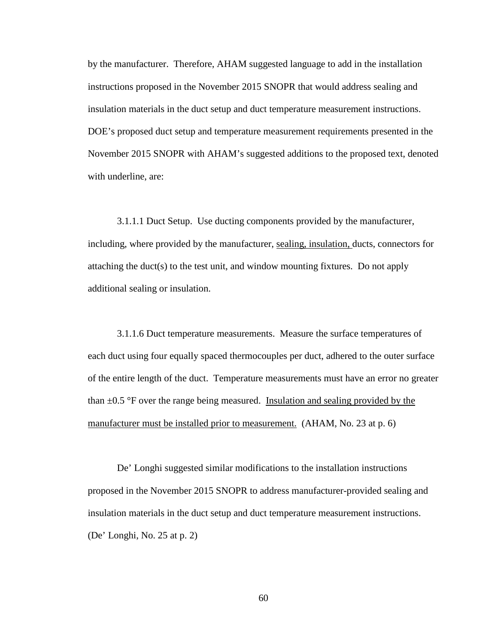by the manufacturer. Therefore, AHAM suggested language to add in the installation instructions proposed in the November 2015 SNOPR that would address sealing and insulation materials in the duct setup and duct temperature measurement instructions. DOE's proposed duct setup and temperature measurement requirements presented in the November 2015 SNOPR with AHAM's suggested additions to the proposed text, denoted with underline, are:

3.1.1.1 Duct Setup. Use ducting components provided by the manufacturer, including, where provided by the manufacturer, sealing, insulation, ducts, connectors for attaching the duct(s) to the test unit, and window mounting fixtures. Do not apply additional sealing or insulation.

3.1.1.6 Duct temperature measurements. Measure the surface temperatures of each duct using four equally spaced thermocouples per duct, adhered to the outer surface of the entire length of the duct. Temperature measurements must have an error no greater than ±0.5 °F over the range being measured. Insulation and sealing provided by the manufacturer must be installed prior to measurement. (AHAM, No. 23 at p. 6)

De' Longhi suggested similar modifications to the installation instructions proposed in the November 2015 SNOPR to address manufacturer-provided sealing and insulation materials in the duct setup and duct temperature measurement instructions. (De' Longhi, No. 25 at p. 2)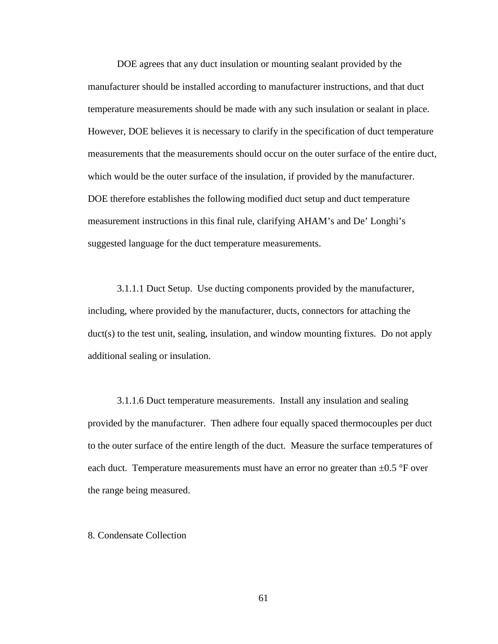DOE agrees that any duct insulation or mounting sealant provided by the manufacturer should be installed according to manufacturer instructions, and that duct temperature measurements should be made with any such insulation or sealant in place. However, DOE believes it is necessary to clarify in the specification of duct temperature measurements that the measurements should occur on the outer surface of the entire duct, which would be the outer surface of the insulation, if provided by the manufacturer. DOE therefore establishes the following modified duct setup and duct temperature measurement instructions in this final rule, clarifying AHAM's and De' Longhi's suggested language for the duct temperature measurements.

3.1.1.1 Duct Setup. Use ducting components provided by the manufacturer, including, where provided by the manufacturer*,* ducts, connectors for attaching the duct(s) to the test unit, sealing, insulation, and window mounting fixtures. Do not apply additional sealing or insulation.

3.1.1.6 Duct temperature measurements. Install any insulation and sealing provided by the manufacturer. Then adhere four equally spaced thermocouples per duct to the outer surface of the entire length of the duct. Measure the surface temperatures of each duct. Temperature measurements must have an error no greater than  $\pm 0.5$  °F over the range being measured.

# <span id="page-61-0"></span>8. Condensate Collection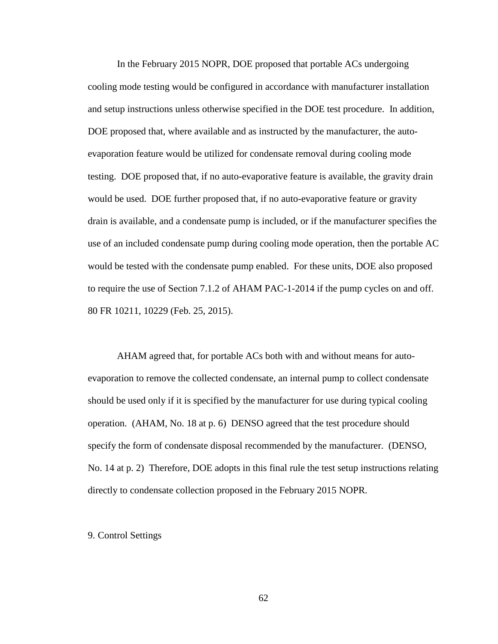In the February 2015 NOPR, DOE proposed that portable ACs undergoing cooling mode testing would be configured in accordance with manufacturer installation and setup instructions unless otherwise specified in the DOE test procedure. In addition, DOE proposed that, where available and as instructed by the manufacturer, the autoevaporation feature would be utilized for condensate removal during cooling mode testing. DOE proposed that, if no auto-evaporative feature is available, the gravity drain would be used. DOE further proposed that, if no auto-evaporative feature or gravity drain is available, and a condensate pump is included, or if the manufacturer specifies the use of an included condensate pump during cooling mode operation, then the portable AC would be tested with the condensate pump enabled. For these units, DOE also proposed to require the use of Section 7.1.2 of AHAM PAC-1-2014 if the pump cycles on and off. 80 FR 10211, 10229 (Feb. 25, 2015).

AHAM agreed that, for portable ACs both with and without means for autoevaporation to remove the collected condensate, an internal pump to collect condensate should be used only if it is specified by the manufacturer for use during typical cooling operation. (AHAM, No. 18 at p. 6) DENSO agreed that the test procedure should specify the form of condensate disposal recommended by the manufacturer. (DENSO, No. 14 at p. 2) Therefore, DOE adopts in this final rule the test setup instructions relating directly to condensate collection proposed in the February 2015 NOPR.

9. Control Settings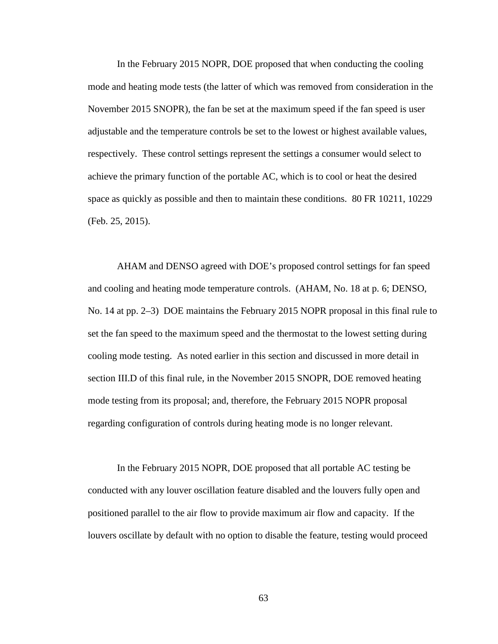In the February 2015 NOPR, DOE proposed that when conducting the cooling mode and heating mode tests (the latter of which was removed from consideration in the November 2015 SNOPR), the fan be set at the maximum speed if the fan speed is user adjustable and the temperature controls be set to the lowest or highest available values, respectively. These control settings represent the settings a consumer would select to achieve the primary function of the portable AC, which is to cool or heat the desired space as quickly as possible and then to maintain these conditions. 80 FR 10211, 10229 (Feb. 25, 2015).

AHAM and DENSO agreed with DOE's proposed control settings for fan speed and cooling and heating mode temperature controls. (AHAM, No. 18 at p. 6; DENSO, No. 14 at pp. 2–3) DOE maintains the February 2015 NOPR proposal in this final rule to set the fan speed to the maximum speed and the thermostat to the lowest setting during cooling mode testing. As noted earlier in this section and discussed in more detail in section [III.D](#page-66-0) of this final rule, in the November 2015 SNOPR, DOE removed heating mode testing from its proposal; and, therefore, the February 2015 NOPR proposal regarding configuration of controls during heating mode is no longer relevant.

In the February 2015 NOPR, DOE proposed that all portable AC testing be conducted with any louver oscillation feature disabled and the louvers fully open and positioned parallel to the air flow to provide maximum air flow and capacity. If the louvers oscillate by default with no option to disable the feature, testing would proceed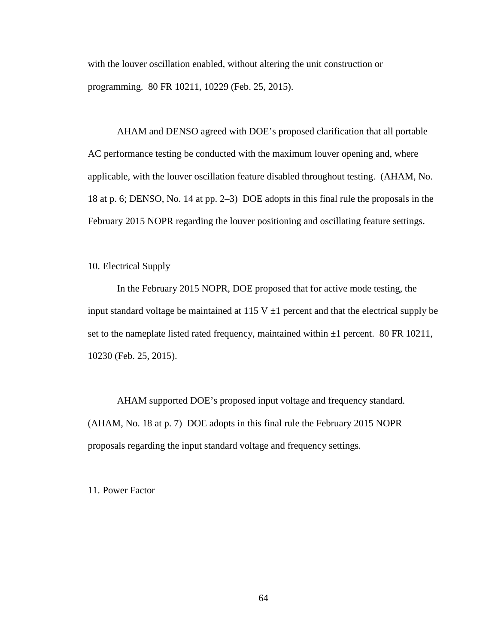with the louver oscillation enabled, without altering the unit construction or programming. 80 FR 10211, 10229 (Feb. 25, 2015).

AHAM and DENSO agreed with DOE's proposed clarification that all portable AC performance testing be conducted with the maximum louver opening and, where applicable, with the louver oscillation feature disabled throughout testing. (AHAM, No. 18 at p. 6; DENSO, No. 14 at pp. 2–3) DOE adopts in this final rule the proposals in the February 2015 NOPR regarding the louver positioning and oscillating feature settings.

<span id="page-64-0"></span>10. Electrical Supply

In the February 2015 NOPR, DOE proposed that for active mode testing, the input standard voltage be maintained at 115 V  $\pm$ 1 percent and that the electrical supply be set to the nameplate listed rated frequency, maintained within  $\pm 1$  percent. 80 FR 10211, 10230 (Feb. 25, 2015).

AHAM supported DOE's proposed input voltage and frequency standard. (AHAM, No. 18 at p. 7) DOE adopts in this final rule the February 2015 NOPR proposals regarding the input standard voltage and frequency settings.

11. Power Factor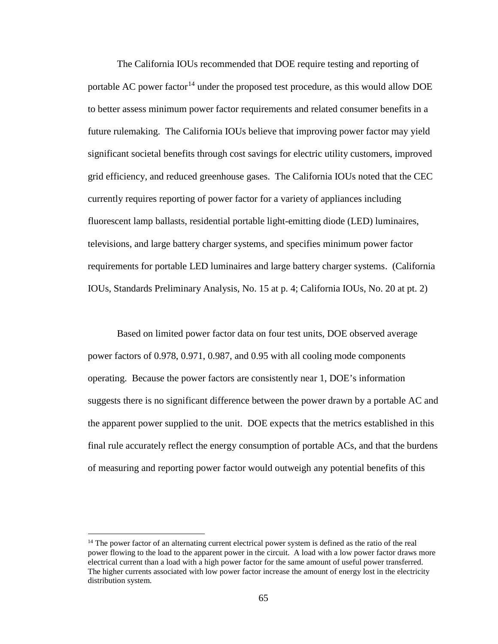The California IOUs recommended that DOE require testing and reporting of portable AC power factor<sup>[14](#page-65-0)</sup> under the proposed test procedure, as this would allow DOE to better assess minimum power factor requirements and related consumer benefits in a future rulemaking. The California IOUs believe that improving power factor may yield significant societal benefits through cost savings for electric utility customers, improved grid efficiency, and reduced greenhouse gases. The California IOUs noted that the CEC currently requires reporting of power factor for a variety of appliances including fluorescent lamp ballasts, residential portable light-emitting diode (LED) luminaires, televisions, and large battery charger systems, and specifies minimum power factor requirements for portable LED luminaires and large battery charger systems. (California IOUs, Standards Preliminary Analysis, No. 15 at p. 4; California IOUs, No. 20 at pt. 2)

Based on limited power factor data on four test units, DOE observed average power factors of 0.978, 0.971, 0.987, and 0.95 with all cooling mode components operating. Because the power factors are consistently near 1, DOE's information suggests there is no significant difference between the power drawn by a portable AC and the apparent power supplied to the unit. DOE expects that the metrics established in this final rule accurately reflect the energy consumption of portable ACs, and that the burdens of measuring and reporting power factor would outweigh any potential benefits of this

<span id="page-65-0"></span><sup>&</sup>lt;sup>14</sup> The power factor of an alternating current electrical power system is defined as the ratio of the real power flowing to the load to the apparent power in the circuit. A load with a low power factor draws more electrical current than a load with a high power factor for the same amount of useful power transferred. The higher currents associated with low power factor increase the amount of energy lost in the electricity distribution system.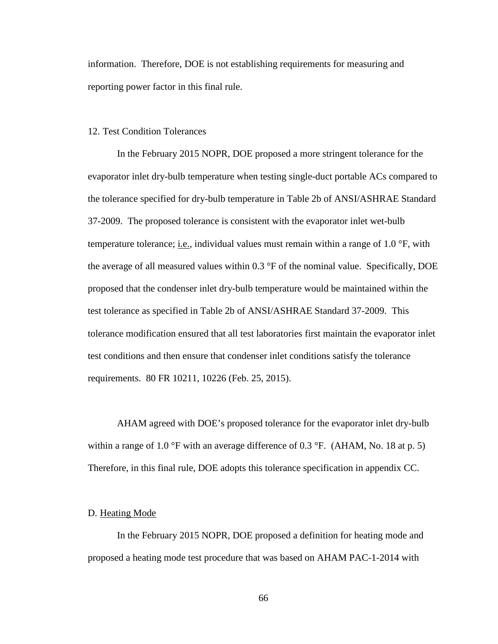information. Therefore, DOE is not establishing requirements for measuring and reporting power factor in this final rule.

### 12. Test Condition Tolerances

In the February 2015 NOPR, DOE proposed a more stringent tolerance for the evaporator inlet dry-bulb temperature when testing single-duct portable ACs compared to the tolerance specified for dry-bulb temperature in Table 2b of ANSI/ASHRAE Standard 37-2009. The proposed tolerance is consistent with the evaporator inlet wet-bulb temperature tolerance; i.e., individual values must remain within a range of 1.0  $\textdegree$ F, with the average of all measured values within 0.3 °F of the nominal value. Specifically, DOE proposed that the condenser inlet dry-bulb temperature would be maintained within the test tolerance as specified in Table 2b of ANSI/ASHRAE Standard 37-2009. This tolerance modification ensured that all test laboratories first maintain the evaporator inlet test conditions and then ensure that condenser inlet conditions satisfy the tolerance requirements. 80 FR 10211, 10226 (Feb. 25, 2015).

AHAM agreed with DOE's proposed tolerance for the evaporator inlet dry-bulb within a range of 1.0 °F with an average difference of 0.3 °F. (AHAM, No. 18 at p. 5) Therefore, in this final rule, DOE adopts this tolerance specification in appendix CC.

#### <span id="page-66-0"></span>D. Heating Mode

In the February 2015 NOPR, DOE proposed a definition for heating mode and proposed a heating mode test procedure that was based on AHAM PAC-1-2014 with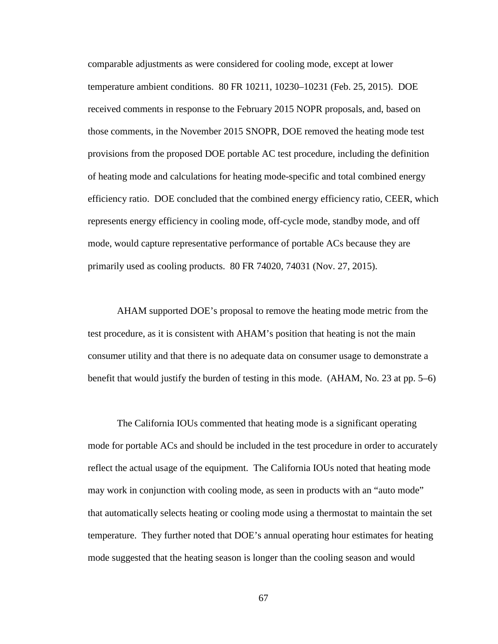comparable adjustments as were considered for cooling mode, except at lower temperature ambient conditions. 80 FR 10211, 10230–10231 (Feb. 25, 2015). DOE received comments in response to the February 2015 NOPR proposals, and, based on those comments, in the November 2015 SNOPR, DOE removed the heating mode test provisions from the proposed DOE portable AC test procedure, including the definition of heating mode and calculations for heating mode-specific and total combined energy efficiency ratio. DOE concluded that the combined energy efficiency ratio, CEER, which represents energy efficiency in cooling mode, off-cycle mode, standby mode, and off mode, would capture representative performance of portable ACs because they are primarily used as cooling products. 80 FR 74020, 74031 (Nov. 27, 2015).

AHAM supported DOE's proposal to remove the heating mode metric from the test procedure, as it is consistent with AHAM's position that heating is not the main consumer utility and that there is no adequate data on consumer usage to demonstrate a benefit that would justify the burden of testing in this mode. (AHAM, No. 23 at pp. 5–6)

The California IOUs commented that heating mode is a significant operating mode for portable ACs and should be included in the test procedure in order to accurately reflect the actual usage of the equipment. The California IOUs noted that heating mode may work in conjunction with cooling mode, as seen in products with an "auto mode" that automatically selects heating or cooling mode using a thermostat to maintain the set temperature. They further noted that DOE's annual operating hour estimates for heating mode suggested that the heating season is longer than the cooling season and would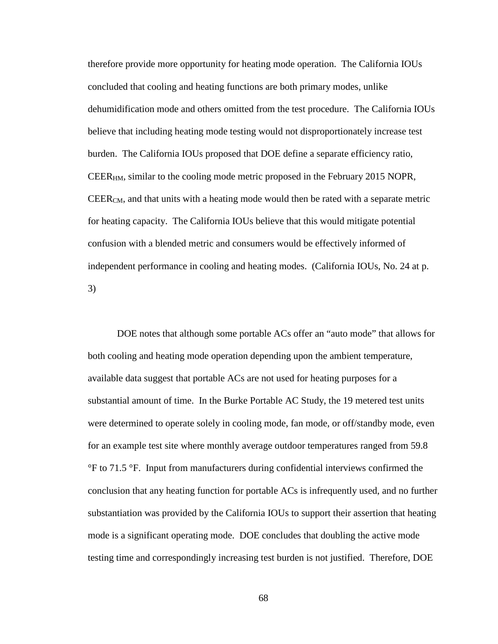therefore provide more opportunity for heating mode operation. The California IOUs concluded that cooling and heating functions are both primary modes, unlike dehumidification mode and others omitted from the test procedure. The California IOUs believe that including heating mode testing would not disproportionately increase test burden. The California IOUs proposed that DOE define a separate efficiency ratio, CEERHM, similar to the cooling mode metric proposed in the February 2015 NOPR, CEERCM, and that units with a heating mode would then be rated with a separate metric for heating capacity. The California IOUs believe that this would mitigate potential confusion with a blended metric and consumers would be effectively informed of independent performance in cooling and heating modes. (California IOUs, No. 24 at p. 3)

DOE notes that although some portable ACs offer an "auto mode" that allows for both cooling and heating mode operation depending upon the ambient temperature, available data suggest that portable ACs are not used for heating purposes for a substantial amount of time. In the Burke Portable AC Study, the 19 metered test units were determined to operate solely in cooling mode, fan mode, or off/standby mode, even for an example test site where monthly average outdoor temperatures ranged from 59.8 °F to 71.5 °F. Input from manufacturers during confidential interviews confirmed the conclusion that any heating function for portable ACs is infrequently used, and no further substantiation was provided by the California IOUs to support their assertion that heating mode is a significant operating mode. DOE concludes that doubling the active mode testing time and correspondingly increasing test burden is not justified. Therefore, DOE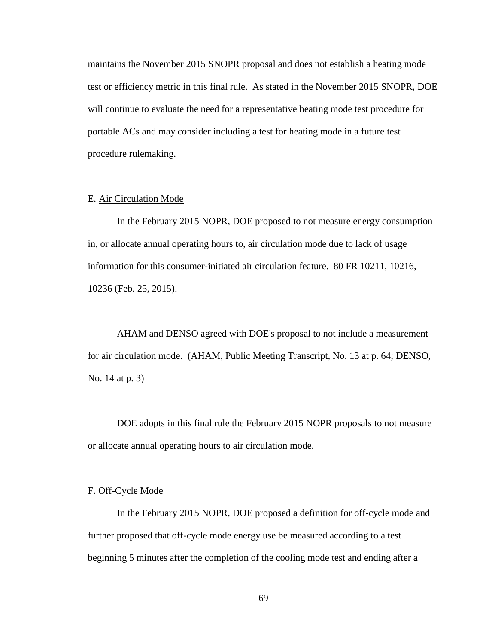maintains the November 2015 SNOPR proposal and does not establish a heating mode test or efficiency metric in this final rule. As stated in the November 2015 SNOPR, DOE will continue to evaluate the need for a representative heating mode test procedure for portable ACs and may consider including a test for heating mode in a future test procedure rulemaking.

### E. Air Circulation Mode

In the February 2015 NOPR, DOE proposed to not measure energy consumption in, or allocate annual operating hours to, air circulation mode due to lack of usage information for this consumer-initiated air circulation feature. 80 FR 10211, 10216, 10236 (Feb. 25, 2015).

AHAM and DENSO agreed with DOE's proposal to not include a measurement for air circulation mode. (AHAM, Public Meeting Transcript, No. 13 at p. 64; DENSO, No. 14 at p. 3)

DOE adopts in this final rule the February 2015 NOPR proposals to not measure or allocate annual operating hours to air circulation mode.

#### F. Off-Cycle Mode

In the February 2015 NOPR, DOE proposed a definition for off-cycle mode and further proposed that off-cycle mode energy use be measured according to a test beginning 5 minutes after the completion of the cooling mode test and ending after a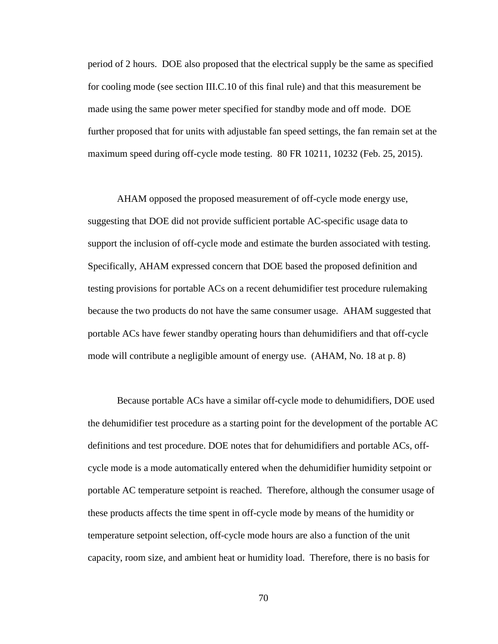period of 2 hours. DOE also proposed that the electrical supply be the same as specified for cooling mode (see section [III.C.10](#page-64-0) of this final rule) and that this measurement be made using the same power meter specified for standby mode and off mode. DOE further proposed that for units with adjustable fan speed settings, the fan remain set at the maximum speed during off-cycle mode testing. 80 FR 10211, 10232 (Feb. 25, 2015).

AHAM opposed the proposed measurement of off-cycle mode energy use, suggesting that DOE did not provide sufficient portable AC-specific usage data to support the inclusion of off-cycle mode and estimate the burden associated with testing. Specifically, AHAM expressed concern that DOE based the proposed definition and testing provisions for portable ACs on a recent dehumidifier test procedure rulemaking because the two products do not have the same consumer usage. AHAM suggested that portable ACs have fewer standby operating hours than dehumidifiers and that off-cycle mode will contribute a negligible amount of energy use. (AHAM, No. 18 at p. 8)

Because portable ACs have a similar off-cycle mode to dehumidifiers, DOE used the dehumidifier test procedure as a starting point for the development of the portable AC definitions and test procedure. DOE notes that for dehumidifiers and portable ACs, offcycle mode is a mode automatically entered when the dehumidifier humidity setpoint or portable AC temperature setpoint is reached. Therefore, although the consumer usage of these products affects the time spent in off-cycle mode by means of the humidity or temperature setpoint selection, off-cycle mode hours are also a function of the unit capacity, room size, and ambient heat or humidity load. Therefore, there is no basis for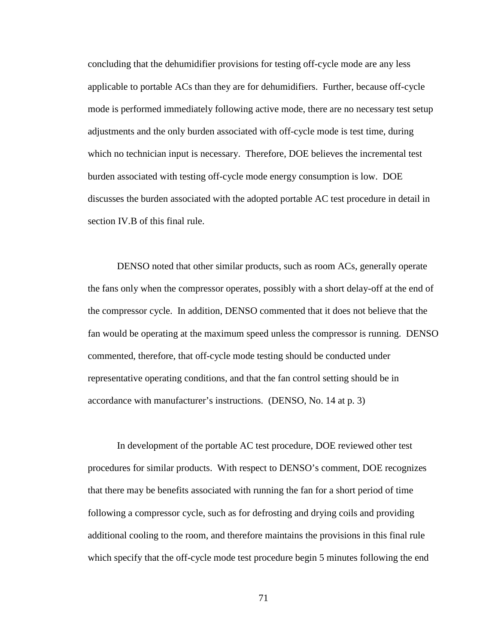concluding that the dehumidifier provisions for testing off-cycle mode are any less applicable to portable ACs than they are for dehumidifiers. Further, because off-cycle mode is performed immediately following active mode, there are no necessary test setup adjustments and the only burden associated with off-cycle mode is test time, during which no technician input is necessary. Therefore, DOE believes the incremental test burden associated with testing off-cycle mode energy consumption is low. DOE discusses the burden associated with the adopted portable AC test procedure in detail in section [IV.B](#page-83-0) of this final rule.

DENSO noted that other similar products, such as room ACs, generally operate the fans only when the compressor operates, possibly with a short delay-off at the end of the compressor cycle. In addition, DENSO commented that it does not believe that the fan would be operating at the maximum speed unless the compressor is running. DENSO commented, therefore, that off-cycle mode testing should be conducted under representative operating conditions, and that the fan control setting should be in accordance with manufacturer's instructions. (DENSO, No. 14 at p. 3)

In development of the portable AC test procedure, DOE reviewed other test procedures for similar products. With respect to DENSO's comment, DOE recognizes that there may be benefits associated with running the fan for a short period of time following a compressor cycle, such as for defrosting and drying coils and providing additional cooling to the room, and therefore maintains the provisions in this final rule which specify that the off-cycle mode test procedure begin 5 minutes following the end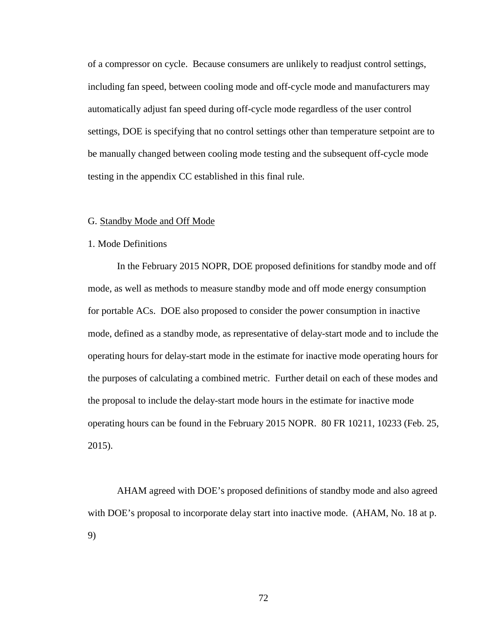of a compressor on cycle. Because consumers are unlikely to readjust control settings, including fan speed, between cooling mode and off-cycle mode and manufacturers may automatically adjust fan speed during off-cycle mode regardless of the user control settings, DOE is specifying that no control settings other than temperature setpoint are to be manually changed between cooling mode testing and the subsequent off-cycle mode testing in the appendix CC established in this final rule.

#### G. Standby Mode and Off Mode

# 1. Mode Definitions

In the February 2015 NOPR, DOE proposed definitions for standby mode and off mode, as well as methods to measure standby mode and off mode energy consumption for portable ACs. DOE also proposed to consider the power consumption in inactive mode, defined as a standby mode, as representative of delay-start mode and to include the operating hours for delay-start mode in the estimate for inactive mode operating hours for the purposes of calculating a combined metric. Further detail on each of these modes and the proposal to include the delay-start mode hours in the estimate for inactive mode operating hours can be found in the February 2015 NOPR. 80 FR 10211, 10233 (Feb. 25, 2015).

AHAM agreed with DOE's proposed definitions of standby mode and also agreed with DOE's proposal to incorporate delay start into inactive mode. (AHAM, No. 18 at p. 9)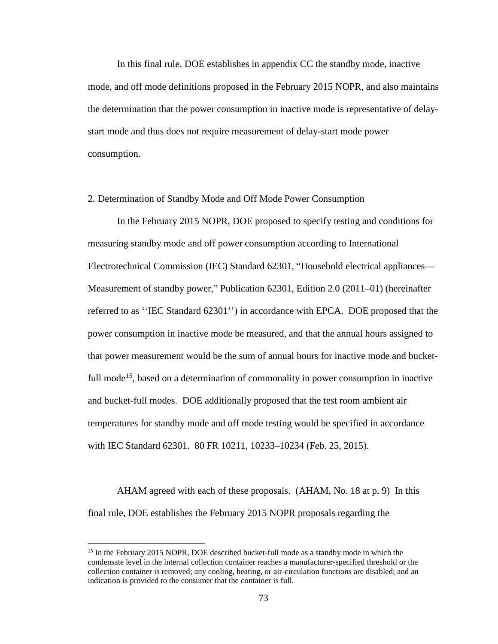In this final rule, DOE establishes in appendix CC the standby mode, inactive mode, and off mode definitions proposed in the February 2015 NOPR, and also maintains the determination that the power consumption in inactive mode is representative of delaystart mode and thus does not require measurement of delay-start mode power consumption.

# 2. Determination of Standby Mode and Off Mode Power Consumption

In the February 2015 NOPR, DOE proposed to specify testing and conditions for measuring standby mode and off power consumption according to International Electrotechnical Commission (IEC) Standard 62301, "Household electrical appliances— Measurement of standby power," Publication 62301, Edition 2.0 (2011–01) (hereinafter referred to as ''IEC Standard 62301'') in accordance with EPCA. DOE proposed that the power consumption in inactive mode be measured, and that the annual hours assigned to that power measurement would be the sum of annual hours for inactive mode and bucketfull mode<sup>15</sup>, based on a determination of commonality in power consumption in inactive and bucket-full modes. DOE additionally proposed that the test room ambient air temperatures for standby mode and off mode testing would be specified in accordance with IEC Standard 62301. 80 FR 10211, 10233–10234 (Feb. 25, 2015).

AHAM agreed with each of these proposals. (AHAM, No. 18 at p. 9) In this final rule, DOE establishes the February 2015 NOPR proposals regarding the

<span id="page-73-0"></span><sup>&</sup>lt;sup>15</sup> In the February 2015 NOPR, DOE described bucket-full mode as a standby mode in which the condensate level in the internal collection container reaches a manufacturer-specified threshold or the collection container is removed; any cooling, heating, or air-circulation functions are disabled; and an indication is provided to the consumer that the container is full.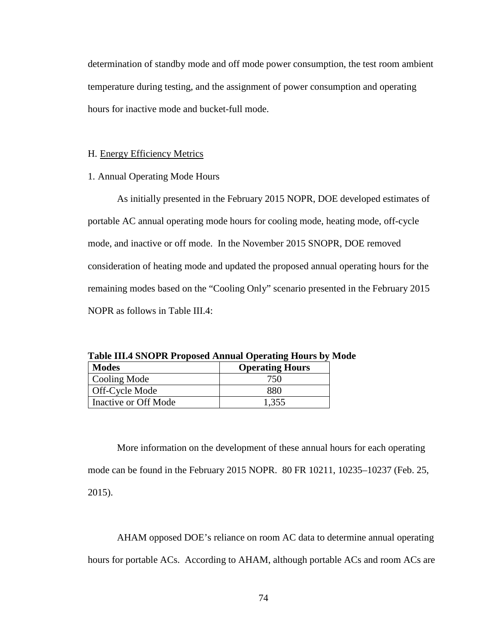determination of standby mode and off mode power consumption, the test room ambient temperature during testing, and the assignment of power consumption and operating hours for inactive mode and bucket-full mode.

# H. Energy Efficiency Metrics

1. Annual Operating Mode Hours

As initially presented in the February 2015 NOPR, DOE developed estimates of portable AC annual operating mode hours for cooling mode, heating mode, off-cycle mode, and inactive or off mode. In the November 2015 SNOPR, DOE removed consideration of heating mode and updated the proposed annual operating hours for the remaining modes based on the "Cooling Only" scenario presented in the February 2015 NOPR as follows in Table III.4:

| <b>Modes</b>         | <b>Operating Hours</b> |
|----------------------|------------------------|
| Cooling Mode         | 750                    |
| Off-Cycle Mode       | 880                    |
| Inactive or Off Mode | 1,355                  |

<span id="page-74-0"></span>**Table III.4 SNOPR Proposed Annual Operating Hours by Mode**

More information on the development of these annual hours for each operating mode can be found in the February 2015 NOPR. 80 FR 10211, 10235–10237 (Feb. 25, 2015).

AHAM opposed DOE's reliance on room AC data to determine annual operating hours for portable ACs. According to AHAM, although portable ACs and room ACs are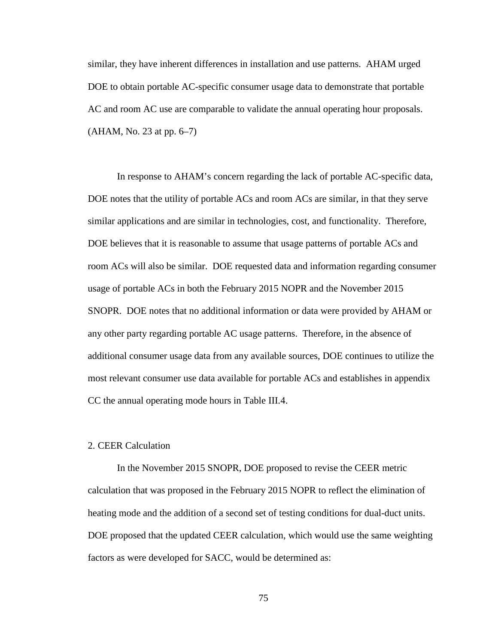similar, they have inherent differences in installation and use patterns. AHAM urged DOE to obtain portable AC-specific consumer usage data to demonstrate that portable AC and room AC use are comparable to validate the annual operating hour proposals. (AHAM, No. 23 at pp. 6–7)

In response to AHAM's concern regarding the lack of portable AC-specific data, DOE notes that the utility of portable ACs and room ACs are similar, in that they serve similar applications and are similar in technologies, cost, and functionality. Therefore, DOE believes that it is reasonable to assume that usage patterns of portable ACs and room ACs will also be similar. DOE requested data and information regarding consumer usage of portable ACs in both the February 2015 NOPR and the November 2015 SNOPR. DOE notes that no additional information or data were provided by AHAM or any other party regarding portable AC usage patterns. Therefore, in the absence of additional consumer usage data from any available sources, DOE continues to utilize the most relevant consumer use data available for portable ACs and establishes in appendix CC the annual operating mode hours in [Table III.4.](#page-74-0)

# 2. CEER Calculation

In the November 2015 SNOPR, DOE proposed to revise the CEER metric calculation that was proposed in the February 2015 NOPR to reflect the elimination of heating mode and the addition of a second set of testing conditions for dual-duct units. DOE proposed that the updated CEER calculation, which would use the same weighting factors as were developed for SACC, would be determined as: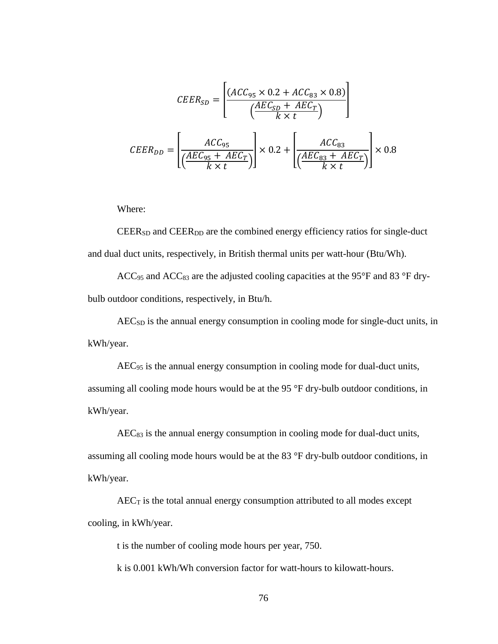$$
CEER_{SD} = \left[\frac{(ACC_{95} \times 0.2 + ACC_{83} \times 0.8)}{\left(\frac{AEC_{SD} + AEC_T}{k \times t}\right)}\right]
$$

$$
CEER_{DD} = \left[\frac{ACC_{95}}{\left(\frac{AEC_{95} + AEC_T}{k \times t}\right)}\right] \times 0.2 + \left[\frac{ACC_{83}}{\left(\frac{AEC_{83} + AEC_T}{k \times t}\right)}\right] \times 0.8
$$

Where:

CEERSD and CEERDD are the combined energy efficiency ratios for single-duct and dual duct units, respectively, in British thermal units per watt-hour (Btu/Wh).

 $ACC_{95}$  and  $ACC_{83}$  are the adjusted cooling capacities at the 95°F and 83 °F drybulb outdoor conditions, respectively, in Btu/h.

AECSD is the annual energy consumption in cooling mode for single-duct units, in kWh/year.

AEC95 is the annual energy consumption in cooling mode for dual-duct units,

assuming all cooling mode hours would be at the 95 °F dry-bulb outdoor conditions, in kWh/year.

AEC83 is the annual energy consumption in cooling mode for dual-duct units, assuming all cooling mode hours would be at the 83 °F dry-bulb outdoor conditions, in kWh/year.

 $AEC_T$  is the total annual energy consumption attributed to all modes except cooling, in kWh/year.

t is the number of cooling mode hours per year, 750.

k is 0.001 kWh/Wh conversion factor for watt-hours to kilowatt-hours.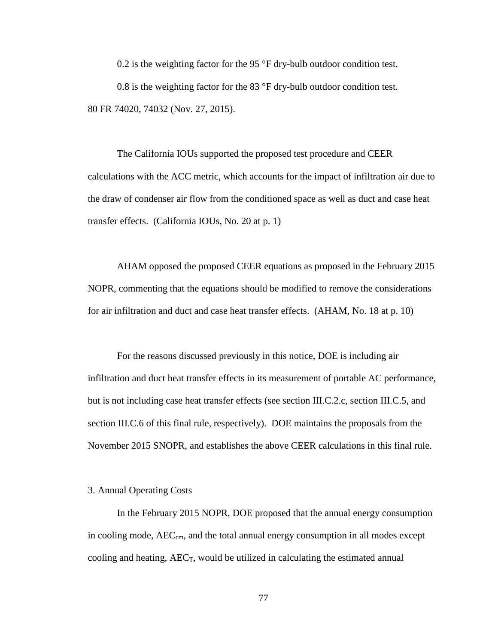0.2 is the weighting factor for the 95 °F dry-bulb outdoor condition test.

0.8 is the weighting factor for the 83 °F dry-bulb outdoor condition test. 80 FR 74020, 74032 (Nov. 27, 2015).

The California IOUs supported the proposed test procedure and CEER calculations with the ACC metric, which accounts for the impact of infiltration air due to the draw of condenser air flow from the conditioned space as well as duct and case heat transfer effects. (California IOUs, No. 20 at p. 1)

AHAM opposed the proposed CEER equations as proposed in the February 2015 NOPR, commenting that the equations should be modified to remove the considerations for air infiltration and duct and case heat transfer effects. (AHAM, No. 18 at p. 10)

For the reasons discussed previously in this notice, DOE is including air infiltration and duct heat transfer effects in its measurement of portable AC performance, but is not including case heat transfer effects (see section [III.C.2.c,](#page-44-0) section [III.C.5,](#page-50-0) and section [III.C.6](#page-55-0) of this final rule, respectively). DOE maintains the proposals from the November 2015 SNOPR, and establishes the above CEER calculations in this final rule.

# 3. Annual Operating Costs

In the February 2015 NOPR, DOE proposed that the annual energy consumption in cooling mode, AEC<sub>cm</sub>, and the total annual energy consumption in all modes except cooling and heating,  $AEC_T$ , would be utilized in calculating the estimated annual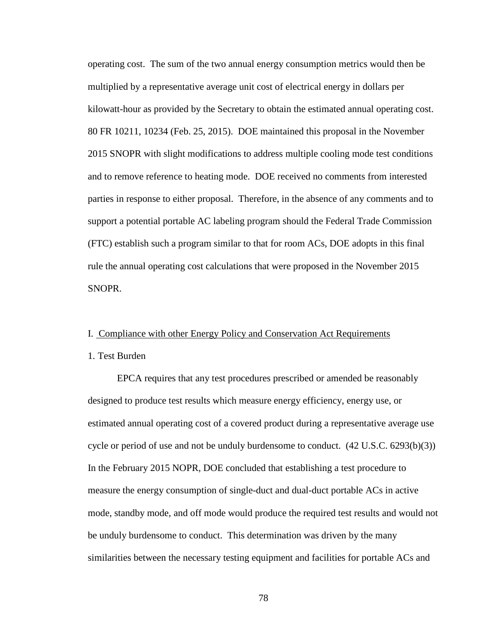operating cost. The sum of the two annual energy consumption metrics would then be multiplied by a representative average unit cost of electrical energy in dollars per kilowatt-hour as provided by the Secretary to obtain the estimated annual operating cost. 80 FR 10211, 10234 (Feb. 25, 2015). DOE maintained this proposal in the November 2015 SNOPR with slight modifications to address multiple cooling mode test conditions and to remove reference to heating mode. DOE received no comments from interested parties in response to either proposal. Therefore, in the absence of any comments and to support a potential portable AC labeling program should the Federal Trade Commission (FTC) establish such a program similar to that for room ACs, DOE adopts in this final rule the annual operating cost calculations that were proposed in the November 2015 SNOPR.

# I. Compliance with other Energy Policy and Conservation Act Requirements

#### 1. Test Burden

EPCA requires that any test procedures prescribed or amended be reasonably designed to produce test results which measure energy efficiency, energy use, or estimated annual operating cost of a covered product during a representative average use cycle or period of use and not be unduly burdensome to conduct.  $(42 \text{ U.S.C. } 6293(b)(3))$ In the February 2015 NOPR, DOE concluded that establishing a test procedure to measure the energy consumption of single-duct and dual-duct portable ACs in active mode, standby mode, and off mode would produce the required test results and would not be unduly burdensome to conduct. This determination was driven by the many similarities between the necessary testing equipment and facilities for portable ACs and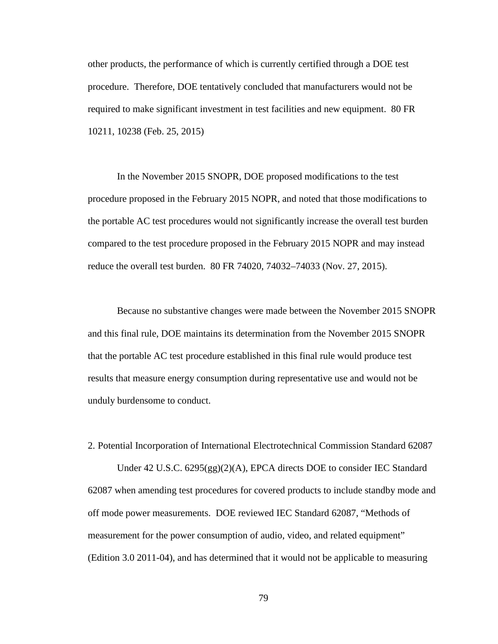other products, the performance of which is currently certified through a DOE test procedure. Therefore, DOE tentatively concluded that manufacturers would not be required to make significant investment in test facilities and new equipment. 80 FR 10211, 10238 (Feb. 25, 2015)

In the November 2015 SNOPR, DOE proposed modifications to the test procedure proposed in the February 2015 NOPR, and noted that those modifications to the portable AC test procedures would not significantly increase the overall test burden compared to the test procedure proposed in the February 2015 NOPR and may instead reduce the overall test burden. 80 FR 74020, 74032–74033 (Nov. 27, 2015).

Because no substantive changes were made between the November 2015 SNOPR and this final rule, DOE maintains its determination from the November 2015 SNOPR that the portable AC test procedure established in this final rule would produce test results that measure energy consumption during representative use and would not be unduly burdensome to conduct.

2. Potential Incorporation of International Electrotechnical Commission Standard 62087 Under 42 U.S.C. 6295(gg)(2)(A), EPCA directs DOE to consider IEC Standard 62087 when amending test procedures for covered products to include standby mode and off mode power measurements. DOE reviewed IEC Standard 62087, "Methods of measurement for the power consumption of audio, video, and related equipment" (Edition 3.0 2011-04), and has determined that it would not be applicable to measuring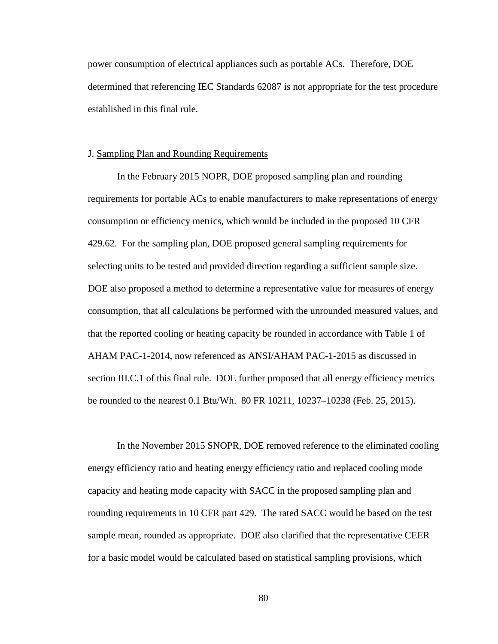power consumption of electrical appliances such as portable ACs. Therefore, DOE determined that referencing IEC Standards 62087 is not appropriate for the test procedure established in this final rule.

# J. Sampling Plan and Rounding Requirements

In the February 2015 NOPR, DOE proposed sampling plan and rounding requirements for portable ACs to enable manufacturers to make representations of energy consumption or efficiency metrics, which would be included in the proposed 10 CFR 429.62. For the sampling plan, DOE proposed general sampling requirements for selecting units to be tested and provided direction regarding a sufficient sample size. DOE also proposed a method to determine a representative value for measures of energy consumption, that all calculations be performed with the unrounded measured values, and that the reported cooling or heating capacity be rounded in accordance with Table 1 of AHAM PAC-1-2014, now referenced as ANSI/AHAM PAC-1-2015 as discussed in section [III.C.1](#page-25-0) of this final rule. DOE further proposed that all energy efficiency metrics be rounded to the nearest 0.1 Btu/Wh. 80 FR 10211, 10237–10238 (Feb. 25, 2015).

In the November 2015 SNOPR, DOE removed reference to the eliminated cooling energy efficiency ratio and heating energy efficiency ratio and replaced cooling mode capacity and heating mode capacity with SACC in the proposed sampling plan and rounding requirements in 10 CFR part 429. The rated SACC would be based on the test sample mean, rounded as appropriate. DOE also clarified that the representative CEER for a basic model would be calculated based on statistical sampling provisions, which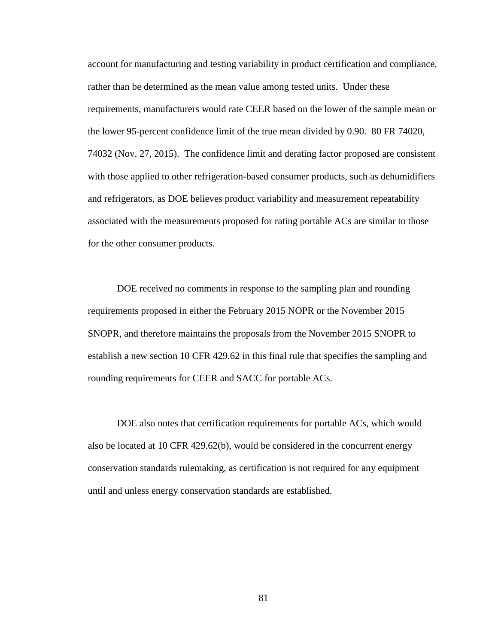account for manufacturing and testing variability in product certification and compliance, rather than be determined as the mean value among tested units. Under these requirements, manufacturers would rate CEER based on the lower of the sample mean or the lower 95-percent confidence limit of the true mean divided by 0.90. 80 FR 74020, 74032 (Nov. 27, 2015). The confidence limit and derating factor proposed are consistent with those applied to other refrigeration-based consumer products, such as dehumidifiers and refrigerators, as DOE believes product variability and measurement repeatability associated with the measurements proposed for rating portable ACs are similar to those for the other consumer products.

DOE received no comments in response to the sampling plan and rounding requirements proposed in either the February 2015 NOPR or the November 2015 SNOPR, and therefore maintains the proposals from the November 2015 SNOPR to establish a new section 10 CFR 429.62 in this final rule that specifies the sampling and rounding requirements for CEER and SACC for portable ACs.

DOE also notes that certification requirements for portable ACs, which would also be located at 10 CFR 429.62(b), would be considered in the concurrent energy conservation standards rulemaking, as certification is not required for any equipment until and unless energy conservation standards are established.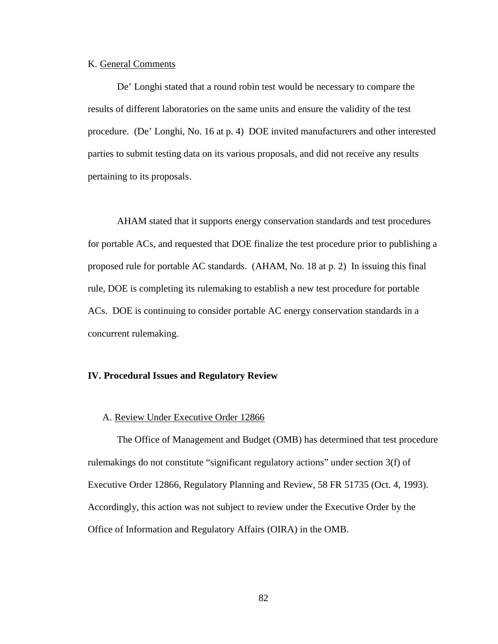# K. General Comments

De' Longhi stated that a round robin test would be necessary to compare the results of different laboratories on the same units and ensure the validity of the test procedure. (De' Longhi, No. 16 at p. 4) DOE invited manufacturers and other interested parties to submit testing data on its various proposals, and did not receive any results pertaining to its proposals.

AHAM stated that it supports energy conservation standards and test procedures for portable ACs, and requested that DOE finalize the test procedure prior to publishing a proposed rule for portable AC standards. (AHAM, No. 18 at p. 2) In issuing this final rule, DOE is completing its rulemaking to establish a new test procedure for portable ACs. DOE is continuing to consider portable AC energy conservation standards in a concurrent rulemaking.

# **IV. Procedural Issues and Regulatory Review**

# A. Review Under Executive Order 12866

The Office of Management and Budget (OMB) has determined that test procedure rulemakings do not constitute "significant regulatory actions" under section 3(f) of Executive Order 12866, Regulatory Planning and Review, 58 FR 51735 (Oct. 4, 1993). Accordingly, this action was not subject to review under the Executive Order by the Office of Information and Regulatory Affairs (OIRA) in the OMB.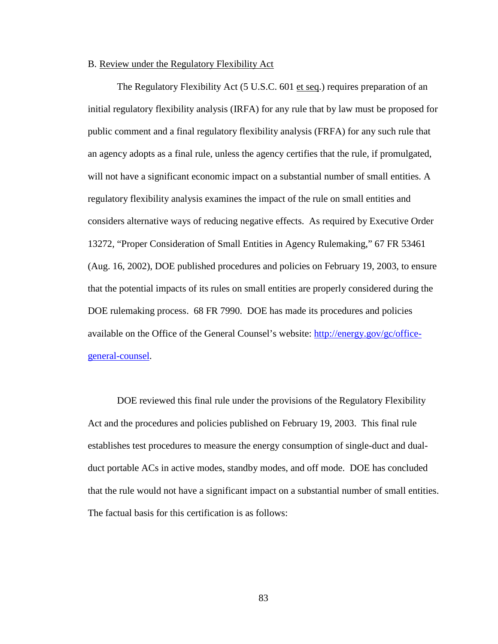#### B. Review under the Regulatory Flexibility Act

The Regulatory Flexibility Act (5 U.S.C. 601 et seq.) requires preparation of an initial regulatory flexibility analysis (IRFA) for any rule that by law must be proposed for public comment and a final regulatory flexibility analysis (FRFA) for any such rule that an agency adopts as a final rule, unless the agency certifies that the rule, if promulgated, will not have a significant economic impact on a substantial number of small entities. A regulatory flexibility analysis examines the impact of the rule on small entities and considers alternative ways of reducing negative effects. As required by Executive Order 13272, "Proper Consideration of Small Entities in Agency Rulemaking," 67 FR 53461 (Aug. 16, 2002), DOE published procedures and policies on February 19, 2003, to ensure that the potential impacts of its rules on small entities are properly considered during the DOE rulemaking process. 68 FR 7990. DOE has made its procedures and policies available on the Office of the General Counsel's website: [http://energy.gov/gc/office](http://energy.gov/gc/office-general-counsel)[general-counsel.](http://energy.gov/gc/office-general-counsel)

DOE reviewed this final rule under the provisions of the Regulatory Flexibility Act and the procedures and policies published on February 19, 2003. This final rule establishes test procedures to measure the energy consumption of single-duct and dualduct portable ACs in active modes, standby modes, and off mode. DOE has concluded that the rule would not have a significant impact on a substantial number of small entities. The factual basis for this certification is as follows: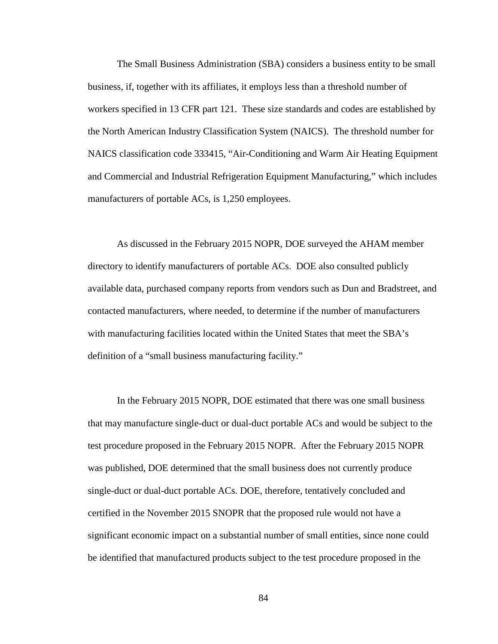The Small Business Administration (SBA) considers a business entity to be small business, if, together with its affiliates, it employs less than a threshold number of workers specified in 13 CFR part 121. These size standards and codes are established by the North American Industry Classification System (NAICS). The threshold number for NAICS classification code 333415, "Air-Conditioning and Warm Air Heating Equipment and Commercial and Industrial Refrigeration Equipment Manufacturing," which includes manufacturers of portable ACs, is 1,250 employees.

As discussed in the February 2015 NOPR, DOE surveyed the AHAM member directory to identify manufacturers of portable ACs. DOE also consulted publicly available data, purchased company reports from vendors such as Dun and Bradstreet, and contacted manufacturers, where needed, to determine if the number of manufacturers with manufacturing facilities located within the United States that meet the SBA's definition of a "small business manufacturing facility."

In the February 2015 NOPR, DOE estimated that there was one small business that may manufacture single-duct or dual-duct portable ACs and would be subject to the test procedure proposed in the February 2015 NOPR. After the February 2015 NOPR was published, DOE determined that the small business does not currently produce single-duct or dual-duct portable ACs. DOE, therefore, tentatively concluded and certified in the November 2015 SNOPR that the proposed rule would not have a significant economic impact on a substantial number of small entities, since none could be identified that manufactured products subject to the test procedure proposed in the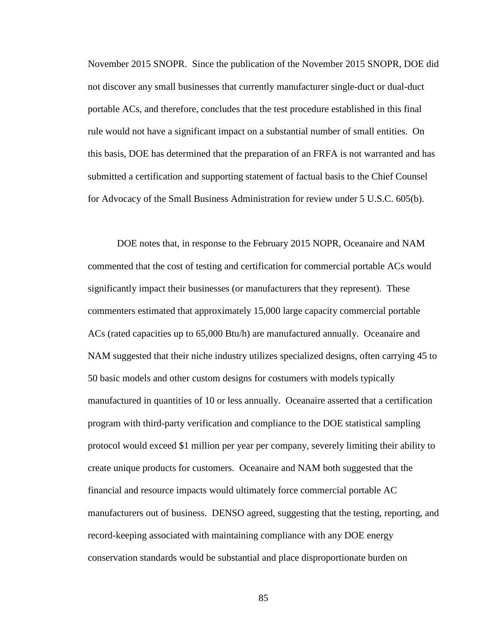November 2015 SNOPR. Since the publication of the November 2015 SNOPR, DOE did not discover any small businesses that currently manufacturer single-duct or dual-duct portable ACs, and therefore, concludes that the test procedure established in this final rule would not have a significant impact on a substantial number of small entities. On this basis, DOE has determined that the preparation of an FRFA is not warranted and has submitted a certification and supporting statement of factual basis to the Chief Counsel for Advocacy of the Small Business Administration for review under 5 U.S.C. 605(b).

DOE notes that, in response to the February 2015 NOPR, Oceanaire and NAM commented that the cost of testing and certification for commercial portable ACs would significantly impact their businesses (or manufacturers that they represent). These commenters estimated that approximately 15,000 large capacity commercial portable ACs (rated capacities up to 65,000 Btu/h) are manufactured annually. Oceanaire and NAM suggested that their niche industry utilizes specialized designs, often carrying 45 to 50 basic models and other custom designs for costumers with models typically manufactured in quantities of 10 or less annually. Oceanaire asserted that a certification program with third-party verification and compliance to the DOE statistical sampling protocol would exceed \$1 million per year per company, severely limiting their ability to create unique products for customers. Oceanaire and NAM both suggested that the financial and resource impacts would ultimately force commercial portable AC manufacturers out of business. DENSO agreed, suggesting that the testing, reporting, and record-keeping associated with maintaining compliance with any DOE energy conservation standards would be substantial and place disproportionate burden on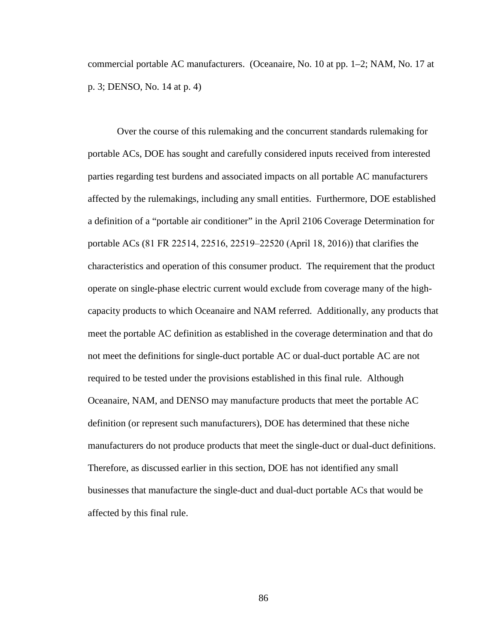commercial portable AC manufacturers. (Oceanaire, No. 10 at pp. 1–2; NAM, No. 17 at p. 3; DENSO, No. 14 at p. 4)

Over the course of this rulemaking and the concurrent standards rulemaking for portable ACs, DOE has sought and carefully considered inputs received from interested parties regarding test burdens and associated impacts on all portable AC manufacturers affected by the rulemakings, including any small entities. Furthermore, DOE established a definition of a "portable air conditioner" in the April 2106 Coverage Determination for portable ACs (81 FR 22514, 22516, 22519–22520 (April 18, 2016)) that clarifies the characteristics and operation of this consumer product. The requirement that the product operate on single-phase electric current would exclude from coverage many of the highcapacity products to which Oceanaire and NAM referred. Additionally, any products that meet the portable AC definition as established in the coverage determination and that do not meet the definitions for single-duct portable AC or dual-duct portable AC are not required to be tested under the provisions established in this final rule. Although Oceanaire, NAM, and DENSO may manufacture products that meet the portable AC definition (or represent such manufacturers), DOE has determined that these niche manufacturers do not produce products that meet the single-duct or dual-duct definitions. Therefore, as discussed earlier in this section, DOE has not identified any small businesses that manufacture the single-duct and dual-duct portable ACs that would be affected by this final rule.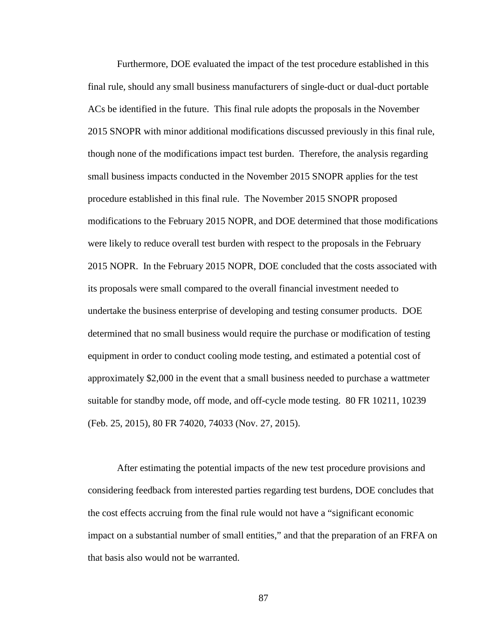Furthermore, DOE evaluated the impact of the test procedure established in this final rule, should any small business manufacturers of single-duct or dual-duct portable ACs be identified in the future. This final rule adopts the proposals in the November 2015 SNOPR with minor additional modifications discussed previously in this final rule, though none of the modifications impact test burden. Therefore, the analysis regarding small business impacts conducted in the November 2015 SNOPR applies for the test procedure established in this final rule. The November 2015 SNOPR proposed modifications to the February 2015 NOPR, and DOE determined that those modifications were likely to reduce overall test burden with respect to the proposals in the February 2015 NOPR. In the February 2015 NOPR, DOE concluded that the costs associated with its proposals were small compared to the overall financial investment needed to undertake the business enterprise of developing and testing consumer products. DOE determined that no small business would require the purchase or modification of testing equipment in order to conduct cooling mode testing, and estimated a potential cost of approximately \$2,000 in the event that a small business needed to purchase a wattmeter suitable for standby mode, off mode, and off-cycle mode testing. 80 FR 10211, 10239 (Feb. 25, 2015), 80 FR 74020, 74033 (Nov. 27, 2015).

After estimating the potential impacts of the new test procedure provisions and considering feedback from interested parties regarding test burdens, DOE concludes that the cost effects accruing from the final rule would not have a "significant economic impact on a substantial number of small entities," and that the preparation of an FRFA on that basis also would not be warranted.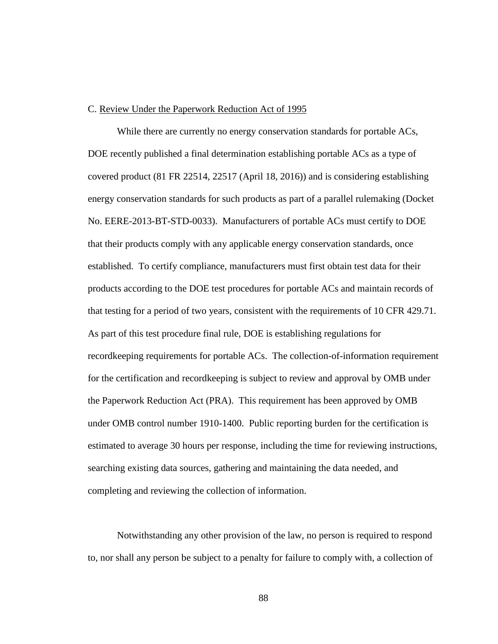## C. Review Under the Paperwork Reduction Act of 1995

While there are currently no energy conservation standards for portable ACs, DOE recently published a final determination establishing portable ACs as a type of covered product (81 FR 22514, 22517 (April 18, 2016)) and is considering establishing energy conservation standards for such products as part of a parallel rulemaking (Docket No. EERE-2013-BT-STD-0033). Manufacturers of portable ACs must certify to DOE that their products comply with any applicable energy conservation standards, once established. To certify compliance, manufacturers must first obtain test data for their products according to the DOE test procedures for portable ACs and maintain records of that testing for a period of two years, consistent with the requirements of 10 CFR 429.71. As part of this test procedure final rule, DOE is establishing regulations for recordkeeping requirements for portable ACs. The collection-of-information requirement for the certification and recordkeeping is subject to review and approval by OMB under the Paperwork Reduction Act (PRA). This requirement has been approved by OMB under OMB control number 1910-1400. Public reporting burden for the certification is estimated to average 30 hours per response, including the time for reviewing instructions, searching existing data sources, gathering and maintaining the data needed, and completing and reviewing the collection of information.

Notwithstanding any other provision of the law, no person is required to respond to, nor shall any person be subject to a penalty for failure to comply with, a collection of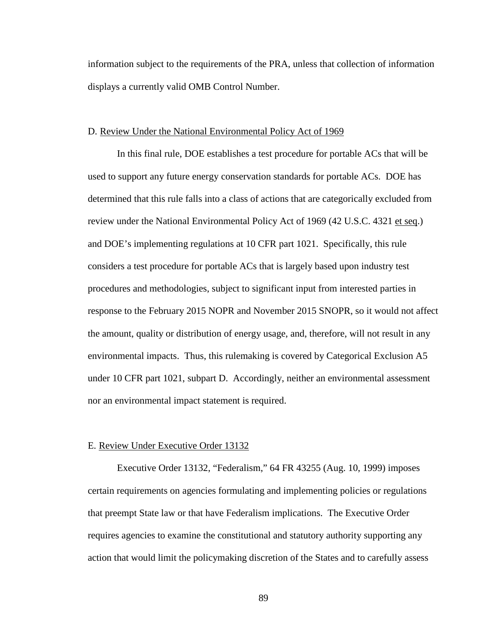information subject to the requirements of the PRA, unless that collection of information displays a currently valid OMB Control Number.

## D. Review Under the National Environmental Policy Act of 1969

In this final rule, DOE establishes a test procedure for portable ACs that will be used to support any future energy conservation standards for portable ACs. DOE has determined that this rule falls into a class of actions that are categorically excluded from review under the National Environmental Policy Act of 1969 (42 U.S.C. 4321 et seq.) and DOE's implementing regulations at 10 CFR part 1021. Specifically, this rule considers a test procedure for portable ACs that is largely based upon industry test procedures and methodologies, subject to significant input from interested parties in response to the February 2015 NOPR and November 2015 SNOPR, so it would not affect the amount, quality or distribution of energy usage, and, therefore, will not result in any environmental impacts. Thus, this rulemaking is covered by Categorical Exclusion A5 under 10 CFR part 1021, subpart D. Accordingly, neither an environmental assessment nor an environmental impact statement is required.

#### E. Review Under Executive Order 13132

Executive Order 13132, "Federalism," 64 FR 43255 (Aug. 10, 1999) imposes certain requirements on agencies formulating and implementing policies or regulations that preempt State law or that have Federalism implications. The Executive Order requires agencies to examine the constitutional and statutory authority supporting any action that would limit the policymaking discretion of the States and to carefully assess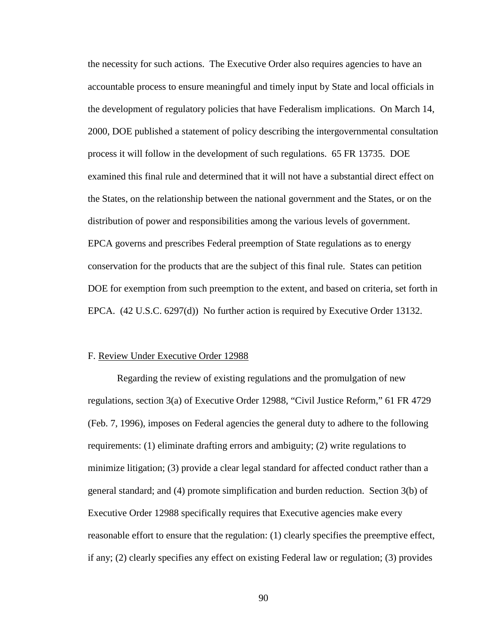the necessity for such actions. The Executive Order also requires agencies to have an accountable process to ensure meaningful and timely input by State and local officials in the development of regulatory policies that have Federalism implications. On March 14, 2000, DOE published a statement of policy describing the intergovernmental consultation process it will follow in the development of such regulations. 65 FR 13735. DOE examined this final rule and determined that it will not have a substantial direct effect on the States, on the relationship between the national government and the States, or on the distribution of power and responsibilities among the various levels of government. EPCA governs and prescribes Federal preemption of State regulations as to energy conservation for the products that are the subject of this final rule. States can petition DOE for exemption from such preemption to the extent, and based on criteria, set forth in EPCA. (42 U.S.C. 6297(d)) No further action is required by Executive Order 13132.

#### F. Review Under Executive Order 12988

Regarding the review of existing regulations and the promulgation of new regulations, section 3(a) of Executive Order 12988, "Civil Justice Reform," 61 FR 4729 (Feb. 7, 1996), imposes on Federal agencies the general duty to adhere to the following requirements: (1) eliminate drafting errors and ambiguity; (2) write regulations to minimize litigation; (3) provide a clear legal standard for affected conduct rather than a general standard; and (4) promote simplification and burden reduction. Section 3(b) of Executive Order 12988 specifically requires that Executive agencies make every reasonable effort to ensure that the regulation: (1) clearly specifies the preemptive effect, if any; (2) clearly specifies any effect on existing Federal law or regulation; (3) provides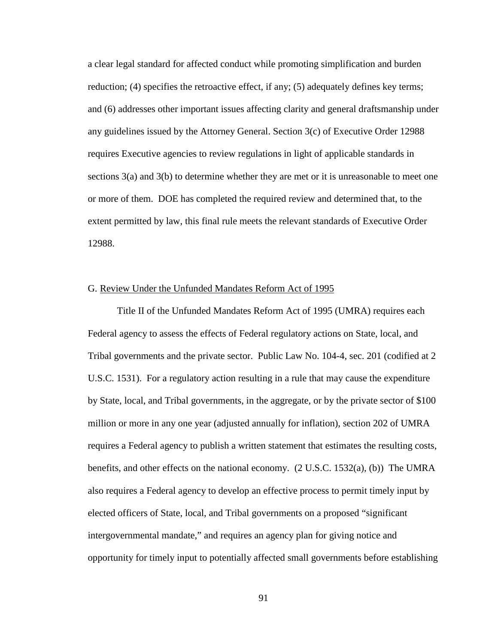a clear legal standard for affected conduct while promoting simplification and burden reduction; (4) specifies the retroactive effect, if any; (5) adequately defines key terms; and (6) addresses other important issues affecting clarity and general draftsmanship under any guidelines issued by the Attorney General. Section 3(c) of Executive Order 12988 requires Executive agencies to review regulations in light of applicable standards in sections 3(a) and 3(b) to determine whether they are met or it is unreasonable to meet one or more of them. DOE has completed the required review and determined that, to the extent permitted by law, this final rule meets the relevant standards of Executive Order 12988.

# G. Review Under the Unfunded Mandates Reform Act of 1995

Title II of the Unfunded Mandates Reform Act of 1995 (UMRA) requires each Federal agency to assess the effects of Federal regulatory actions on State, local, and Tribal governments and the private sector. Public Law No. 104-4, sec. 201 (codified at 2 U.S.C. 1531). For a regulatory action resulting in a rule that may cause the expenditure by State, local, and Tribal governments, in the aggregate, or by the private sector of \$100 million or more in any one year (adjusted annually for inflation), section 202 of UMRA requires a Federal agency to publish a written statement that estimates the resulting costs, benefits, and other effects on the national economy. (2 U.S.C. 1532(a), (b)) The UMRA also requires a Federal agency to develop an effective process to permit timely input by elected officers of State, local, and Tribal governments on a proposed "significant intergovernmental mandate," and requires an agency plan for giving notice and opportunity for timely input to potentially affected small governments before establishing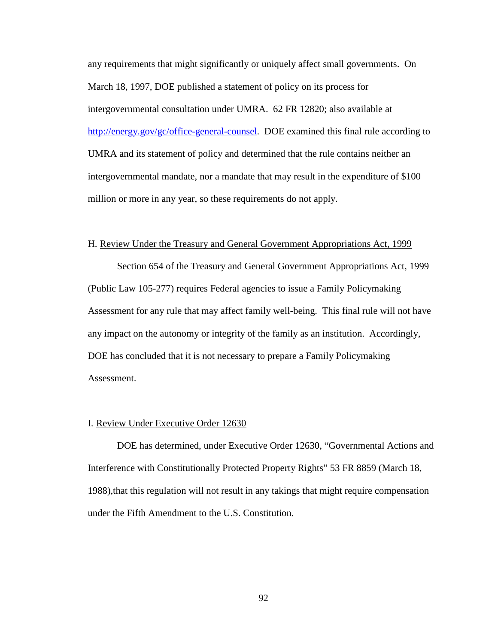any requirements that might significantly or uniquely affect small governments. On March 18, 1997, DOE published a statement of policy on its process for intergovernmental consultation under UMRA. 62 FR 12820; also available at [http://energy.gov/gc/office-general-counsel.](http://energy.gov/gc/office-general-counsel) DOE examined this final rule according to UMRA and its statement of policy and determined that the rule contains neither an intergovernmental mandate, nor a mandate that may result in the expenditure of \$100 million or more in any year, so these requirements do not apply.

# H. Review Under the Treasury and General Government Appropriations Act, 1999

Section 654 of the Treasury and General Government Appropriations Act, 1999 (Public Law 105-277) requires Federal agencies to issue a Family Policymaking Assessment for any rule that may affect family well-being. This final rule will not have any impact on the autonomy or integrity of the family as an institution. Accordingly, DOE has concluded that it is not necessary to prepare a Family Policymaking Assessment.

#### I. Review Under Executive Order 12630

DOE has determined, under Executive Order 12630, "Governmental Actions and Interference with Constitutionally Protected Property Rights" 53 FR 8859 (March 18, 1988),that this regulation will not result in any takings that might require compensation under the Fifth Amendment to the U.S. Constitution.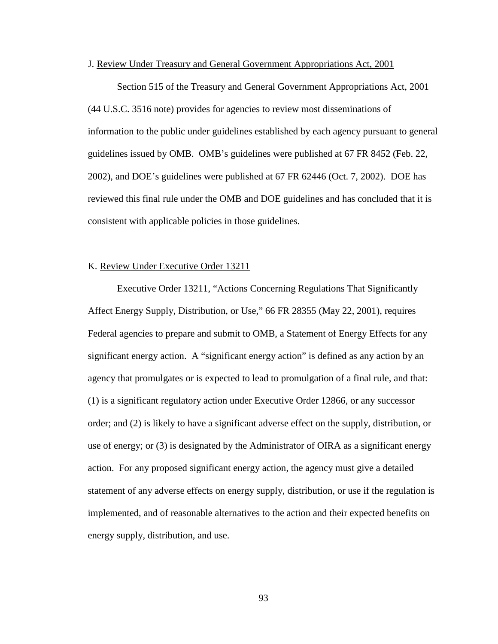#### J. Review Under Treasury and General Government Appropriations Act, 2001

Section 515 of the Treasury and General Government Appropriations Act, 2001 (44 U.S.C. 3516 note) provides for agencies to review most disseminations of information to the public under guidelines established by each agency pursuant to general guidelines issued by OMB. OMB's guidelines were published at 67 FR 8452 (Feb. 22, 2002), and DOE's guidelines were published at 67 FR 62446 (Oct. 7, 2002). DOE has reviewed this final rule under the OMB and DOE guidelines and has concluded that it is consistent with applicable policies in those guidelines.

# K. Review Under Executive Order 13211

Executive Order 13211, "Actions Concerning Regulations That Significantly Affect Energy Supply, Distribution, or Use," 66 FR 28355 (May 22, 2001), requires Federal agencies to prepare and submit to OMB, a Statement of Energy Effects for any significant energy action. A "significant energy action" is defined as any action by an agency that promulgates or is expected to lead to promulgation of a final rule, and that: (1) is a significant regulatory action under Executive Order 12866, or any successor order; and (2) is likely to have a significant adverse effect on the supply, distribution, or use of energy; or (3) is designated by the Administrator of OIRA as a significant energy action. For any proposed significant energy action, the agency must give a detailed statement of any adverse effects on energy supply, distribution, or use if the regulation is implemented, and of reasonable alternatives to the action and their expected benefits on energy supply, distribution, and use.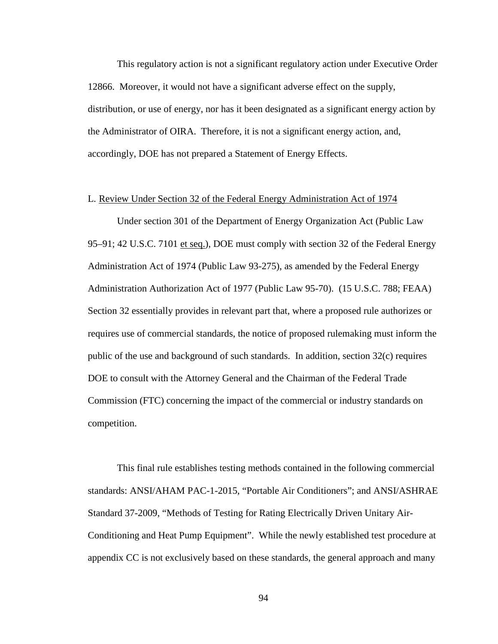This regulatory action is not a significant regulatory action under Executive Order 12866. Moreover, it would not have a significant adverse effect on the supply, distribution, or use of energy, nor has it been designated as a significant energy action by the Administrator of OIRA. Therefore, it is not a significant energy action, and, accordingly, DOE has not prepared a Statement of Energy Effects.

# L. Review Under Section 32 of the Federal Energy Administration Act of 1974

Under section 301 of the Department of Energy Organization Act (Public Law 95–91; 42 U.S.C. 7101 et seq.), DOE must comply with section 32 of the Federal Energy Administration Act of 1974 (Public Law 93-275), as amended by the Federal Energy Administration Authorization Act of 1977 (Public Law 95-70). (15 U.S.C. 788; FEAA) Section 32 essentially provides in relevant part that, where a proposed rule authorizes or requires use of commercial standards, the notice of proposed rulemaking must inform the public of the use and background of such standards. In addition, section 32(c) requires DOE to consult with the Attorney General and the Chairman of the Federal Trade Commission (FTC) concerning the impact of the commercial or industry standards on competition.

This final rule establishes testing methods contained in the following commercial standards: ANSI/AHAM PAC-1-2015, "Portable Air Conditioners"; and ANSI/ASHRAE Standard 37-2009, "Methods of Testing for Rating Electrically Driven Unitary Air-Conditioning and Heat Pump Equipment". While the newly established test procedure at appendix CC is not exclusively based on these standards, the general approach and many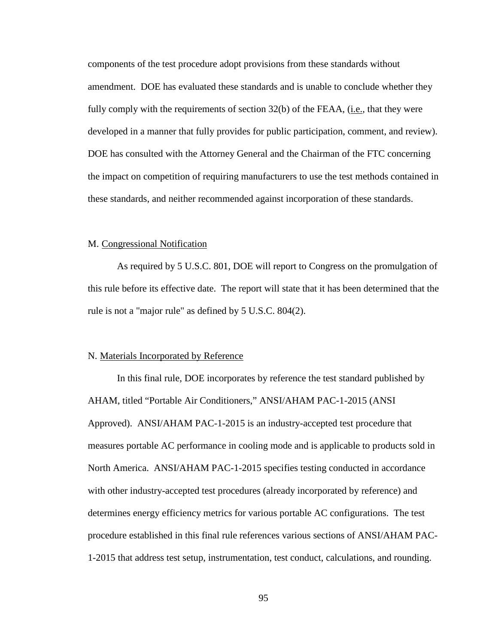components of the test procedure adopt provisions from these standards without amendment. DOE has evaluated these standards and is unable to conclude whether they fully comply with the requirements of section 32(b) of the FEAA, (i.e., that they were developed in a manner that fully provides for public participation, comment, and review). DOE has consulted with the Attorney General and the Chairman of the FTC concerning the impact on competition of requiring manufacturers to use the test methods contained in these standards, and neither recommended against incorporation of these standards.

#### M. Congressional Notification

As required by 5 U.S.C. 801, DOE will report to Congress on the promulgation of this rule before its effective date. The report will state that it has been determined that the rule is not a "major rule" as defined by 5 U.S.C. 804(2).

#### N. Materials Incorporated by Reference

In this final rule, DOE incorporates by reference the test standard published by AHAM, titled "Portable Air Conditioners," ANSI/AHAM PAC-1-2015 (ANSI Approved). ANSI/AHAM PAC-1-2015 is an industry-accepted test procedure that measures portable AC performance in cooling mode and is applicable to products sold in North America. ANSI/AHAM PAC-1-2015 specifies testing conducted in accordance with other industry-accepted test procedures (already incorporated by reference) and determines energy efficiency metrics for various portable AC configurations. The test procedure established in this final rule references various sections of ANSI/AHAM PAC-1-2015 that address test setup, instrumentation, test conduct, calculations, and rounding.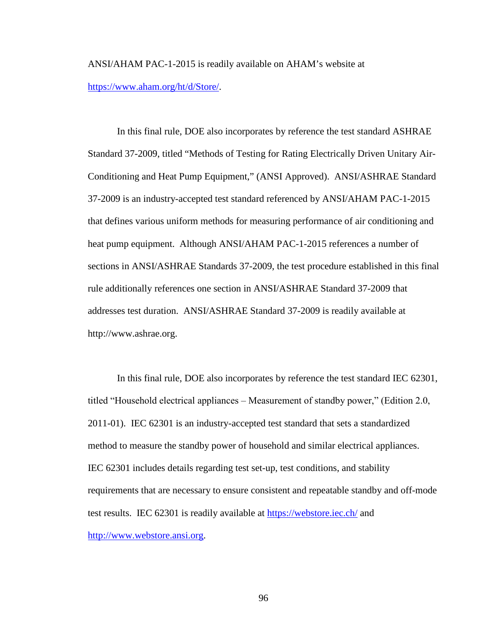ANSI/AHAM PAC-1-2015 is readily available on AHAM's website at [https://www.aham.org/ht/d/Store/.](https://www.aham.org/ht/d/Store/)

In this final rule, DOE also incorporates by reference the test standard ASHRAE Standard 37-2009, titled "Methods of Testing for Rating Electrically Driven Unitary Air-Conditioning and Heat Pump Equipment," (ANSI Approved). ANSI/ASHRAE Standard 37-2009 is an industry-accepted test standard referenced by ANSI/AHAM PAC-1-2015 that defines various uniform methods for measuring performance of air conditioning and heat pump equipment. Although ANSI/AHAM PAC-1-2015 references a number of sections in ANSI/ASHRAE Standards 37-2009, the test procedure established in this final rule additionally references one section in ANSI/ASHRAE Standard 37-2009 that addresses test duration. ANSI/ASHRAE Standard 37-2009 is readily available at http://www.ashrae.org.

In this final rule, DOE also incorporates by reference the test standard IEC 62301, titled "Household electrical appliances ‒ Measurement of standby power," (Edition 2.0, 2011-01). IEC 62301 is an industry-accepted test standard that sets a standardized method to measure the standby power of household and similar electrical appliances. IEC 62301 includes details regarding test set-up, test conditions, and stability requirements that are necessary to ensure consistent and repeatable standby and off-mode test results. IEC 62301 is readily available at <https://webstore.iec.ch/> and [http://www.webstore.ansi.org.](http://www.webstore.ansi.org/)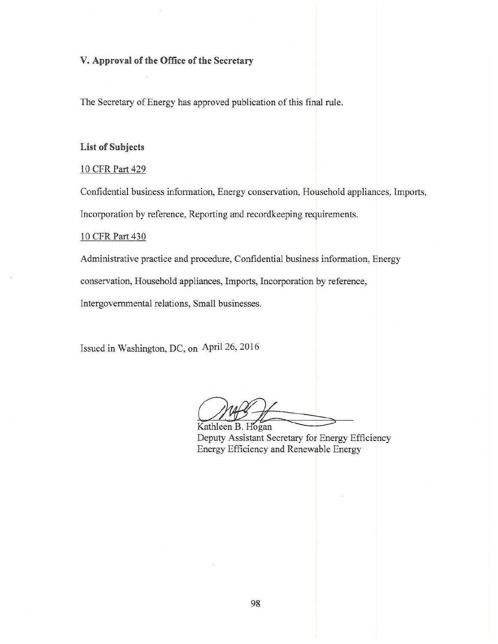# V. Approval of the Office of the Secretary

The Secretary of Energy has approved publication of this final rule.

#### **List of Subjects**

# 10 CFR Part 429

Confidential business information, Energy conservation, Household appliances, Imports, Incorporation by reference, Reporting and recordkeeping requirements.

#### 10 CFR Part 430

Administrative practice and procedure, Confidential business information, Energy

conservation, Household appliances, Imports, Incorporation by reference,

Intergovernmental relations, Small businesses.

Issued in Washington, DC, on April 26, 2016

Kathleen B. Hogan Deputy Assistant Secretary for Energy Efficiency Energy Efficiency and Renewable Energy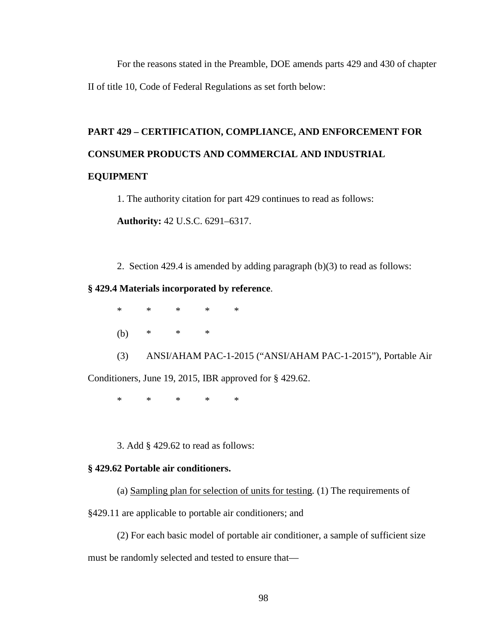For the reasons stated in the Preamble, DOE amends parts 429 and 430 of chapter II of title 10, Code of Federal Regulations as set forth below:

# **PART 429 – CERTIFICATION, COMPLIANCE, AND ENFORCEMENT FOR CONSUMER PRODUCTS AND COMMERCIAL AND INDUSTRIAL**

# **EQUIPMENT**

1. The authority citation for part 429 continues to read as follows:

**Authority:** 42 U.S.C. 6291–6317.

2. Section 429.4 is amended by adding paragraph (b)(3) to read as follows:

# **§ 429.4 Materials incorporated by reference**.

\* \* \* \* \* (b) \* \* \*

(3) ANSI/AHAM PAC-1-2015 ("ANSI/AHAM PAC-1-2015"), Portable Air Conditioners, June 19, 2015, IBR approved for § 429.62.

\* \* \* \* \*

3. Add § 429.62 to read as follows:

# **§ 429.62 Portable air conditioners.**

(a) Sampling plan for selection of units for testing*.* (1) The requirements of

§429.11 are applicable to portable air conditioners; and

(2) For each basic model of portable air conditioner, a sample of sufficient size must be randomly selected and tested to ensure that—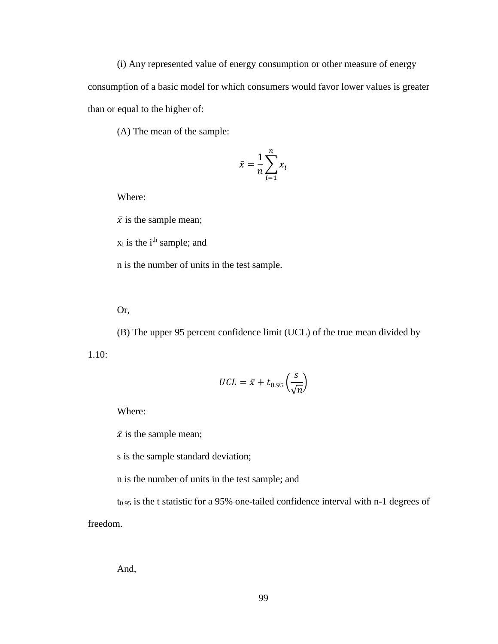(i) Any represented value of energy consumption or other measure of energy consumption of a basic model for which consumers would favor lower values is greater than or equal to the higher of:

(A) The mean of the sample:

$$
\bar{x} = \frac{1}{n} \sum_{i=1}^{n} x_i
$$

Where:

 $\bar{x}$  is the sample mean;

 $x_i$  is the i<sup>th</sup> sample; and

n is the number of units in the test sample.

Or,

(B) The upper 95 percent confidence limit (UCL) of the true mean divided by 1.10:

$$
UCL = \bar{x} + t_{0.95} \left(\frac{s}{\sqrt{n}}\right)
$$

Where:

 $\bar{x}$  is the sample mean;

s is the sample standard deviation;

n is the number of units in the test sample; and

t0.95 is the t statistic for a 95% one-tailed confidence interval with n-1 degrees of freedom.

And,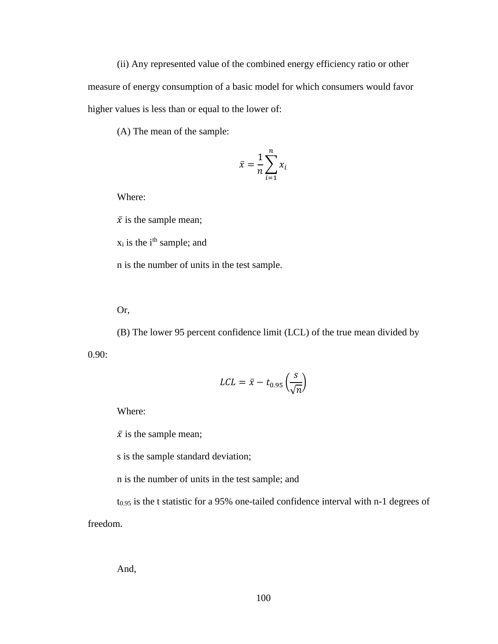(ii) Any represented value of the combined energy efficiency ratio or other measure of energy consumption of a basic model for which consumers would favor higher values is less than or equal to the lower of:

(A) The mean of the sample:

$$
\bar{x} = \frac{1}{n} \sum_{i=1}^{n} x_i
$$

Where:

 $\bar{x}$  is the sample mean;

 $x_i$  is the i<sup>th</sup> sample; and

n is the number of units in the test sample.

Or,

(B) The lower 95 percent confidence limit (LCL) of the true mean divided by 0.90:

$$
LCL = \bar{x} - t_{0.95} \left(\frac{s}{\sqrt{n}}\right)
$$

Where:

 $\bar{x}$  is the sample mean;

s is the sample standard deviation;

n is the number of units in the test sample; and

t0.95 is the t statistic for a 95% one-tailed confidence interval with n-1 degrees of freedom.

And,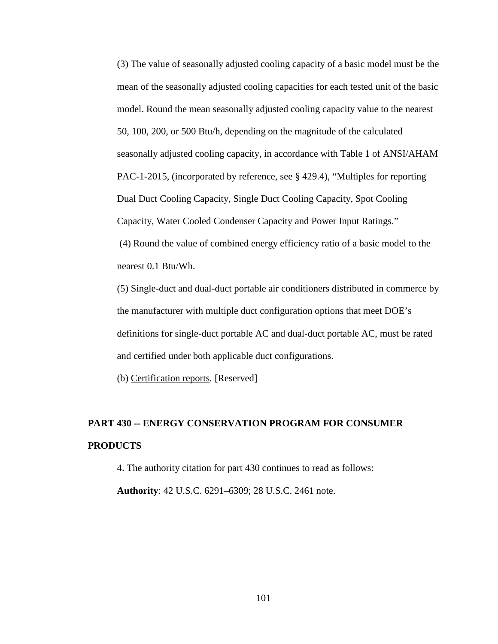(3) The value of seasonally adjusted cooling capacity of a basic model must be the mean of the seasonally adjusted cooling capacities for each tested unit of the basic model. Round the mean seasonally adjusted cooling capacity value to the nearest 50, 100, 200, or 500 Btu/h, depending on the magnitude of the calculated seasonally adjusted cooling capacity, in accordance with Table 1 of ANSI/AHAM PAC-1-2015, (incorporated by reference, see § 429.4), "Multiples for reporting Dual Duct Cooling Capacity, Single Duct Cooling Capacity, Spot Cooling Capacity, Water Cooled Condenser Capacity and Power Input Ratings." (4) Round the value of combined energy efficiency ratio of a basic model to the nearest 0.1 Btu/Wh.

(5) Single-duct and dual-duct portable air conditioners distributed in commerce by the manufacturer with multiple duct configuration options that meet DOE's definitions for single-duct portable AC and dual-duct portable AC, must be rated and certified under both applicable duct configurations.

(b) Certification reports*.* [Reserved]

# **PART 430 -- ENERGY CONSERVATION PROGRAM FOR CONSUMER PRODUCTS**

4. The authority citation for part 430 continues to read as follows: **Authority**: 42 U.S.C. 6291–6309; 28 U.S.C. 2461 note.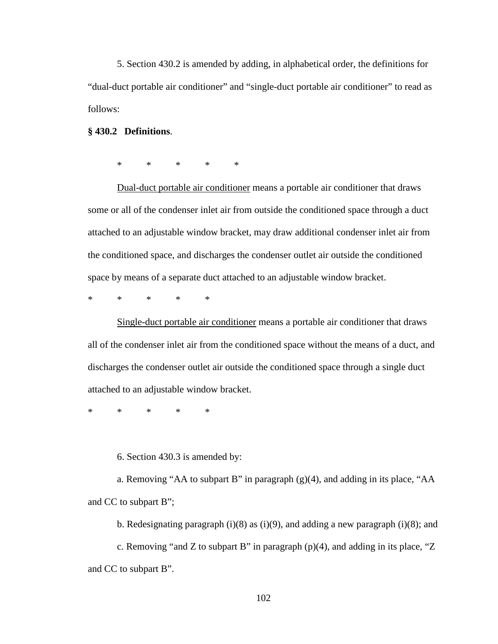5. Section 430.2 is amended by adding, in alphabetical order, the definitions for "dual-duct portable air conditioner" and "single-duct portable air conditioner" to read as follows:

#### **§ 430.2 Definitions**.

\* \* \* \* \*

Dual-duct portable air conditioner means a portable air conditioner that draws some or all of the condenser inlet air from outside the conditioned space through a duct attached to an adjustable window bracket, may draw additional condenser inlet air from the conditioned space, and discharges the condenser outlet air outside the conditioned space by means of a separate duct attached to an adjustable window bracket.

\* \* \* \* \*

Single-duct portable air conditioner means a portable air conditioner that draws all of the condenser inlet air from the conditioned space without the means of a duct, and discharges the condenser outlet air outside the conditioned space through a single duct attached to an adjustable window bracket.

\* \* \* \* \*

6. Section 430.3 is amended by:

a. Removing "AA to subpart B" in paragraph (g)(4), and adding in its place, "AA and CC to subpart B";

b. Redesignating paragraph  $(i)(8)$  as  $(i)(9)$ , and adding a new paragraph  $(i)(8)$ ; and c. Removing "and Z to subpart B" in paragraph  $(p)(4)$ , and adding in its place, "Z and CC to subpart B".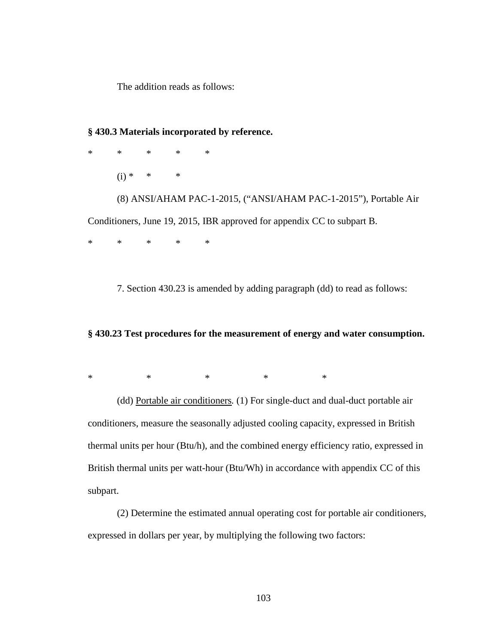The addition reads as follows:

# **§ 430.3 Materials incorporated by reference.**

\* \* \* \* \* (i) \* \* \* (8) ANSI/AHAM PAC-1-2015, ("ANSI/AHAM PAC-1-2015"), Portable Air Conditioners, June 19, 2015, IBR approved for appendix CC to subpart B.

\* \* \* \* \*

7. Section 430.23 is amended by adding paragraph (dd) to read as follows:

# **§ 430.23 Test procedures for the measurement of energy and water consumption.**

\* \* \* \* \* \* \*

(dd) Portable air conditioners*.* (1) For single-duct and dual-duct portable air conditioners, measure the seasonally adjusted cooling capacity, expressed in British thermal units per hour (Btu/h), and the combined energy efficiency ratio, expressed in British thermal units per watt-hour (Btu/Wh) in accordance with appendix CC of this subpart.

(2) Determine the estimated annual operating cost for portable air conditioners, expressed in dollars per year, by multiplying the following two factors: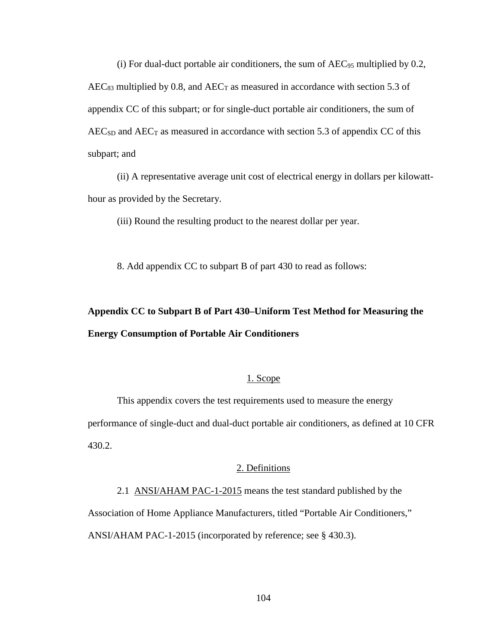(i) For dual-duct portable air conditioners, the sum of  $AEC_{95}$  multiplied by 0.2,  $AEC_{83}$  multiplied by 0.8, and  $AEC_T$  as measured in accordance with section 5.3 of appendix CC of this subpart; or for single-duct portable air conditioners, the sum of  $AEC<sub>SD</sub>$  and  $AEC<sub>T</sub>$  as measured in accordance with section 5.3 of appendix CC of this subpart; and

(ii) A representative average unit cost of electrical energy in dollars per kilowatthour as provided by the Secretary.

(iii) Round the resulting product to the nearest dollar per year.

8. Add appendix CC to subpart B of part 430 to read as follows:

# **Appendix CC to Subpart B of Part 430–Uniform Test Method for Measuring the Energy Consumption of Portable Air Conditioners**

# 1. Scope

This appendix covers the test requirements used to measure the energy performance of single-duct and dual-duct portable air conditioners, as defined at 10 CFR 430.2.

#### 2. Definitions

2.1 ANSI/AHAM PAC-1-2015 means the test standard published by the Association of Home Appliance Manufacturers, titled "Portable Air Conditioners," ANSI/AHAM PAC-1-2015 (incorporated by reference; see § 430.3).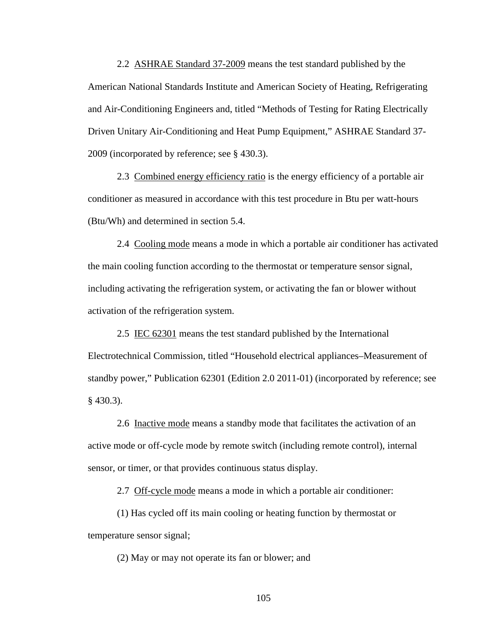2.2 ASHRAE Standard 37-2009 means the test standard published by the American National Standards Institute and American Society of Heating, Refrigerating and Air-Conditioning Engineers and, titled "Methods of Testing for Rating Electrically Driven Unitary Air-Conditioning and Heat Pump Equipment," ASHRAE Standard 37- 2009 (incorporated by reference; see § 430.3).

2.3 Combined energy efficiency ratio is the energy efficiency of a portable air conditioner as measured in accordance with this test procedure in Btu per watt-hours (Btu/Wh) and determined in section 5.4.

2.4 Cooling mode means a mode in which a portable air conditioner has activated the main cooling function according to the thermostat or temperature sensor signal, including activating the refrigeration system, or activating the fan or blower without activation of the refrigeration system.

2.5 IEC 62301 means the test standard published by the International Electrotechnical Commission, titled "Household electrical appliances–Measurement of standby power," Publication 62301 (Edition 2.0 2011-01) (incorporated by reference; see § 430.3).

2.6 Inactive mode means a standby mode that facilitates the activation of an active mode or off-cycle mode by remote switch (including remote control), internal sensor, or timer, or that provides continuous status display.

2.7 Off-cycle mode means a mode in which a portable air conditioner:

(1) Has cycled off its main cooling or heating function by thermostat or temperature sensor signal;

(2) May or may not operate its fan or blower; and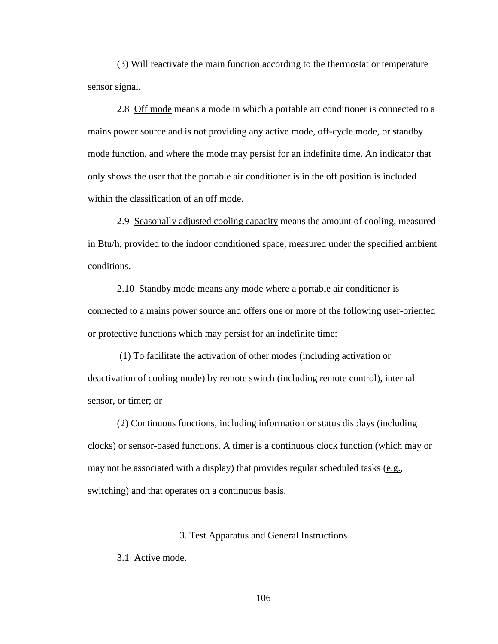(3) Will reactivate the main function according to the thermostat or temperature sensor signal.

2.8 Off mode means a mode in which a portable air conditioner is connected to a mains power source and is not providing any active mode, off-cycle mode, or standby mode function, and where the mode may persist for an indefinite time. An indicator that only shows the user that the portable air conditioner is in the off position is included within the classification of an off mode.

2.9 Seasonally adjusted cooling capacity means the amount of cooling, measured in Btu/h, provided to the indoor conditioned space, measured under the specified ambient conditions.

2.10 Standby mode means any mode where a portable air conditioner is connected to a mains power source and offers one or more of the following user-oriented or protective functions which may persist for an indefinite time:

(1) To facilitate the activation of other modes (including activation or deactivation of cooling mode) by remote switch (including remote control), internal sensor, or timer; or

(2) Continuous functions, including information or status displays (including clocks) or sensor-based functions. A timer is a continuous clock function (which may or may not be associated with a display) that provides regular scheduled tasks  $(e.g.,)$ switching) and that operates on a continuous basis.

# 3. Test Apparatus and General Instructions

3.1 Active mode.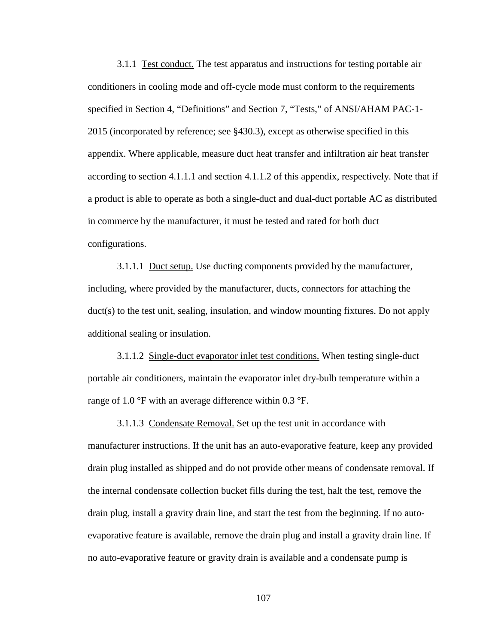3.1.1 Test conduct. The test apparatus and instructions for testing portable air conditioners in cooling mode and off-cycle mode must conform to the requirements specified in Section 4, "Definitions" and Section 7, "Tests," of ANSI/AHAM PAC-1- 2015 (incorporated by reference; see §430.3), except as otherwise specified in this appendix. Where applicable, measure duct heat transfer and infiltration air heat transfer according to section 4.1.1.1 and section 4.1.1.2 of this appendix, respectively. Note that if a product is able to operate as both a single-duct and dual-duct portable AC as distributed in commerce by the manufacturer, it must be tested and rated for both duct configurations.

3.1.1.1 Duct setup. Use ducting components provided by the manufacturer, including, where provided by the manufacturer, ducts, connectors for attaching the duct(s) to the test unit, sealing, insulation, and window mounting fixtures. Do not apply additional sealing or insulation.

3.1.1.2 Single-duct evaporator inlet test conditions. When testing single-duct portable air conditioners, maintain the evaporator inlet dry-bulb temperature within a range of 1.0 °F with an average difference within 0.3 °F.

3.1.1.3 Condensate Removal. Set up the test unit in accordance with manufacturer instructions. If the unit has an auto-evaporative feature, keep any provided drain plug installed as shipped and do not provide other means of condensate removal. If the internal condensate collection bucket fills during the test, halt the test, remove the drain plug, install a gravity drain line, and start the test from the beginning. If no autoevaporative feature is available, remove the drain plug and install a gravity drain line. If no auto-evaporative feature or gravity drain is available and a condensate pump is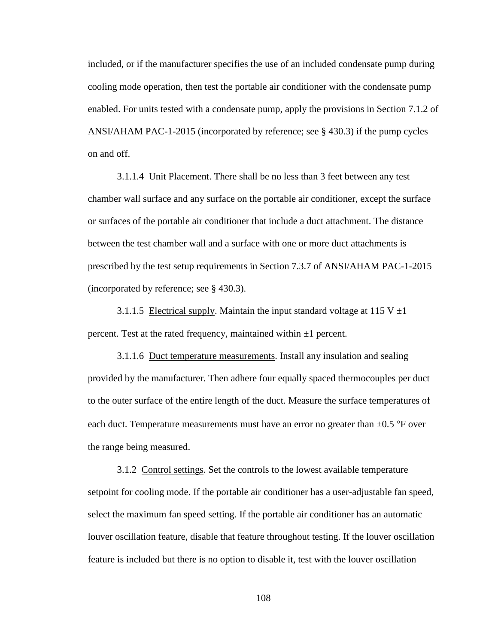included, or if the manufacturer specifies the use of an included condensate pump during cooling mode operation, then test the portable air conditioner with the condensate pump enabled. For units tested with a condensate pump, apply the provisions in Section 7.1.2 of ANSI/AHAM PAC-1-2015 (incorporated by reference; see § 430.3) if the pump cycles on and off.

3.1.1.4 Unit Placement. There shall be no less than 3 feet between any test chamber wall surface and any surface on the portable air conditioner, except the surface or surfaces of the portable air conditioner that include a duct attachment. The distance between the test chamber wall and a surface with one or more duct attachments is prescribed by the test setup requirements in Section 7.3.7 of ANSI/AHAM PAC-1-2015 (incorporated by reference; see § 430.3).

3.1.1.5 Electrical supply. Maintain the input standard voltage at 115 V  $\pm$ 1 percent. Test at the rated frequency, maintained within  $\pm 1$  percent.

3.1.1.6 Duct temperature measurements. Install any insulation and sealing provided by the manufacturer. Then adhere four equally spaced thermocouples per duct to the outer surface of the entire length of the duct. Measure the surface temperatures of each duct. Temperature measurements must have an error no greater than  $\pm 0.5$  °F over the range being measured.

3.1.2 Control settings. Set the controls to the lowest available temperature setpoint for cooling mode. If the portable air conditioner has a user-adjustable fan speed, select the maximum fan speed setting. If the portable air conditioner has an automatic louver oscillation feature, disable that feature throughout testing. If the louver oscillation feature is included but there is no option to disable it, test with the louver oscillation

108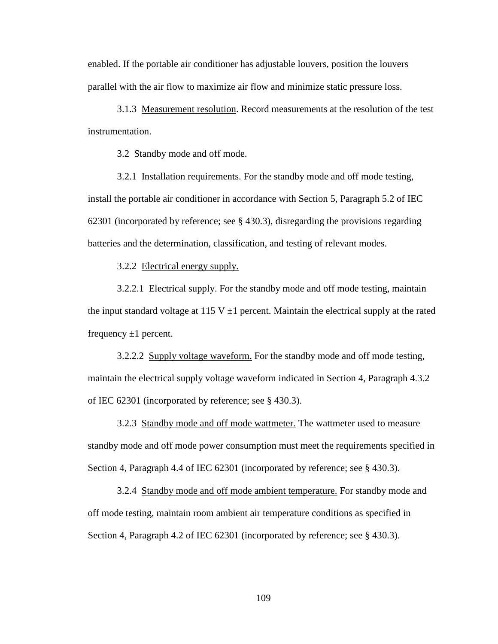enabled. If the portable air conditioner has adjustable louvers, position the louvers parallel with the air flow to maximize air flow and minimize static pressure loss.

3.1.3 Measurement resolution. Record measurements at the resolution of the test instrumentation.

3.2 Standby mode and off mode.

3.2.1 Installation requirements. For the standby mode and off mode testing, install the portable air conditioner in accordance with Section 5, Paragraph 5.2 of IEC 62301 (incorporated by reference; see § 430.3), disregarding the provisions regarding batteries and the determination, classification, and testing of relevant modes.

3.2.2 Electrical energy supply.

3.2.2.1 Electrical supply. For the standby mode and off mode testing, maintain the input standard voltage at 115 V  $\pm$ 1 percent. Maintain the electrical supply at the rated frequency  $\pm 1$  percent.

3.2.2.2 Supply voltage waveform. For the standby mode and off mode testing, maintain the electrical supply voltage waveform indicated in Section 4, Paragraph 4.3.2 of IEC 62301 (incorporated by reference; see § 430.3).

3.2.3 Standby mode and off mode wattmeter. The wattmeter used to measure standby mode and off mode power consumption must meet the requirements specified in Section 4, Paragraph 4.4 of IEC 62301 (incorporated by reference; see § 430.3).

3.2.4 Standby mode and off mode ambient temperature. For standby mode and off mode testing, maintain room ambient air temperature conditions as specified in Section 4, Paragraph 4.2 of IEC 62301 (incorporated by reference; see § 430.3).

109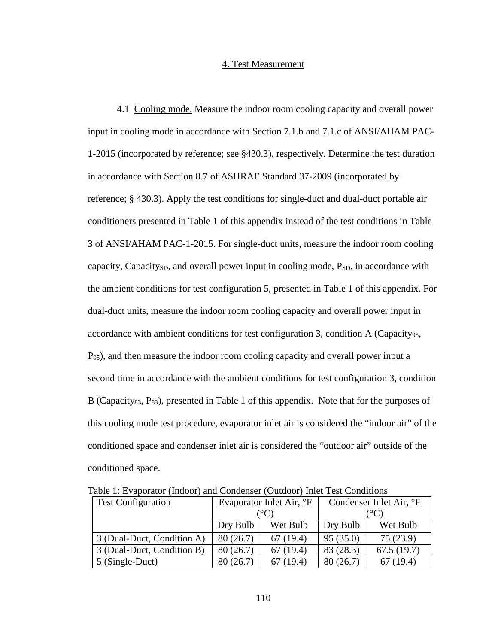## 4. Test Measurement

4.1 Cooling mode. Measure the indoor room cooling capacity and overall power input in cooling mode in accordance with Section 7.1.b and 7.1.c of ANSI/AHAM PAC-1-2015 (incorporated by reference; see §430.3), respectively. Determine the test duration in accordance with Section 8.7 of ASHRAE Standard 37-2009 (incorporated by reference; § 430.3). Apply the test conditions for single-duct and dual-duct portable air conditioners presented in Table 1 of this appendix instead of the test conditions in Table 3 of ANSI/AHAM PAC-1-2015. For single-duct units, measure the indoor room cooling capacity, Capacity<sub>SD</sub>, and overall power input in cooling mode,  $P_{SD}$ , in accordance with the ambient conditions for test configuration 5, presented in Table 1 of this appendix. For dual-duct units, measure the indoor room cooling capacity and overall power input in accordance with ambient conditions for test configuration 3, condition A (Capacity<sub>95</sub>, P95), and then measure the indoor room cooling capacity and overall power input a second time in accordance with the ambient conditions for test configuration 3, condition B (Capacity<sub>83</sub>, P<sub>83</sub>), presented in Table 1 of this appendix. Note that for the purposes of this cooling mode test procedure, evaporator inlet air is considered the "indoor air" of the conditioned space and condenser inlet air is considered the "outdoor air" outside of the conditioned space.

| <b>Test Configuration</b>  |          | Evaporator Inlet Air, <sup>o</sup> F | racio 1: Evaporator (macor) and condenser (catacor) milet rest conditions<br>Condenser Inlet Air, <sup>o</sup> F |            |
|----------------------------|----------|--------------------------------------|------------------------------------------------------------------------------------------------------------------|------------|
|                            |          |                                      |                                                                                                                  |            |
|                            | Dry Bulb | Wet Bulb                             | Dry Bulb                                                                                                         | Wet Bulb   |
| 3 (Dual-Duct, Condition A) | 80(26.7) | 67(19.4)                             | 95(35.0)                                                                                                         | 75(23.9)   |
| 3 (Dual-Duct, Condition B) | 80(26.7) | 67(19.4)                             | 83 (28.3)                                                                                                        | 67.5(19.7) |
| 5 (Single-Duct)            | 80(26.7) | 67(19.4)                             | 80(26.7)                                                                                                         | 67(19.4)   |

Table 1: Evaporator (Indoor) and Condenser (Outdoor) Inlet Test Conditions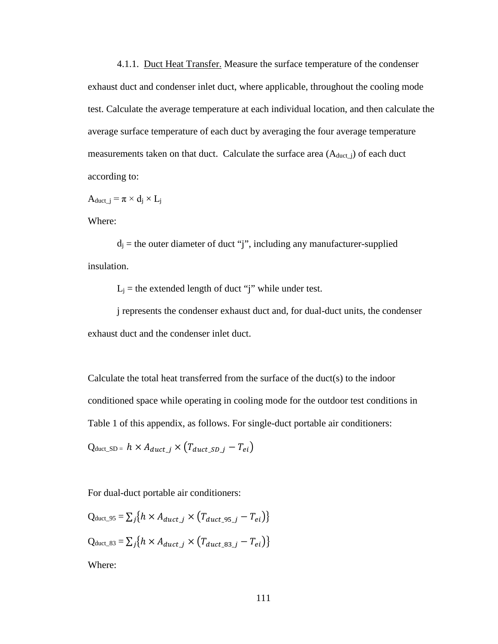4.1.1. Duct Heat Transfer. Measure the surface temperature of the condenser exhaust duct and condenser inlet duct, where applicable, throughout the cooling mode test. Calculate the average temperature at each individual location, and then calculate the average surface temperature of each duct by averaging the four average temperature measurements taken on that duct. Calculate the surface area  $(A_{duct_i})$  of each duct according to:

Aduct  $j = \pi \times d_i \times L_j$ 

Where:

 $d_i$  = the outer diameter of duct "j", including any manufacturer-supplied insulation.

 $L_j$  = the extended length of duct "j" while under test.

j represents the condenser exhaust duct and, for dual-duct units, the condenser exhaust duct and the condenser inlet duct.

Calculate the total heat transferred from the surface of the duct(s) to the indoor conditioned space while operating in cooling mode for the outdoor test conditions in Table 1 of this appendix, as follows. For single-duct portable air conditioners:

 $Q_{\text{duct\_SD}} = h \times A_{\text{duct}\_\mathit{j}} \times (T_{\text{duct}\_\mathit{SD}\_\mathit{i}} - T_{ei})$ 

For dual-duct portable air conditioners:

$$
Q_{\text{duct\_95}} = \sum_{j} \{ h \times A_{\text{duct\_j}} \times (T_{\text{duct\_95\_j}} - T_{ei}) \}
$$
  

$$
Q_{\text{duct\_83}} = \sum_{j} \{ h \times A_{\text{duct\_j}} \times (T_{\text{duct\_83\_j}} - T_{ei}) \}
$$
  
Where: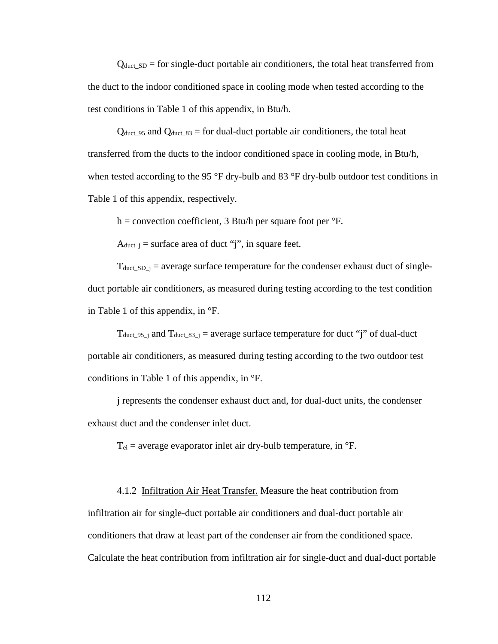$Q_{\text{duct SD}} =$  for single-duct portable air conditioners, the total heat transferred from the duct to the indoor conditioned space in cooling mode when tested according to the test conditions in Table 1 of this appendix, in Btu/h.

 $Q_{\text{duct\_95}}$  and  $Q_{\text{duct\_83}}$  = for dual-duct portable air conditioners, the total heat transferred from the ducts to the indoor conditioned space in cooling mode, in Btu/h, when tested according to the 95 °F dry-bulb and 83 °F dry-bulb outdoor test conditions in Table 1 of this appendix, respectively.

h = convection coefficient, 3 Btu/h per square foot per  $\mathrm{P}F$ .

 $A_{duct_i}$  = surface area of duct "j", in square feet.

 $T_{\text{duct\_SD\_j}}$  = average surface temperature for the condenser exhaust duct of singleduct portable air conditioners, as measured during testing according to the test condition in Table 1 of this appendix, in °F.

T<sub>duct</sub> 95 j and T<sub>duct</sub> 83 j = average surface temperature for duct "j" of dual-duct portable air conditioners, as measured during testing according to the two outdoor test conditions in Table 1 of this appendix, in °F.

j represents the condenser exhaust duct and, for dual-duct units, the condenser exhaust duct and the condenser inlet duct.

 $T_{ei}$  = average evaporator inlet air dry-bulb temperature, in  ${}^{\circ}$ F.

4.1.2 Infiltration Air Heat Transfer. Measure the heat contribution from infiltration air for single-duct portable air conditioners and dual-duct portable air conditioners that draw at least part of the condenser air from the conditioned space. Calculate the heat contribution from infiltration air for single-duct and dual-duct portable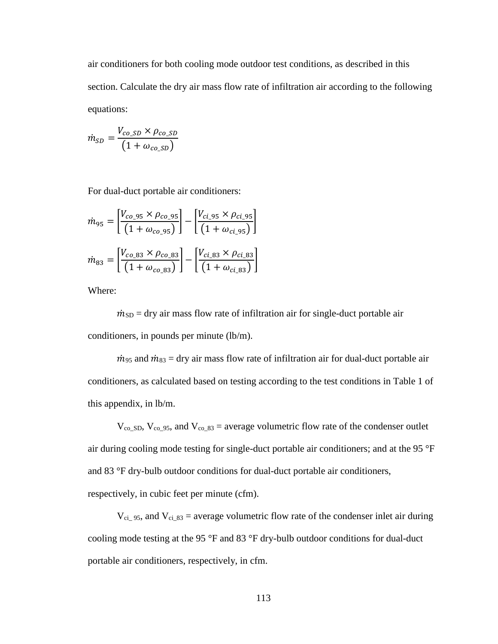air conditioners for both cooling mode outdoor test conditions, as described in this section. Calculate the dry air mass flow rate of infiltration air according to the following equations:

$$
\dot{m}_{SD} = \frac{V_{co\_SD} \times \rho_{co\_SD}}{\left(1 + \omega_{co\_SD}\right)}
$$

For dual-duct portable air conditioners:

$$
\dot{m}_{95} = \left[ \frac{V_{co_95} \times \rho_{co_95}}{(1 + \omega_{co_95})} \right] - \left[ \frac{V_{ci_95} \times \rho_{ci_95}}{(1 + \omega_{ci_95})} \right]
$$
\n
$$
\dot{m}_{83} = \left[ \frac{V_{co_83} \times \rho_{co_83}}{(1 + \omega_{co_83})} \right] - \left[ \frac{V_{ci_83} \times \rho_{ci_83}}{(1 + \omega_{ci_83})} \right]
$$

Where:

 $\dot{m}_{SD}$  = dry air mass flow rate of infiltration air for single-duct portable air conditioners, in pounds per minute (lb/m).

 $\dot{m}_{95}$  and  $\dot{m}_{83}$  = dry air mass flow rate of infiltration air for dual-duct portable air conditioners, as calculated based on testing according to the test conditions in Table 1 of this appendix, in lb/m.

 $V_{\text{co SD}}$ ,  $V_{\text{co Q5}}$ , and  $V_{\text{co Q5}}$  as = average volumetric flow rate of the condenser outlet air during cooling mode testing for single-duct portable air conditioners; and at the 95 °F and 83 °F dry-bulb outdoor conditions for dual-duct portable air conditioners, respectively, in cubic feet per minute (cfm).

 $V_{ci_95}$ , and  $V_{ci_83}$  = average volumetric flow rate of the condenser inlet air during cooling mode testing at the 95 °F and 83 °F dry-bulb outdoor conditions for dual-duct portable air conditioners, respectively, in cfm.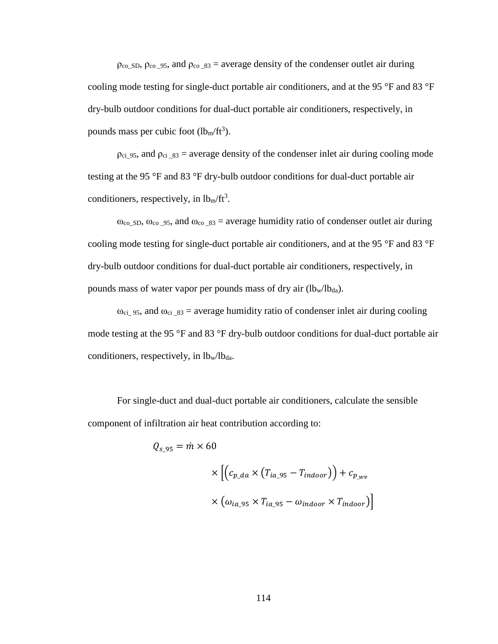$\rho_{\text{co}_s, \text{Do}_s, \text{co}_s, \text{Do}_s}$  and  $\rho_{\text{co}_s, \text{Bo}_s}$  = average density of the condenser outlet air during cooling mode testing for single-duct portable air conditioners, and at the 95 °F and 83 °F dry-bulb outdoor conditions for dual-duct portable air conditioners, respectively, in pounds mass per cubic foot  $(lb_m/ft^3)$ .

 $\rho_{ci_95}$ , and  $\rho_{ci_83}$  = average density of the condenser inlet air during cooling mode testing at the 95 °F and 83 °F dry-bulb outdoor conditions for dual-duct portable air conditioners, respectively, in  $lb<sub>m</sub>/ft<sup>3</sup>$ .

 $\omega_{\rm co, SD}$ ,  $\omega_{\rm co, 95}$ , and  $\omega_{\rm co, 83}$  = average humidity ratio of condenser outlet air during cooling mode testing for single-duct portable air conditioners, and at the 95 °F and 83 °F dry-bulb outdoor conditions for dual-duct portable air conditioners, respectively, in pounds mass of water vapor per pounds mass of dry air  $(lb_w/lb_{da})$ .

 $ω_{ci}$  95, and  $ω_{ci}$  83 = average humidity ratio of condenser inlet air during cooling mode testing at the 95 °F and 83 °F dry-bulb outdoor conditions for dual-duct portable air conditioners, respectively, in  $lb_w/b_{da}$ .

For single-duct and dual-duct portable air conditioners, calculate the sensible component of infiltration air heat contribution according to:

$$
Q_{s_295} = \dot{m} \times 60
$$

$$
\times \left[ \left( c_{p\_da} \times \left( T_{ia_295} - T_{indoor} \right) \right) + c_{p_{\_wv}}
$$

$$
\times \left( \omega_{ia_295} \times T_{ia_295} - \omega_{indoor} \times T_{indoor} \right) \right]
$$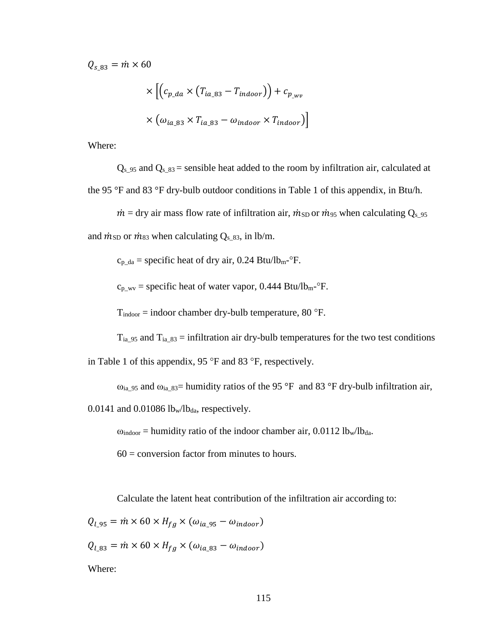$Q_{s, 83} = \dot{m} \times 60$ 

$$
\times \left[ \left( c_{p\_da} \times \left( T_{ia\_83} - T_{indoor} \right) \right) + c_{p\_wv}
$$

$$
\times \left( \omega_{ia\_83} \times T_{ia\_83} - \omega_{indoor} \times T_{indoor} \right) \right]
$$

Where:

 $Q_{s_1,95}$  and  $Q_{s_1,83}$  = sensible heat added to the room by infiltration air, calculated at the 95 °F and 83 °F dry-bulb outdoor conditions in Table 1 of this appendix, in Btu/h.

 $\dot{m}$  = dry air mass flow rate of infiltration air,  $\dot{m}_{SD}$  or  $\dot{m}_{95}$  when calculating Q<sub>s\_95</sub> and  $\dot{m}_{SD}$  or  $\dot{m}_{83}$  when calculating  $Q_{s_8,83}$ , in lb/m.

 $c_{p\_da}$  = specific heat of dry air, 0.24 Btu/lb<sub>m</sub>- $\mathrm{P}$ F.

 $c_{p_2}$  = specific heat of water vapor, 0.444 Btu/lb<sub>m</sub>- $\rm{^{\circ}F}$ .

 $T_{\text{indoor}} = \text{indoor chamber dry-bulb temperature}, 80 \text{ }^{\circ}\text{F}.$ 

 $T_{ia_95}$  and  $T_{ia_83}$  = infiltration air dry-bulb temperatures for the two test conditions in Table 1 of this appendix, 95 °F and 83 °F, respectively.

 $\omega_{ia_95}$  and  $\omega_{ia_83}$  humidity ratios of the 95 °F and 83 °F dry-bulb infiltration air,

0.0141 and 0.01086  $lb_w/b_{da}$ , respectively.

 $\omega_{\text{indoor}}$  = humidity ratio of the indoor chamber air, 0.0112 lb<sub>w</sub>/lb<sub>da</sub>.

 $60 =$  conversion factor from minutes to hours.

Calculate the latent heat contribution of the infiltration air according to:

 $Q_{l_295} = \dot{m} \times 60 \times H_{fg} \times (\omega_{ia_295} - \omega_{indoor})$ 

 $Q_{l 83} = \dot{m} \times 60 \times H_{fg} \times (\omega_{ia 83} - \omega_{indoor})$ 

Where: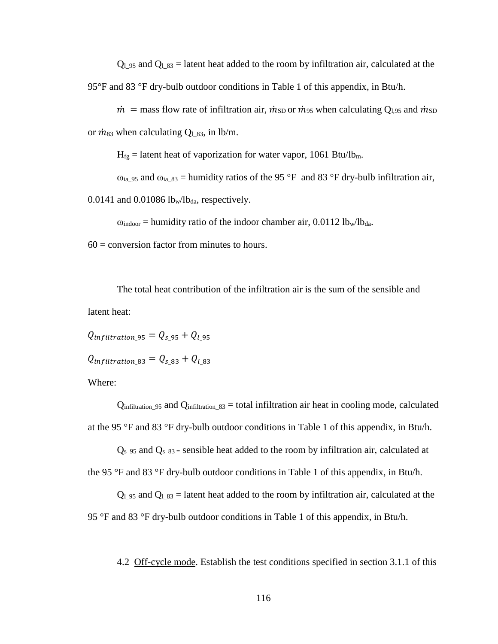$Q_1$  95 and  $Q_1$  83 = latent heat added to the room by infiltration air, calculated at the 95°F and 83 °F dry-bulb outdoor conditions in Table 1 of this appendix, in Btu/h.

 $\dot{m}$  = mass flow rate of infiltration air,  $\dot{m}_{SD}$  or  $\dot{m}_{95}$  when calculating Q<sub>1.95</sub> and  $\dot{m}_{SD}$ or  $\dot{m}_{83}$  when calculating  $Q_{1,83}$ , in lb/m.

 $H_{fg}$  = latent heat of vaporization for water vapor, 1061 Btu/lb<sub>m</sub>.

 $\omega_{ia_95}$  and  $\omega_{ia_83}$  = humidity ratios of the 95 °F and 83 °F dry-bulb infiltration air,

0.0141 and 0.01086  $lb_w/b_{da}$ , respectively.

 $\omega_{\text{indoor}}$  = humidity ratio of the indoor chamber air, 0.0112 lb<sub>w</sub>/lb<sub>da</sub>.

 $60 =$  conversion factor from minutes to hours.

The total heat contribution of the infiltration air is the sum of the sensible and latent heat:

 $Q_{infiltration.95} = Q_{s.95} + Q_{l.95}$ 

 $Q_{inflittation\ 83} = Q_{s\ 83} + Q_{l\ 83}$ 

Where:

 $Q_{infiltration$  95 and  $Q_{infiltration$  83 = total infiltration air heat in cooling mode, calculated at the 95 °F and 83 °F dry-bulb outdoor conditions in Table 1 of this appendix, in Btu/h.

 $Q_{s_1,95}$  and  $Q_{s_1,83}$  sensible heat added to the room by infiltration air, calculated at the 95 °F and 83 °F dry-bulb outdoor conditions in Table 1 of this appendix, in Btu/h.

 $Q_{1.95}$  and  $Q_{1.83}$  = latent heat added to the room by infiltration air, calculated at the 95 °F and 83 °F dry-bulb outdoor conditions in Table 1 of this appendix, in Btu/h.

4.2 Off-cycle mode. Establish the test conditions specified in section 3.1.1 of this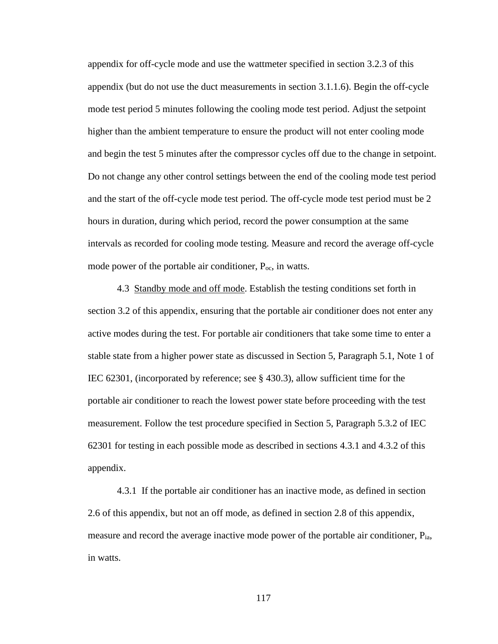appendix for off-cycle mode and use the wattmeter specified in section 3.2.3 of this appendix (but do not use the duct measurements in section 3.1.1.6). Begin the off-cycle mode test period 5 minutes following the cooling mode test period. Adjust the setpoint higher than the ambient temperature to ensure the product will not enter cooling mode and begin the test 5 minutes after the compressor cycles off due to the change in setpoint. Do not change any other control settings between the end of the cooling mode test period and the start of the off-cycle mode test period. The off-cycle mode test period must be 2 hours in duration, during which period, record the power consumption at the same intervals as recorded for cooling mode testing. Measure and record the average off-cycle mode power of the portable air conditioner,  $P_{\text{oc}}$ , in watts.

4.3 Standby mode and off mode. Establish the testing conditions set forth in section 3.2 of this appendix, ensuring that the portable air conditioner does not enter any active modes during the test. For portable air conditioners that take some time to enter a stable state from a higher power state as discussed in Section 5, Paragraph 5.1, Note 1 of IEC 62301, (incorporated by reference; see § 430.3), allow sufficient time for the portable air conditioner to reach the lowest power state before proceeding with the test measurement. Follow the test procedure specified in Section 5, Paragraph 5.3.2 of IEC 62301 for testing in each possible mode as described in sections 4.3.1 and 4.3.2 of this appendix.

4.3.1 If the portable air conditioner has an inactive mode, as defined in section 2.6 of this appendix, but not an off mode, as defined in section 2.8 of this appendix, measure and record the average inactive mode power of the portable air conditioner, Pia, in watts.

117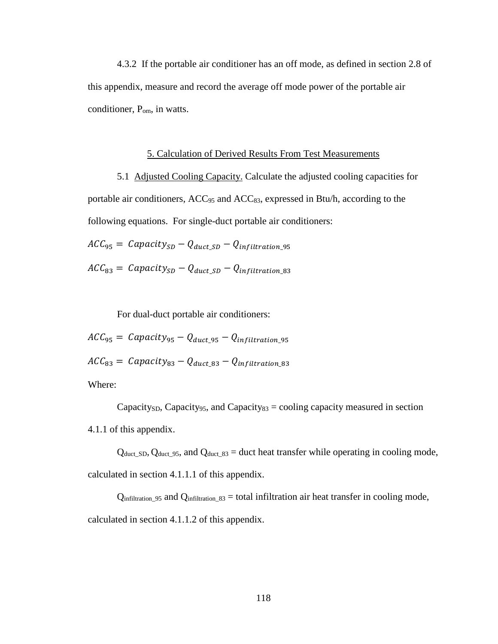4.3.2 If the portable air conditioner has an off mode, as defined in section 2.8 of this appendix, measure and record the average off mode power of the portable air conditioner, Pom, in watts.

## 5. Calculation of Derived Results From Test Measurements

5.1 Adjusted Cooling Capacity. Calculate the adjusted cooling capacities for portable air conditioners,  $ACC_{95}$  and  $ACC_{83}$ , expressed in Btu/h, according to the following equations. For single-duct portable air conditioners:

 $ACC_{95} = Capacity_{SD} - Q_{duct, SD} - Q_{infiltration, 95}$ 

 $\text{ACC}_{83} = \text{Capacity}_{SD} - \text{Quct } SD - \text{Q}_{infiltration 83}$ 

For dual-duct portable air conditioners:

 $ACC_{95} = Capacity_{95} - Q_{duct}$  95  $-Q_{infiltration}$  95  $\textit{ACC}_{83} = \textit{Capacity}_{83} - \textit{Q}_{duct 83} - \textit{Q}_{infiltration 83}$ Where:

Capacity<sub>SD</sub>, Capacity<sub>95</sub>, and Capacity<sub>83</sub> = cooling capacity measured in section 4.1.1 of this appendix.

 $Q_{\text{duct\_SD}}$ ,  $Q_{\text{duct\_95}}$ , and  $Q_{\text{duct\_83}}$  = duct heat transfer while operating in cooling mode, calculated in section 4.1.1.1 of this appendix.

 $Q_{infiltration}$  95 and  $Q_{infiltration}$  83 = total infiltration air heat transfer in cooling mode, calculated in section 4.1.1.2 of this appendix.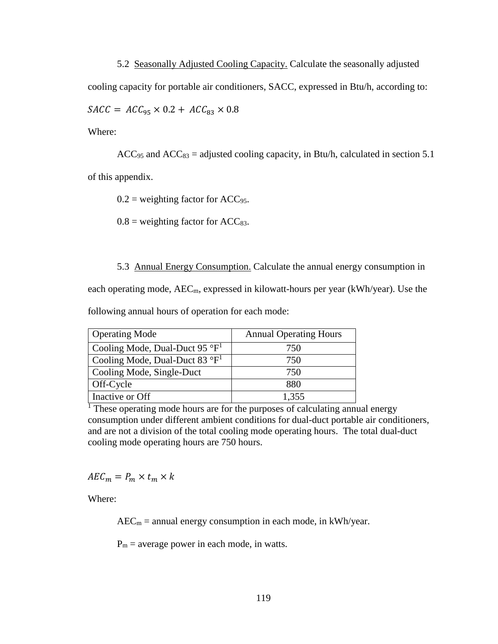5.2 Seasonally Adjusted Cooling Capacity. Calculate the seasonally adjusted cooling capacity for portable air conditioners, SACC, expressed in Btu/h, according to:  $SACC = ACC_{95} \times 0.2 + ACC_{83} \times 0.8$ 

Where:

 $ACC_{95}$  and  $ACC_{83} =$  adjusted cooling capacity, in Btu/h, calculated in section 5.1 of this appendix.

 $0.2$  = weighting factor for ACC<sub>95</sub>.

 $0.8$  = weighting factor for ACC<sub>83</sub>.

5.3 Annual Energy Consumption. Calculate the annual energy consumption in

each operating mode,  $AEC_m$ , expressed in kilowatt-hours per year (kWh/year). Use the

following annual hours of operation for each mode:

| <b>Operating Mode</b>                       | <b>Annual Operating Hours</b> |  |  |
|---------------------------------------------|-------------------------------|--|--|
| Cooling Mode, Dual-Duct 95 $\mathrm{P}^1$   | 750                           |  |  |
| Cooling Mode, Dual-Duct 83 $\mathrm{P}^{1}$ | 750                           |  |  |
| Cooling Mode, Single-Duct                   | 750                           |  |  |
| Off-Cycle                                   | 880                           |  |  |
| Inactive or Off                             | 1,355                         |  |  |

<sup>1</sup> These operating mode hours are for the purposes of calculating annual energy consumption under different ambient conditions for dual-duct portable air conditioners, and are not a division of the total cooling mode operating hours. The total dual-duct cooling mode operating hours are 750 hours.

 $AEC_m = P_m \times t_m \times k$ 

Where:

 $AEC_m =$  annual energy consumption in each mode, in kWh/year.

 $P_m$  = average power in each mode, in watts.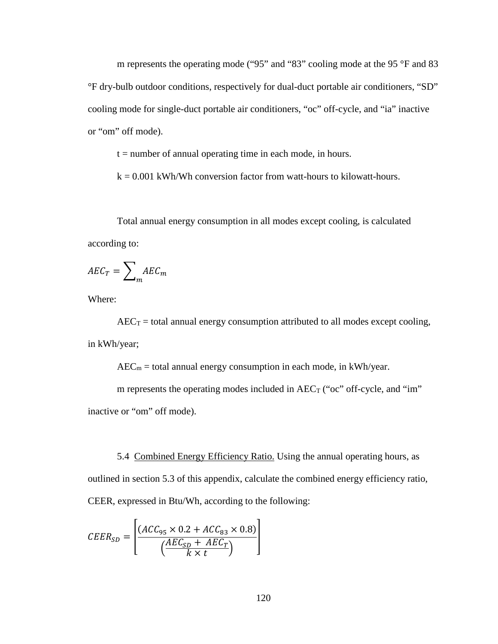m represents the operating mode ("95" and "83" cooling mode at the 95 °F and 83 °F dry-bulb outdoor conditions, respectively for dual-duct portable air conditioners, "SD" cooling mode for single-duct portable air conditioners, "oc" off-cycle, and "ia" inactive or "om" off mode).

 $t =$  number of annual operating time in each mode, in hours.

 $k = 0.001$  kWh/Wh conversion factor from watt-hours to kilowatt-hours.

Total annual energy consumption in all modes except cooling, is calculated according to:

$$
AEC_T = \sum_{m} AEC_m
$$

Where:

 $AEC_T =$  total annual energy consumption attributed to all modes except cooling, in kWh/year;

 $AEC_m =$  total annual energy consumption in each mode, in kWh/year.

m represents the operating modes included in  $AEC_T$  ("oc" off-cycle, and "im" inactive or "om" off mode).

5.4 Combined Energy Efficiency Ratio. Using the annual operating hours, as outlined in section 5.3 of this appendix, calculate the combined energy efficiency ratio, CEER, expressed in Btu/Wh, according to the following:

$$
CEER_{SD} = \left[\frac{(ACC_{95} \times 0.2 + ACC_{83} \times 0.8)}{\left(\frac{AEC_{SD} + AEC_T}{k \times t}\right)}\right]
$$